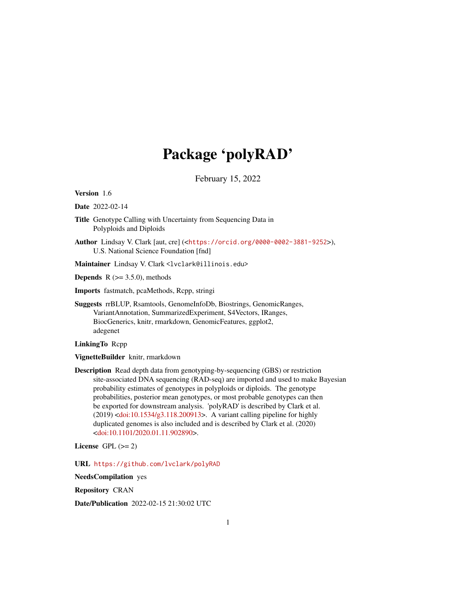# Package 'polyRAD'

February 15, 2022

<span id="page-0-0"></span>Version 1.6

Date 2022-02-14

- Title Genotype Calling with Uncertainty from Sequencing Data in Polyploids and Diploids
- Author Lindsay V. Clark [aut, cre] (<<https://orcid.org/0000-0002-3881-9252>>), U.S. National Science Foundation [fnd]

Maintainer Lindsay V. Clark <lvclark@illinois.edu>

**Depends** R  $(>= 3.5.0)$ , methods

Imports fastmatch, pcaMethods, Rcpp, stringi

Suggests rrBLUP, Rsamtools, GenomeInfoDb, Biostrings, GenomicRanges, VariantAnnotation, SummarizedExperiment, S4Vectors, IRanges, BiocGenerics, knitr, rmarkdown, GenomicFeatures, ggplot2, adegenet

LinkingTo Rcpp

VignetteBuilder knitr, rmarkdown

Description Read depth data from genotyping-by-sequencing (GBS) or restriction site-associated DNA sequencing (RAD-seq) are imported and used to make Bayesian probability estimates of genotypes in polyploids or diploids. The genotype probabilities, posterior mean genotypes, or most probable genotypes can then be exported for downstream analysis. 'polyRAD' is described by Clark et al. (2019) [<doi:10.1534/g3.118.200913>](https://doi.org/10.1534/g3.118.200913). A variant calling pipeline for highly duplicated genomes is also included and is described by Clark et al. (2020) [<doi:10.1101/2020.01.11.902890>](https://doi.org/10.1101/2020.01.11.902890).

License GPL  $(>= 2)$ 

URL <https://github.com/lvclark/polyRAD>

NeedsCompilation yes

Repository CRAN

Date/Publication 2022-02-15 21:30:02 UTC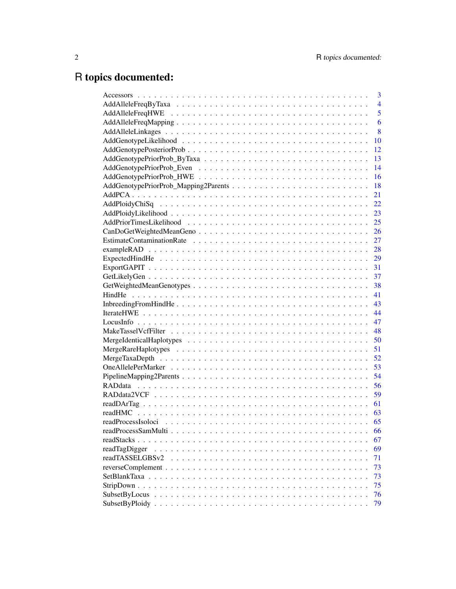# R topics documented:

| 3                     |
|-----------------------|
| $\overline{4}$        |
| 5                     |
| 6                     |
| 8                     |
| 10                    |
| 12                    |
| 13                    |
| 14                    |
| 16                    |
| 18                    |
| 21                    |
| 22                    |
| 23                    |
| 25                    |
| 26                    |
| 27                    |
| 28                    |
| 29                    |
| 31                    |
| 37                    |
| 38                    |
| 41                    |
| 43                    |
| 44                    |
| 47                    |
| 48                    |
| 50                    |
| 51                    |
| 52                    |
| 53                    |
| 54                    |
| 56                    |
| 59                    |
| 61                    |
| readHMC<br>63         |
| 65                    |
| 66                    |
| 67<br>readStacks      |
| readTagDigger<br>69   |
| readTASSELGBSv2<br>71 |
| 73                    |
| 73                    |
| 75                    |
| 76                    |
| 79                    |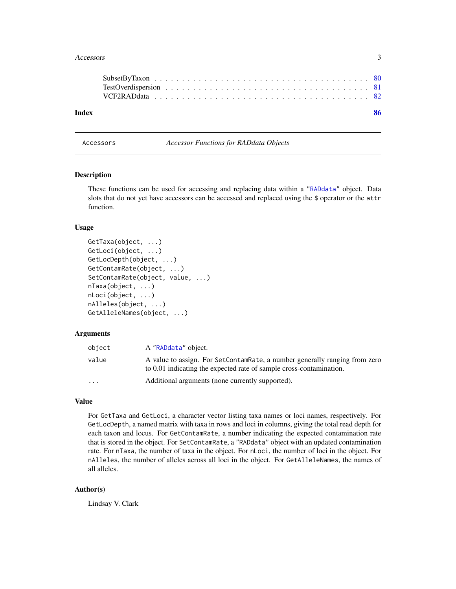#### <span id="page-2-0"></span>Accessors 3

Accessors *Accessor Functions for RADdata Objects*

# <span id="page-2-1"></span>**Description**

These functions can be used for accessing and replacing data within a ["RADdata"](#page-55-1) object. Data slots that do not yet have accessors can be accessed and replaced using the \$ operator or the attr function.

# Usage

```
GetTaxa(object, ...)
GetLoci(object, ...)
GetLocDepth(object, ...)
GetContamRate(object, ...)
SetContamRate(object, value, ...)
nTaxa(object, ...)
nLoci(object, ...)
nAlleles(object, ...)
GetAlleleNames(object, ...)
```
#### Arguments

| object                  | A "RADdata" object.                                                                                                                               |
|-------------------------|---------------------------------------------------------------------------------------------------------------------------------------------------|
| value                   | A value to assign. For SetContamRate, a number generally ranging from zero<br>to 0.01 indicating the expected rate of sample cross-contamination. |
| $\cdot$ $\cdot$ $\cdot$ | Additional arguments (none currently supported).                                                                                                  |

# Value

For GetTaxa and GetLoci, a character vector listing taxa names or loci names, respectively. For GetLocDepth, a named matrix with taxa in rows and loci in columns, giving the total read depth for each taxon and locus. For GetContamRate, a number indicating the expected contamination rate that is stored in the object. For SetContamRate, a "RADdata" object with an updated contamination rate. For nTaxa, the number of taxa in the object. For nLoci, the number of loci in the object. For nAlleles, the number of alleles across all loci in the object. For GetAlleleNames, the names of all alleles.

# Author(s)

Lindsay V. Clark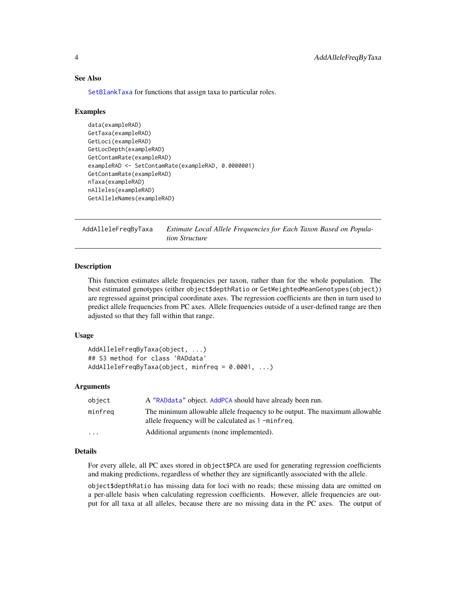# See Also

[SetBlankTaxa](#page-72-1) for functions that assign taxa to particular roles.

# Examples

```
data(exampleRAD)
GetTaxa(exampleRAD)
GetLoci(exampleRAD)
GetLocDepth(exampleRAD)
GetContamRate(exampleRAD)
exampleRAD <- SetContamRate(exampleRAD, 0.0000001)
GetContamRate(exampleRAD)
nTaxa(exampleRAD)
nAlleles(exampleRAD)
GetAlleleNames(exampleRAD)
```
<span id="page-3-1"></span>AddAlleleFreqByTaxa *Estimate Local Allele Frequencies for Each Taxon Based on Population Structure*

# Description

This function estimates allele frequencies per taxon, rather than for the whole population. The best estimated genotypes (either object\$depthRatio or GetWeightedMeanGenotypes(object)) are regressed against principal coordinate axes. The regression coefficients are then in turn used to predict allele frequencies from PC axes. Allele frequencies outside of a user-defined range are then adjusted so that they fall within that range.

# Usage

```
AddAlleleFreqByTaxa(object, ...)
## S3 method for class 'RADdata'
AddAlleleFreqByTaxa(object, minfreq = 0.0001, ...)
```
#### Arguments

| object                  | A "RADdata" object. AddPCA should have already been run.                                                                         |
|-------------------------|----------------------------------------------------------------------------------------------------------------------------------|
| minfreq                 | The minimum allowable allele frequency to be output. The maximum allowable<br>allele frequency will be calculated as 1 -minfreq. |
| $\cdot$ $\cdot$ $\cdot$ | Additional arguments (none implemented).                                                                                         |

# Details

For every allele, all PC axes stored in object\$PCA are used for generating regression coefficients and making predictions, regardless of whether they are significantly associated with the allele.

object\$depthRatio has missing data for loci with no reads; these missing data are omitted on a per-allele basis when calculating regression coefficients. However, allele frequencies are output for all taxa at all alleles, because there are no missing data in the PC axes. The output of

<span id="page-3-0"></span>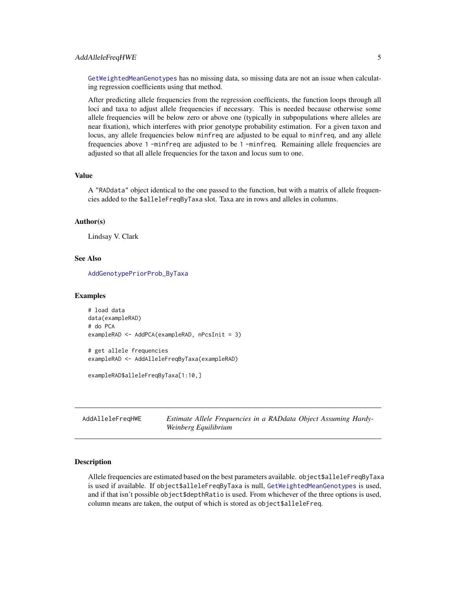# <span id="page-4-0"></span>AddAlleleFreqHWE 5

[GetWeightedMeanGenotypes](#page-37-1) has no missing data, so missing data are not an issue when calculating regression coefficients using that method.

After predicting allele frequencies from the regression coefficients, the function loops through all loci and taxa to adjust allele frequencies if necessary. This is needed because otherwise some allele frequencies will be below zero or above one (typically in subpopulations where alleles are near fixation), which interferes with prior genotype probability estimation. For a given taxon and locus, any allele frequencies below minfreq are adjusted to be equal to minfreq, and any allele frequencies above 1 -minfreq are adjusted to be 1 -minfreq. Remaining allele frequencies are adjusted so that all allele frequencies for the taxon and locus sum to one.

# Value

A "RADdata" object identical to the one passed to the function, but with a matrix of allele frequencies added to the \$alleleFreqByTaxa slot. Taxa are in rows and alleles in columns.

#### Author(s)

Lindsay V. Clark

# See Also

[AddGenotypePriorProb\\_ByTaxa](#page-12-1)

#### Examples

```
# load data
data(exampleRAD)
# do PCA
exampleRAD <- AddPCA(exampleRAD, nPcsInit = 3)
# get allele frequencies
exampleRAD <- AddAlleleFreqByTaxa(exampleRAD)
```
exampleRAD\$alleleFreqByTaxa[1:10,]

<span id="page-4-1"></span>AddAlleleFreqHWE *Estimate Allele Frequencies in a RADdata Object Assuming Hardy-Weinberg Equilibrium*

# **Description**

Allele frequencies are estimated based on the best parameters available. object\$alleleFreqByTaxa is used if available. If object\$alleleFreqByTaxa is null, [GetWeightedMeanGenotypes](#page-37-1) is used, and if that isn't possible object\$depthRatio is used. From whichever of the three options is used, column means are taken, the output of which is stored as object\$alleleFreq.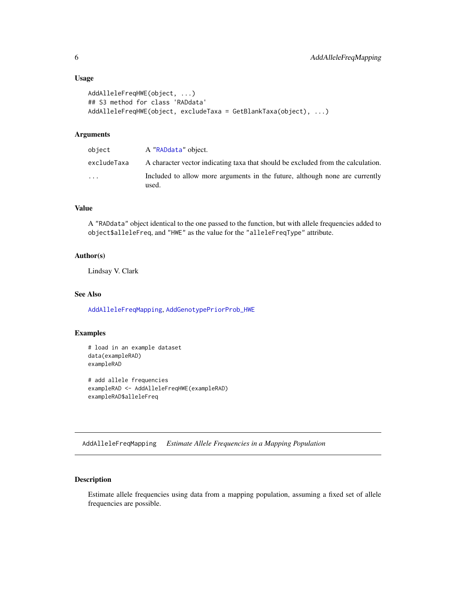# <span id="page-5-0"></span>Usage

```
AddAlleleFreqHWE(object, ...)
## S3 method for class 'RADdata'
AddAlleleFreqHWE(object, excludeTaxa = GetBlankTaxa(object), ...)
```
# Arguments

| object      | A "RADdata" object.                                                                  |
|-------------|--------------------------------------------------------------------------------------|
| excludeTaxa | A character vector indicating taxa that should be excluded from the calculation.     |
| $\cdot$     | Included to allow more arguments in the future, although none are currently<br>used. |

# Value

A "RADdata" object identical to the one passed to the function, but with allele frequencies added to object\$alleleFreq, and "HWE" as the value for the "alleleFreqType" attribute.

# Author(s)

Lindsay V. Clark

# See Also

[AddAlleleFreqMapping](#page-5-1), [AddGenotypePriorProb\\_HWE](#page-15-1)

# Examples

```
# load in an example dataset
data(exampleRAD)
exampleRAD
```
# add allele frequencies exampleRAD <- AddAlleleFreqHWE(exampleRAD) exampleRAD\$alleleFreq

<span id="page-5-1"></span>AddAlleleFreqMapping *Estimate Allele Frequencies in a Mapping Population*

# Description

Estimate allele frequencies using data from a mapping population, assuming a fixed set of allele frequencies are possible.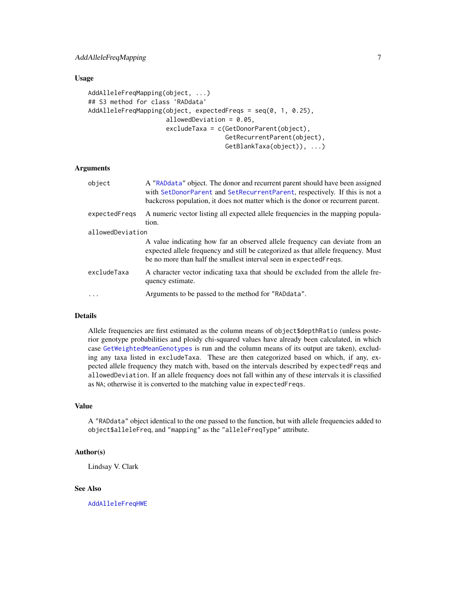# Usage

```
AddAlleleFreqMapping(object, ...)
## S3 method for class 'RADdata'
AddAlleleFreqMapping(object, expectedFreqs = seq(0, 1, 0.25),
                     allowedDeviation = 0.05,
                     excludeTaxa = c(GetDonorParent(object),
                                     GetRecurrentParent(object),
                                     GetBlankTaxa(object)), ...)
```
# Arguments

| object           | A "RADdata" object. The donor and recurrent parent should have been assigned<br>with SetDonorParent and SetRecurrentParent, respectively. If this is not a<br>backcross population, it does not matter which is the donor or recurrent parent. |
|------------------|------------------------------------------------------------------------------------------------------------------------------------------------------------------------------------------------------------------------------------------------|
| expectedFregs    | A numeric vector listing all expected allele frequencies in the mapping popula-<br>tion.                                                                                                                                                       |
| allowedDeviation |                                                                                                                                                                                                                                                |
|                  | A value indicating how far an observed allele frequency can deviate from an<br>expected allele frequency and still be categorized as that allele frequency. Must<br>be no more than half the smallest interval seen in expected Freqs.         |
| excludeTaxa      | A character vector indicating taxa that should be excluded from the allele fre-<br>quency estimate.                                                                                                                                            |
| $\ddotsc$        | Arguments to be passed to the method for "RADdata".                                                                                                                                                                                            |

#### Details

Allele frequencies are first estimated as the column means of object\$depthRatio (unless posterior genotype probabilities and ploidy chi-squared values have already been calculated, in which case [GetWeightedMeanGenotypes](#page-37-1) is run and the column means of its output are taken), excluding any taxa listed in excludeTaxa. These are then categorized based on which, if any, expected allele frequency they match with, based on the intervals described by expectedFreqs and allowedDeviation. If an allele frequency does not fall within any of these intervals it is classified as NA; otherwise it is converted to the matching value in expectedFreqs.

# Value

A "RADdata" object identical to the one passed to the function, but with allele frequencies added to object\$alleleFreq, and "mapping" as the "alleleFreqType" attribute.

# Author(s)

Lindsay V. Clark

# See Also

[AddAlleleFreqHWE](#page-4-1)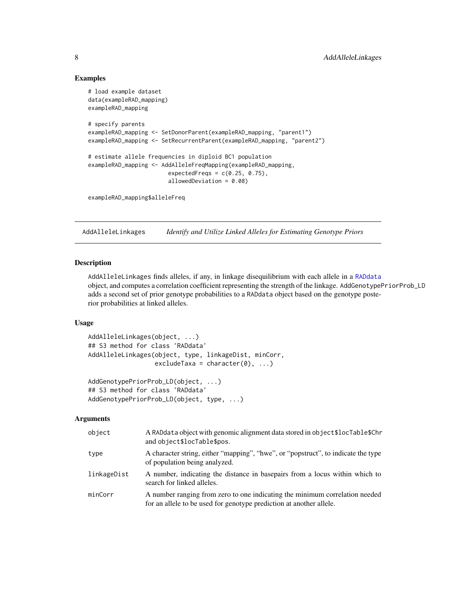# Examples

```
# load example dataset
data(exampleRAD_mapping)
exampleRAD_mapping
# specify parents
exampleRAD_mapping <- SetDonorParent(exampleRAD_mapping, "parent1")
exampleRAD_mapping <- SetRecurrentParent(exampleRAD_mapping, "parent2")
# estimate allele frequencies in diploid BC1 population
exampleRAD_mapping <- AddAlleleFreqMapping(exampleRAD_mapping,
                        expectedFreqs = c(0.25, 0.75),
                        allowedDeviation = 0.08)
exampleRAD_mapping$alleleFreq
```
AddAlleleLinkages *Identify and Utilize Linked Alleles for Estimating Genotype Priors*

# **Description**

AddAlleleLinkages finds alleles, if any, in linkage disequilibrium with each allele in a [RADdata](#page-55-1) object, and computes a correlation coefficient representing the strength of the linkage. AddGenotypePriorProb\_LD adds a second set of prior genotype probabilities to a RADdata object based on the genotype posterior probabilities at linked alleles.

# Usage

```
AddAlleleLinkages(object, ...)
## S3 method for class 'RADdata'
AddAlleleLinkages(object, type, linkageDist, minCorr,
                  excludeTaxa = character(0), ...AddGenotypePriorProb_LD(object, ...)
```

```
## S3 method for class 'RADdata'
AddGenotypePriorProb_LD(object, type, ...)
```
# Arguments

| object      | A RADdata object with genomic alignment data stored in object\$locTable\$Chr<br>and object\$locTable\$pos.                                         |
|-------------|----------------------------------------------------------------------------------------------------------------------------------------------------|
| type        | A character string, either "mapping", "hwe", or "popstruct", to indicate the type<br>of population being analyzed.                                 |
| linkageDist | A number, indicating the distance in basepairs from a locus within which to<br>search for linked alleles.                                          |
| minCorr     | A number ranging from zero to one indicating the minimum correlation needed<br>for an allele to be used for genotype prediction at another allele. |

<span id="page-7-0"></span>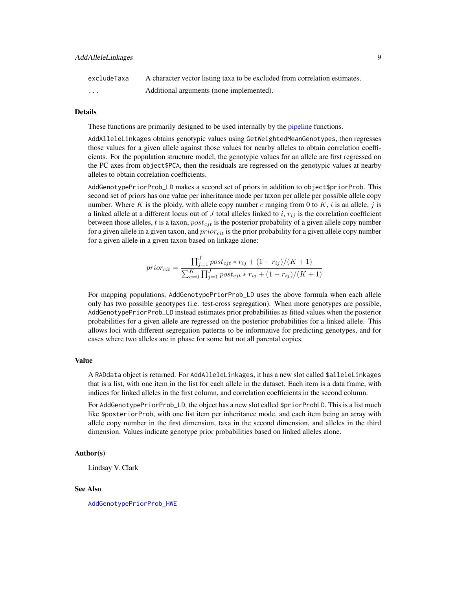| excludeTaxa | A character vector listing taxa to be excluded from correlation estimates. |
|-------------|----------------------------------------------------------------------------|
| .           | Additional arguments (none implemented).                                   |

#### Details

These functions are primarily designed to be used internally by the [pipeline](#page-43-1) functions.

AddAlleleLinkages obtains genotypic values using GetWeightedMeanGenotypes, then regresses those values for a given allele against those values for nearby alleles to obtain correlation coefficients. For the population structure model, the genotypic values for an allele are first regressed on the PC axes from object\$PCA, then the residuals are regressed on the genotypic values at nearby alleles to obtain correlation coefficients.

AddGenotypePriorProb\_LD makes a second set of priors in addition to object\$priorProb. This second set of priors has one value per inheritance mode per taxon per allele per possible allele copy number. Where K is the ploidy, with allele copy number c ranging from 0 to K, i is an allele, j is a linked allele at a different locus out of J total alleles linked to i,  $r_{ij}$  is the correlation coefficient between those alleles, t is a taxon,  $post_{cit}$  is the posterior probability of a given allele copy number for a given allele in a given taxon, and  $prior_{cit}$  is the prior probability for a given allele copy number for a given allele in a given taxon based on linkage alone:

$$
prior_{cit} = \frac{\prod_{j=1}^{J} post_{cjt} * r_{ij} + (1 - r_{ij})/(K + 1)}{\sum_{c=0}^{K} \prod_{j=1}^{J} post_{cjt} * r_{ij} + (1 - r_{ij})/(K + 1)}
$$

For mapping populations, AddGenotypePriorProb\_LD uses the above formula when each allele only has two possible genotypes (i.e. test-cross segregation). When more genotypes are possible, AddGenotypePriorProb\_LD instead estimates prior probabilities as fitted values when the posterior probabilities for a given allele are regressed on the posterior probabilities for a linked allele. This allows loci with different segregation patterns to be informative for predicting genotypes, and for cases where two alleles are in phase for some but not all parental copies.

# Value

A RADdata object is returned. For AddAlleleLinkages, it has a new slot called \$alleleLinkages that is a list, with one item in the list for each allele in the dataset. Each item is a data frame, with indices for linked alleles in the first column, and correlation coefficients in the second column.

For AddGenotypePriorProb\_LD, the object has a new slot called \$priorProbLD. This is a list much like \$posteriorProb, with one list item per inheritance mode, and each item being an array with allele copy number in the first dimension, taxa in the second dimension, and alleles in the third dimension. Values indicate genotype prior probabilities based on linked alleles alone.

# Author(s)

Lindsay V. Clark

#### See Also

[AddGenotypePriorProb\\_HWE](#page-15-1)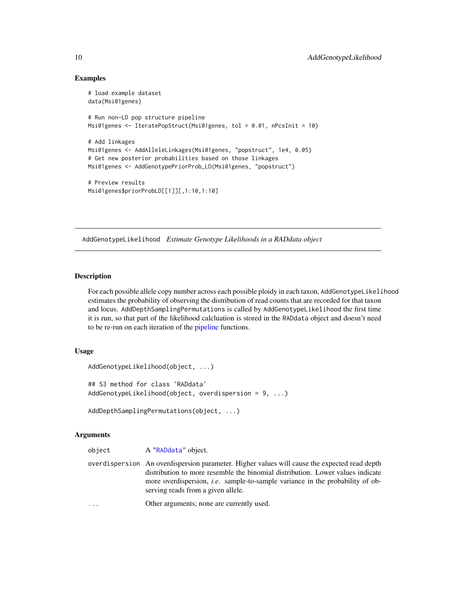# Examples

```
# load example dataset
data(Msi01genes)
# Run non-LD pop structure pipeline
Msi01genes <- IteratePopStruct(Msi01genes, tol = 0.01, nPcsInit = 10)
# Add linkages
Msi01genes <- AddAlleleLinkages(Msi01genes, "popstruct", 1e4, 0.05)
# Get new posterior probabilities based on those linkages
Msi01genes <- AddGenotypePriorProb_LD(Msi01genes, "popstruct")
# Preview results
Msi01genes$priorProbLD[[1]][,1:10,1:10]
```
<span id="page-9-1"></span>AddGenotypeLikelihood *Estimate Genotype Likelihoods in a RADdata object*

### Description

For each possible allele copy number across each possible ploidy in each taxon, AddGenotypeLikelihood estimates the probability of observing the distribution of read counts that are recorded for that taxon and locus. AddDepthSamplingPermutations is called by AddGenotypeLikelihood the first time it is run, so that part of the likelihood calcluation is stored in the RADdata object and doesn't need to be re-run on each iteration of the [pipeline](#page-43-1) functions.

# Usage

```
AddGenotypeLikelihood(object, ...)
## S3 method for class 'RADdata'
AddGenotypeLikelihood(object, overdispersion = 9, ...)
```

```
AddDepthSamplingPermutations(object, ...)
```
# Arguments

| object   | A "RADdata" object.                                                                                                                                                                                                                                                                                          |
|----------|--------------------------------------------------------------------------------------------------------------------------------------------------------------------------------------------------------------------------------------------------------------------------------------------------------------|
|          | overdispersion An overdispersion parameter. Higher values will cause the expected read depth<br>distribution to more resemble the binomial distribution. Lower values indicate<br>more overdispersion, <i>i.e.</i> sample-to-sample variance in the probability of ob-<br>serving reads from a given allele. |
| $\cdots$ | Other arguments; none are currently used.                                                                                                                                                                                                                                                                    |

<span id="page-9-0"></span>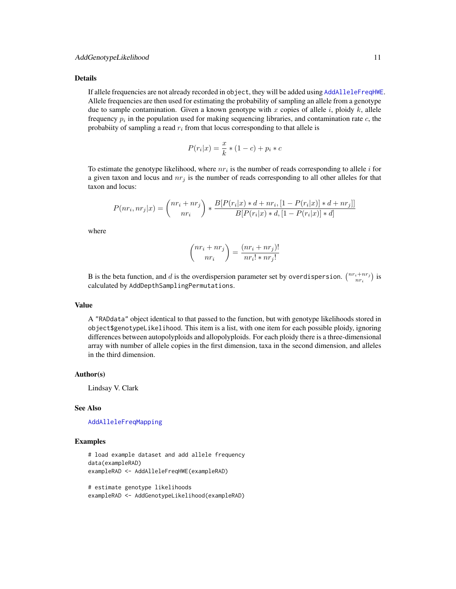#### Details

If allele frequencies are not already recorded in object, they will be added using [AddAlleleFreqHWE](#page-4-1). Allele frequencies are then used for estimating the probability of sampling an allele from a genotype due to sample contamination. Given a known genotype with x copies of allele i, ploidy  $k$ , allele frequency  $p_i$  in the population used for making sequencing libraries, and contamination rate  $c$ , the probabiity of sampling a read  $r_i$  from that locus corresponding to that allele is

$$
P(r_i|x) = \frac{x}{k} * (1 - c) + p_i * c
$$

To estimate the genotype likelihood, where  $nr_i$  is the number of reads corresponding to allele i for a given taxon and locus and  $nr_j$  is the number of reads corresponding to all other alleles for that taxon and locus:

$$
P(nr_i, nr_j|x) = {nr_i + nr_j \choose nr_i} * \frac{B[P(r_i|x) * d + nr_i, [1 - P(r_i|x)] * d + nr_j]]}{B[P(r_i|x) * d, [1 - P(r_i|x)] * d]}
$$

where

$$
\binom{nr_i + nr_j}{nr_i} = \frac{(nr_i + nr_j)!}{nr_i! * nr_j!}
$$

B is the beta function, and d is the overdispersion parameter set by overdispersion.  $\binom{nr_i+nr_j}{nr_i}$  is calculated by AddDepthSamplingPermutations.

#### Value

A "RADdata" object identical to that passed to the function, but with genotype likelihoods stored in object\$genotypeLikelihood. This item is a list, with one item for each possible ploidy, ignoring differences between autopolyploids and allopolyploids. For each ploidy there is a three-dimensional array with number of allele copies in the first dimension, taxa in the second dimension, and alleles in the third dimension.

#### Author(s)

Lindsay V. Clark

#### See Also

[AddAlleleFreqMapping](#page-5-1)

### Examples

```
# load example dataset and add allele frequency
data(exampleRAD)
exampleRAD <- AddAlleleFreqHWE(exampleRAD)
```
# estimate genotype likelihoods exampleRAD <- AddGenotypeLikelihood(exampleRAD)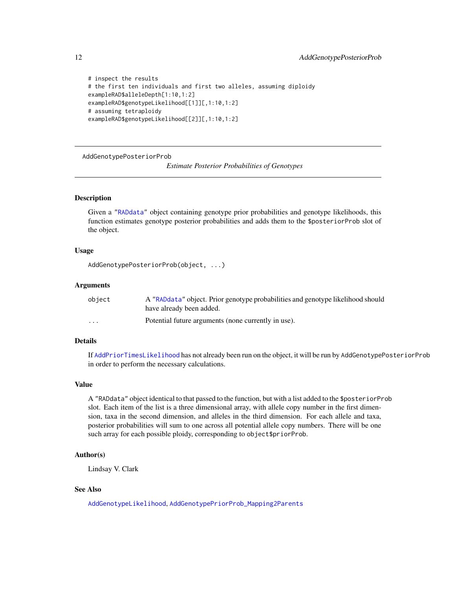```
# inspect the results
# the first ten individuals and first two alleles, assuming diploidy
exampleRAD$alleleDepth[1:10,1:2]
exampleRAD$genotypeLikelihood[[1]][,1:10,1:2]
# assuming tetraploidy
exampleRAD$genotypeLikelihood[[2]][,1:10,1:2]
```
<span id="page-11-1"></span>AddGenotypePosteriorProb

*Estimate Posterior Probabilities of Genotypes*

# Description

Given a ["RADdata"](#page-55-1) object containing genotype prior probabilities and genotype likelihoods, this function estimates genotype posterior probabilities and adds them to the \$posteriorProb slot of the object.

# Usage

```
AddGenotypePosteriorProb(object, ...)
```
# Arguments

| object   | A "RADdata" object. Prior genotype probabilities and genotype likelihood should |
|----------|---------------------------------------------------------------------------------|
|          | have already been added.                                                        |
| $\cdots$ | Potential future arguments (none currently in use).                             |

# Details

If [AddPriorTimesLikelihood](#page-24-1) has not already been run on the object, it will be run by AddGenotypePosteriorProb in order to perform the necessary calculations.

# Value

A "RADdata" object identical to that passed to the function, but with a list added to the \$posteriorProb slot. Each item of the list is a three dimensional array, with allele copy number in the first dimension, taxa in the second dimension, and alleles in the third dimension. For each allele and taxa, posterior probabilities will sum to one across all potential allele copy numbers. There will be one such array for each possible ploidy, corresponding to object\$priorProb.

# Author(s)

Lindsay V. Clark

# See Also

[AddGenotypeLikelihood](#page-9-1), [AddGenotypePriorProb\\_Mapping2Parents](#page-17-1)

<span id="page-11-0"></span>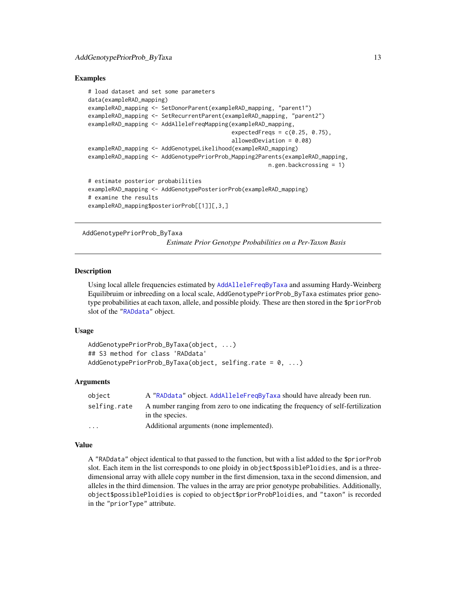# <span id="page-12-0"></span>Examples

```
# load dataset and set some parameters
data(exampleRAD_mapping)
exampleRAD_mapping <- SetDonorParent(exampleRAD_mapping, "parent1")
exampleRAD_mapping <- SetRecurrentParent(exampleRAD_mapping, "parent2")
exampleRAD_mapping <- AddAlleleFreqMapping(exampleRAD_mapping,
                                           expectedFreqs = c(0.25, 0.75),
                                           allowedDeviation = 0.08)
exampleRAD_mapping <- AddGenotypeLikelihood(exampleRAD_mapping)
exampleRAD_mapping <- AddGenotypePriorProb_Mapping2Parents(exampleRAD_mapping,
                                                      n.gen.backcrossing = 1)
# estimate posterior probabilities
exampleRAD_mapping <- AddGenotypePosteriorProb(exampleRAD_mapping)
# examine the results
exampleRAD_mapping$posteriorProb[[1]][,3,]
```
<span id="page-12-1"></span>AddGenotypePriorProb\_ByTaxa

*Estimate Prior Genotype Probabilities on a Per-Taxon Basis*

#### **Description**

Using local allele frequencies estimated by [AddAlleleFreqByTaxa](#page-3-1) and assuming Hardy-Weinberg Equilibruim or inbreeding on a local scale, AddGenotypePriorProb\_ByTaxa estimates prior genotype probabilities at each taxon, allele, and possible ploidy. These are then stored in the \$priorProb slot of the ["RADdata"](#page-55-1) object.

# Usage

```
AddGenotypePriorProb_ByTaxa(object, ...)
## S3 method for class 'RADdata'
AddGenotypePriorProb_ByTaxa(object, selfing.rate = 0, ...)
```
#### Arguments

| object       | A "RADdata" object. AddAlleleFreqByTaxa should have already been run.                               |
|--------------|-----------------------------------------------------------------------------------------------------|
| selfing.rate | A number ranging from zero to one indicating the frequency of self-fertilization<br>in the species. |
| $\cdot$      | Additional arguments (none implemented).                                                            |

#### Value

A "RADdata" object identical to that passed to the function, but with a list added to the \$priorProb slot. Each item in the list corresponds to one ploidy in object\$possiblePloidies, and is a threedimensional array with allele copy number in the first dimension, taxa in the second dimension, and alleles in the third dimension. The values in the array are prior genotype probabilities. Additionally, object\$possiblePloidies is copied to object\$priorProbPloidies, and "taxon" is recorded in the "priorType" attribute.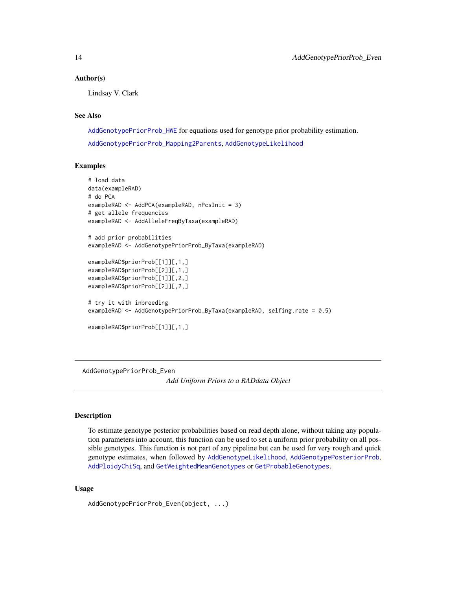# <span id="page-13-0"></span>Author(s)

Lindsay V. Clark

#### See Also

[AddGenotypePriorProb\\_HWE](#page-15-1) for equations used for genotype prior probability estimation. [AddGenotypePriorProb\\_Mapping2Parents](#page-17-1), [AddGenotypeLikelihood](#page-9-1)

#### Examples

```
# load data
data(exampleRAD)
# do PCA
exampleRAD <- AddPCA(exampleRAD, nPcsInit = 3)
# get allele frequencies
exampleRAD <- AddAlleleFreqByTaxa(exampleRAD)
# add prior probabilities
exampleRAD <- AddGenotypePriorProb_ByTaxa(exampleRAD)
exampleRAD$priorProb[[1]][,1,]
exampleRAD$priorProb[[2]][,1,]
exampleRAD$priorProb[[1]][,2,]
exampleRAD$priorProb[[2]][,2,]
# try it with inbreeding
exampleRAD <- AddGenotypePriorProb_ByTaxa(exampleRAD, selfing.rate = 0.5)
exampleRAD$priorProb[[1]][,1,]
```
AddGenotypePriorProb\_Even *Add Uniform Priors to a RADdata Object*

# Description

To estimate genotype posterior probabilities based on read depth alone, without taking any population parameters into account, this function can be used to set a uniform prior probability on all possible genotypes. This function is not part of any pipeline but can be used for very rough and quick genotype estimates, when followed by [AddGenotypeLikelihood](#page-9-1), [AddGenotypePosteriorProb](#page-11-1), [AddPloidyChiSq](#page-21-1), and [GetWeightedMeanGenotypes](#page-37-1) or [GetProbableGenotypes](#page-37-2).

#### Usage

AddGenotypePriorProb\_Even(object, ...)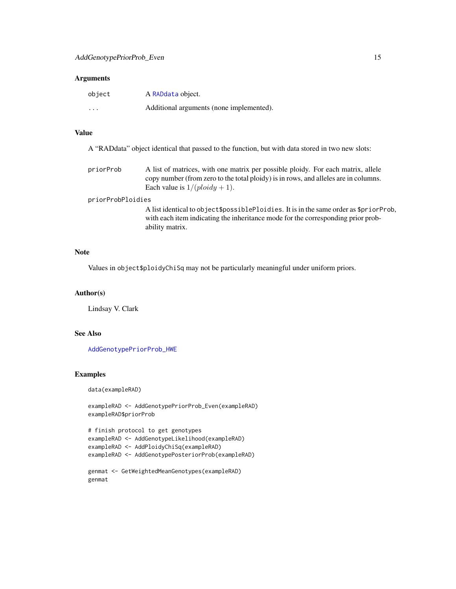#### Arguments

| object   | A RADdata object.                        |
|----------|------------------------------------------|
| $\cdots$ | Additional arguments (none implemented). |

# Value

| A "RADdata" object identical that passed to the function, but with data stored in two new slots: |  |  |
|--------------------------------------------------------------------------------------------------|--|--|
|--------------------------------------------------------------------------------------------------|--|--|

priorProb A list of matrices, with one matrix per possible ploidy. For each matrix, allele copy number (from zero to the total ploidy) is in rows, and alleles are in columns. Each value is  $1/(ploidy + 1)$ .

#### priorProbPloidies

A list identical to object\$possiblePloidies. It is in the same order as \$priorProb, with each item indicating the inheritance mode for the corresponding prior probability matrix.

# Note

Values in object\$ploidyChiSq may not be particularly meaningful under uniform priors.

#### Author(s)

Lindsay V. Clark

# See Also

[AddGenotypePriorProb\\_HWE](#page-15-1)

#### Examples

data(exampleRAD)

exampleRAD <- AddGenotypePriorProb\_Even(exampleRAD) exampleRAD\$priorProb

# finish protocol to get genotypes exampleRAD <- AddGenotypeLikelihood(exampleRAD) exampleRAD <- AddPloidyChiSq(exampleRAD) exampleRAD <- AddGenotypePosteriorProb(exampleRAD)

```
genmat <- GetWeightedMeanGenotypes(exampleRAD)
genmat
```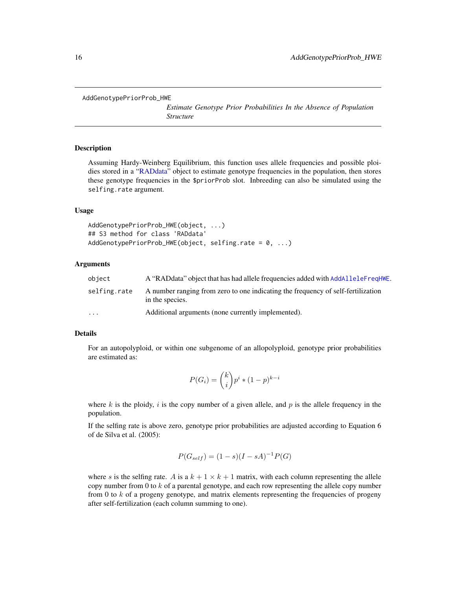<span id="page-15-1"></span><span id="page-15-0"></span>AddGenotypePriorProb\_HWE

*Estimate Genotype Prior Probabilities In the Absence of Population Structure*

# **Description**

Assuming Hardy-Weinberg Equilibrium, this function uses allele frequencies and possible ploi-dies stored in a ["RADdata"](#page-55-1) object to estimate genotype frequencies in the population, then stores these genotype frequencies in the \$priorProb slot. Inbreeding can also be simulated using the selfing.rate argument.

#### Usage

AddGenotypePriorProb\_HWE(object, ...) ## S3 method for class 'RADdata' AddGenotypePriorProb\_HWE(object, selfing.rate = 0, ...)

# Arguments

| object       | A "RADdata" object that has had allele frequencies added with AddAlleleFreqHWE.                     |
|--------------|-----------------------------------------------------------------------------------------------------|
| selfing.rate | A number ranging from zero to one indicating the frequency of self-fertilization<br>in the species. |
| $\cdots$     | Additional arguments (none currently implemented).                                                  |

# Details

For an autopolyploid, or within one subgenome of an allopolyploid, genotype prior probabilities are estimated as:

$$
P(G_i) = {k \choose i} p^i * (1-p)^{k-i}
$$

where  $k$  is the ploidy,  $i$  is the copy number of a given allele, and  $p$  is the allele frequency in the population.

If the selfing rate is above zero, genotype prior probabilities are adjusted according to Equation 6 of de Silva et al. (2005):

$$
P(G_{self}) = (1 - s)(I - sA)^{-1}P(G)
$$

where s is the selfing rate. A is a  $k + 1 \times k + 1$  matrix, with each column representing the allele copy number from 0 to  $k$  of a parental genotype, and each row representing the allele copy number from 0 to  $k$  of a progeny genotype, and matrix elements representing the frequencies of progeny after self-fertilization (each column summing to one).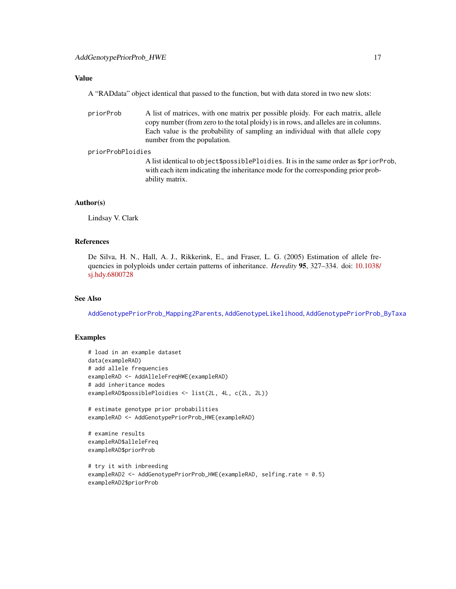# Value

A "RADdata" object identical that passed to the function, but with data stored in two new slots:

priorProb A list of matrices, with one matrix per possible ploidy. For each matrix, allele copy number (from zero to the total ploidy) is in rows, and alleles are in columns. Each value is the probability of sampling an individual with that allele copy number from the population.

#### priorProbPloidies

A list identical to object\$possiblePloidies. It is in the same order as \$priorProb, with each item indicating the inheritance mode for the corresponding prior probability matrix.

# Author(s)

Lindsay V. Clark

# References

De Silva, H. N., Hall, A. J., Rikkerink, E., and Fraser, L. G. (2005) Estimation of allele frequencies in polyploids under certain patterns of inheritance. *Heredity* 95, 327–334. doi: [10.1038/](https://doi.org/10.1038/sj.hdy.6800728) [sj.hdy.6800728](https://doi.org/10.1038/sj.hdy.6800728)

# See Also

[AddGenotypePriorProb\\_Mapping2Parents](#page-17-1), [AddGenotypeLikelihood](#page-9-1), [AddGenotypePriorProb\\_ByTaxa](#page-12-1)

# Examples

```
# load in an example dataset
data(exampleRAD)
# add allele frequencies
exampleRAD <- AddAlleleFreqHWE(exampleRAD)
# add inheritance modes
exampleRAD$possiblePloidies <- list(2L, 4L, c(2L, 2L))
# estimate genotype prior probabilities
exampleRAD <- AddGenotypePriorProb_HWE(exampleRAD)
# examine results
exampleRAD$alleleFreq
exampleRAD$priorProb
# try it with inbreeding
exampleRAD2 <- AddGenotypePriorProb_HWE(exampleRAD, selfing.rate = 0.5)
exampleRAD2$priorProb
```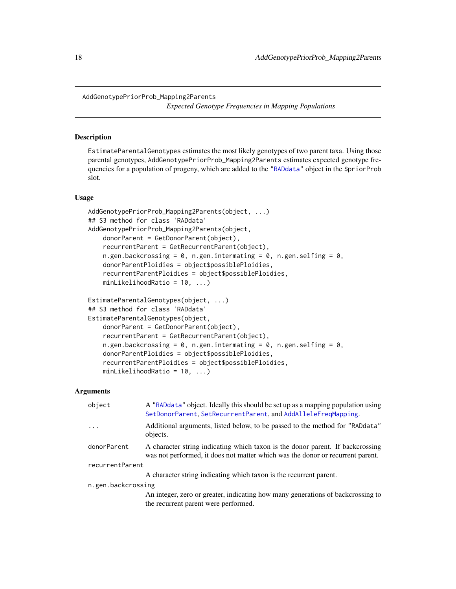<span id="page-17-1"></span><span id="page-17-0"></span>AddGenotypePriorProb\_Mapping2Parents

*Expected Genotype Frequencies in Mapping Populations*

# **Description**

EstimateParentalGenotypes estimates the most likely genotypes of two parent taxa. Using those parental genotypes, AddGenotypePriorProb\_Mapping2Parents estimates expected genotype frequencies for a population of progeny, which are added to the ["RADdata"](#page-55-1) object in the \$priorProb slot.

#### Usage

```
AddGenotypePriorProb_Mapping2Parents(object, ...)
## S3 method for class 'RADdata'
AddGenotypePriorProb_Mapping2Parents(object,
    donorParent = GetDonorParent(object),
    recurrentParent = GetRecurrentParent(object),
    n.gen.backcrossing = 0, n.gen.intermating = 0, n.gen.selfing = 0,
    donorParentPloidies = object$possiblePloidies,
    recurrentParentPloidies = object$possiblePloidies,
    minLikelihoodRatio = 10, ...)
EstimateParentalGenotypes(object, ...)
## S3 method for class 'RADdata'
EstimateParentalGenotypes(object,
    donorParent = GetDonorParent(object),
    recurrentParent = GetRecurrentParent(object),
    n.gen.backcrossing = 0, n.gen.intermating = 0, n.gen.selfing = 0.
    donorParentPloidies = object$possiblePloidies,
    recurrentParentPloidies = object$possiblePloidies,
```

```
minLikelihoodRatio = 10, ...)
```
#### Arguments

| object             | A "RADdata" object. Ideally this should be set up as a mapping population using<br>SetDonorParent, SetRecurrentParent, and AddAlleleFreqMapping.                 |  |
|--------------------|------------------------------------------------------------------------------------------------------------------------------------------------------------------|--|
| $\ddots$           | Additional arguments, listed below, to be passed to the method for "RADdata"<br>objects.                                                                         |  |
| donorParent        | A character string indicating which taxon is the donor parent. If backcrossing<br>was not performed, it does not matter which was the donor or recurrent parent. |  |
| recurrentParent    |                                                                                                                                                                  |  |
|                    | A character string indicating which taxon is the recurrent parent.                                                                                               |  |
| n.gen.backcrossing |                                                                                                                                                                  |  |
|                    | An integer, zero or greater, indicating how many generations of backcrossing to                                                                                  |  |
|                    | the recurrent parent were performed.                                                                                                                             |  |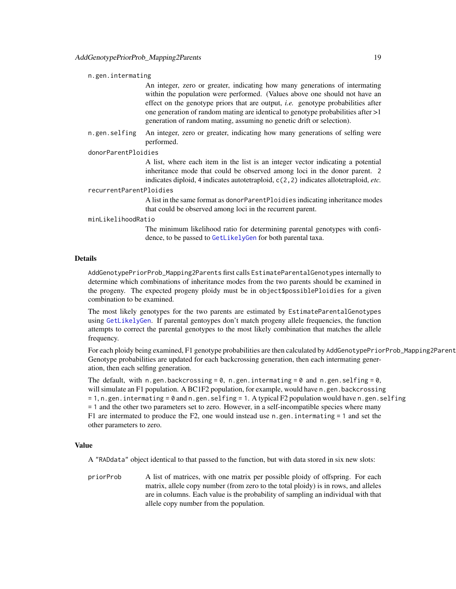#### n.gen.intermating

An integer, zero or greater, indicating how many generations of intermating within the population were performed. (Values above one should not have an effect on the genotype priors that are output, *i.e.* genotype probabilities after one generation of random mating are identical to genotype probabilities after >1 generation of random mating, assuming no genetic drift or selection).

n.gen.selfing An integer, zero or greater, indicating how many generations of selfing were performed.

#### donorParentPloidies

A list, where each item in the list is an integer vector indicating a potential inheritance mode that could be observed among loci in the donor parent. 2 indicates diploid, 4 indicates autotetraploid, c(2,2) indicates allotetraploid, *etc.*

#### recurrentParentPloidies

A list in the same format as donorParentPloidies indicating inheritance modes that could be observed among loci in the recurrent parent.

#### minLikelihoodRatio

The minimum likelihood ratio for determining parental genotypes with confidence, to be passed to [GetLikelyGen](#page-36-1) for both parental taxa.

# Details

AddGenotypePriorProb\_Mapping2Parents first calls EstimateParentalGenotypes internally to determine which combinations of inheritance modes from the two parents should be examined in the progeny. The expected progeny ploidy must be in object\$possiblePloidies for a given combination to be examined.

The most likely genotypes for the two parents are estimated by EstimateParentalGenotypes using [GetLikelyGen](#page-36-1). If parental gentoypes don't match progeny allele frequencies, the function attempts to correct the parental genotypes to the most likely combination that matches the allele frequency.

For each ploidy being examined, F1 genotype probabilities are then calculated by AddGenotypePriorProb\_Mapping2Parent Genotype probabilities are updated for each backcrossing generation, then each intermating generation, then each selfing generation.

The default, with n.gen.backcrossing =  $0$ , n.gen.intermating =  $0$  and n.gen.selfing =  $0$ , will simulate an F1 population. A BC1F2 population, for example, would have n.gen.backcrossing  $= 1, n$ .gen.intermating  $= 0$  and n.gen.selfing  $= 1$ . A typical F2 population would have n.gen.selfing = 1 and the other two parameters set to zero. However, in a self-incompatible species where many F1 are intermated to produce the F2, one would instead use n.gen. intermating  $= 1$  and set the other parameters to zero.

#### Value

A "RADdata" object identical to that passed to the function, but with data stored in six new slots:

priorProb A list of matrices, with one matrix per possible ploidy of offspring. For each matrix, allele copy number (from zero to the total ploidy) is in rows, and alleles are in columns. Each value is the probability of sampling an individual with that allele copy number from the population.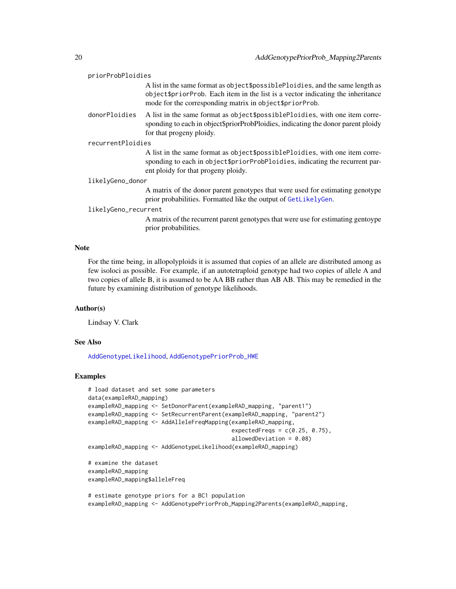| priorProbPloidies    |                                                                                                                                                                                                                                   |  |
|----------------------|-----------------------------------------------------------------------------------------------------------------------------------------------------------------------------------------------------------------------------------|--|
|                      | A list in the same format as object \$possible Ploidies, and the same length as<br>object \$ prior Prob. Each item in the list is a vector indicating the inheritance<br>mode for the corresponding matrix in object \$priorProb. |  |
| donorPloidies        | A list in the same format as object \$possible Ploidies, with one item corre-<br>sponding to each in object\$priorProbPloidies, indicating the donor parent ploidy<br>for that progeny ploidy.                                    |  |
| recurrentPloidies    |                                                                                                                                                                                                                                   |  |
|                      | A list in the same format as object\$possiblePloidies, with one item corre-<br>sponding to each in object \$priorProbPloidies, indicating the recurrent par-<br>ent ploidy for that progeny ploidy.                               |  |
| likelyGeno_donor     |                                                                                                                                                                                                                                   |  |
|                      | A matrix of the donor parent genotypes that were used for estimating genotype<br>prior probabilities. Formatted like the output of GetLikelyGen.                                                                                  |  |
| likelyGeno_recurrent |                                                                                                                                                                                                                                   |  |
|                      | A matrix of the recurrent parent genotypes that were use for estimating gentoype<br>prior probabilities.                                                                                                                          |  |
|                      |                                                                                                                                                                                                                                   |  |

# Note

For the time being, in allopolyploids it is assumed that copies of an allele are distributed among as few isoloci as possible. For example, if an autotetraploid genotype had two copies of allele A and two copies of allele B, it is assumed to be AA BB rather than AB AB. This may be remedied in the future by examining distribution of genotype likelihoods.

# Author(s)

Lindsay V. Clark

# See Also

[AddGenotypeLikelihood](#page-9-1), [AddGenotypePriorProb\\_HWE](#page-15-1)

#### Examples

```
# load dataset and set some parameters
data(exampleRAD_mapping)
exampleRAD_mapping <- SetDonorParent(exampleRAD_mapping, "parent1")
exampleRAD_mapping <- SetRecurrentParent(exampleRAD_mapping, "parent2")
exampleRAD_mapping <- AddAlleleFreqMapping(exampleRAD_mapping,
                                           expectedFreqs = c(0.25, 0.75),
                                           allowedDeviation = 0.08)
exampleRAD_mapping <- AddGenotypeLikelihood(exampleRAD_mapping)
# examine the dataset
exampleRAD_mapping
exampleRAD_mapping$alleleFreq
```
# estimate genotype priors for a BC1 population exampleRAD\_mapping <- AddGenotypePriorProb\_Mapping2Parents(exampleRAD\_mapping,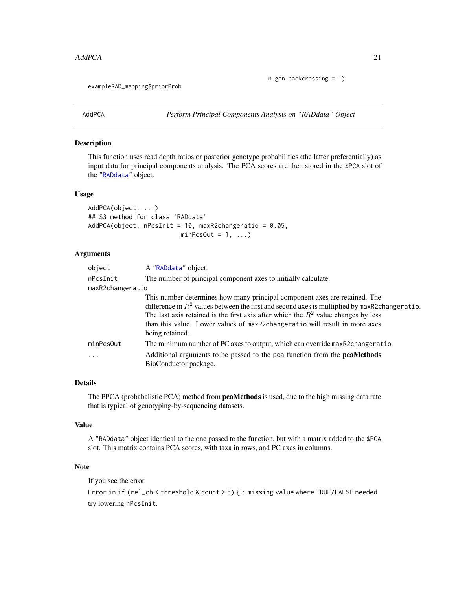n.gen.backcrossing = 1)

<span id="page-20-0"></span>exampleRAD\_mapping\$priorProb

<span id="page-20-1"></span>AddPCA *Perform Principal Components Analysis on "RADdata" Object*

# Description

This function uses read depth ratios or posterior genotype probabilities (the latter preferentially) as input data for principal components analysis. The PCA scores are then stored in the \$PCA slot of the ["RADdata"](#page-55-1) object.

# Usage

```
AddPCA(object, ...)
## S3 method for class 'RADdata'
AddPCA(object, nPcsInit = 10, maxR2changeratio = 0.05,
                         minPcsOut = 1, ...
```
# Arguments

| object           | A "RADdata" object.                                                                                                                                                                                                                                                                                                                                                    |
|------------------|------------------------------------------------------------------------------------------------------------------------------------------------------------------------------------------------------------------------------------------------------------------------------------------------------------------------------------------------------------------------|
| nPcsInit         | The number of principal component axes to initially calculate.                                                                                                                                                                                                                                                                                                         |
| maxR2changeratio |                                                                                                                                                                                                                                                                                                                                                                        |
|                  | This number determines how many principal component axes are retained. The<br>difference in $R^2$ values between the first and second axes is multiplied by maxR2changeratio.<br>The last axis retained is the first axis after which the $R^2$ value changes by less<br>than this value. Lower values of maxR2changeratio will result in more axes<br>being retained. |
| minPcsOut        | The minimum number of PC axes to output, which can override maxR2changeratio.                                                                                                                                                                                                                                                                                          |
| $\cdots$         | Additional arguments to be passed to the pca function from the <b>pcaMethods</b><br>BioConductor package.                                                                                                                                                                                                                                                              |

# Details

The PPCA (probabalistic PCA) method from **pcaMethods** is used, due to the high missing data rate that is typical of genotyping-by-sequencing datasets.

# Value

A "RADdata" object identical to the one passed to the function, but with a matrix added to the \$PCA slot. This matrix contains PCA scores, with taxa in rows, and PC axes in columns.

# Note

If you see the error

Error in if (rel\_ch < threshold & count > 5) { : missing value where TRUE/FALSE needed try lowering nPcsInit.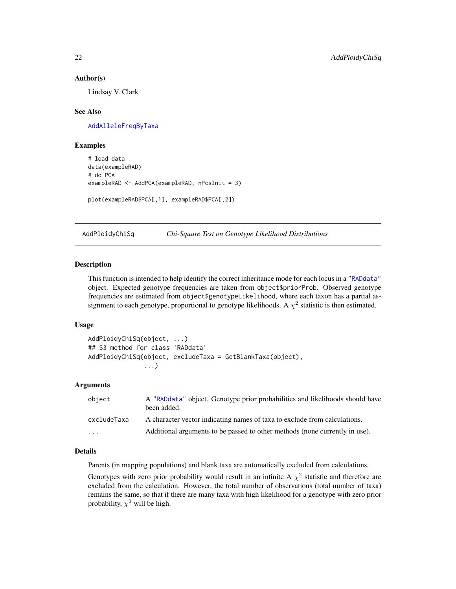#### Author(s)

Lindsay V. Clark

# See Also

[AddAlleleFreqByTaxa](#page-3-1)

# Examples

```
# load data
data(exampleRAD)
# do PCA
exampleRAD <- AddPCA(exampleRAD, nPcsInit = 3)
plot(exampleRAD$PCA[,1], exampleRAD$PCA[,2])
```
<span id="page-21-1"></span>AddPloidyChiSq *Chi-Square Test on Genotype Likelihood Distributions*

# Description

This function is intended to help identify the correct inheritance mode for each locus in a ["RADdata"](#page-55-1) object. Expected genotype frequencies are taken from object\$priorProb. Observed genotype frequencies are estimated from object\$genotypeLikelihood, where each taxon has a partial assignment to each genotype, proportional to genotype likelihoods. A  $\chi^2$  statistic is then estimated.

#### Usage

```
AddPloidyChiSq(object, ...)
## S3 method for class 'RADdata'
AddPloidyChiSq(object, excludeTaxa = GetBlankTaxa(object),
               ...)
```
# Arguments

| object      | A "RADdata" object. Genotype prior probabilities and likelihoods should have<br>been added. |
|-------------|---------------------------------------------------------------------------------------------|
| excludeTaxa | A character vector indicating names of taxa to exclude from calculations.                   |
| .           | Additional arguments to be passed to other methods (none currently in use).                 |

# Details

Parents (in mapping populations) and blank taxa are automatically excluded from calculations.

Genotypes with zero prior probability would result in an infinite A  $\chi^2$  statistic and therefore are excluded from the calculation. However, the total number of observations (total number of taxa) remains the same, so that if there are many taxa with high likelihood for a genotype with zero prior probability,  $\chi^2$  will be high.

<span id="page-21-0"></span>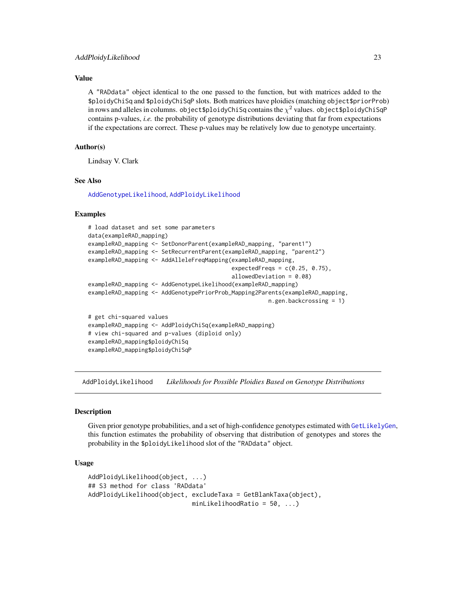# <span id="page-22-0"></span>Value

A "RADdata" object identical to the one passed to the function, but with matrices added to the \$ploidyChiSq and \$ploidyChiSqP slots. Both matrices have ploidies (matching object\$priorProb) in rows and alleles in columns. object\$ploidyChiSq contains the  $\chi^2$  values. object\$ploidyChiSqP contains p-values, *i.e.* the probability of genotype distributions deviating that far from expectations if the expectations are correct. These p-values may be relatively low due to genotype uncertainty.

# Author(s)

Lindsay V. Clark

# See Also

[AddGenotypeLikelihood](#page-9-1), [AddPloidyLikelihood](#page-22-1)

# Examples

```
# load dataset and set some parameters
data(exampleRAD_mapping)
exampleRAD_mapping <- SetDonorParent(exampleRAD_mapping, "parent1")
exampleRAD_mapping <- SetRecurrentParent(exampleRAD_mapping, "parent2")
exampleRAD_mapping <- AddAlleleFreqMapping(exampleRAD_mapping,
                                           expectedFreqs = c(0.25, 0.75),
                                           allowedDeviation = 0.08)
exampleRAD_mapping <- AddGenotypeLikelihood(exampleRAD_mapping)
exampleRAD_mapping <- AddGenotypePriorProb_Mapping2Parents(exampleRAD_mapping,
                                                      n.gen.backcrossing = 1)
# get chi-squared values
exampleRAD_mapping <- AddPloidyChiSq(exampleRAD_mapping)
# view chi-squared and p-values (diploid only)
exampleRAD_mapping$ploidyChiSq
exampleRAD_mapping$ploidyChiSqP
```
<span id="page-22-1"></span>AddPloidyLikelihood *Likelihoods for Possible Ploidies Based on Genotype Distributions*

# Description

Given prior genotype probabilities, and a set of high-confidence genotypes estimated with [GetLikelyGen](#page-36-1), this function estimates the probability of observing that distribution of genotypes and stores the probability in the \$ploidyLikelihood slot of the "RADdata" object.

# Usage

```
AddPloidyLikelihood(object, ...)
## S3 method for class 'RADdata'
AddPloidyLikelihood(object, excludeTaxa = GetBlankTaxa(object),
                            minLikelihoodRatio = 50, ...)
```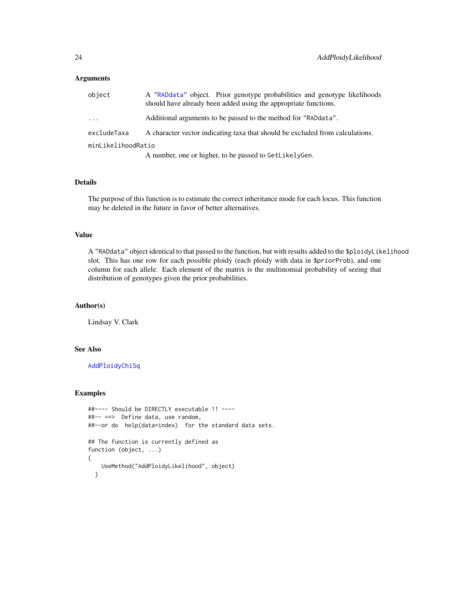# Arguments

| object             | A "RADdata" object. Prior genotype probabilities and genotype likelihoods<br>should have already been added using the appropriate functions. |
|--------------------|----------------------------------------------------------------------------------------------------------------------------------------------|
| $\cdots$           | Additional arguments to be passed to the method for "RADdata".                                                                               |
| excludeTaxa        | A character vector indicating taxa that should be excluded from calculations.                                                                |
| minLikelihoodRatio |                                                                                                                                              |
|                    | A number, one or higher, to be passed to GetLikelyGen.                                                                                       |

#### Details

The purpose of this function is to estimate the correct inheritance mode for each locus. This function may be deleted in the future in favor of better alternatives.

# Value

A "RADdata" object identical to that passed to the function, but with results added to the \$ploidyLikelihood slot. This has one row for each possible ploidy (each ploidy with data in \$priorProb), and one column for each allele. Each element of the matrix is the multinomial probability of seeing that distribution of genotypes given the prior probabilities.

#### Author(s)

Lindsay V. Clark

# See Also

[AddPloidyChiSq](#page-21-1)

# Examples

```
##---- Should be DIRECTLY executable !! ----
##-- ==> Define data, use random,
##--or do help(data=index) for the standard data sets.
## The function is currently defined as
function (object, ...)
{
    UseMethod("AddPloidyLikelihood", object)
  }
```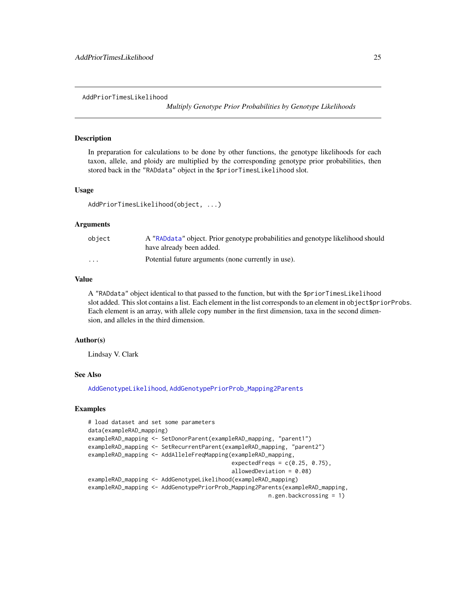<span id="page-24-1"></span><span id="page-24-0"></span>AddPriorTimesLikelihood

*Multiply Genotype Prior Probabilities by Genotype Likelihoods*

# Description

In preparation for calculations to be done by other functions, the genotype likelihoods for each taxon, allele, and ploidy are multiplied by the corresponding genotype prior probabilities, then stored back in the "RADdata" object in the \$priorTimesLikelihood slot.

#### Usage

```
AddPriorTimesLikelihood(object, ...)
```
# Arguments

| object   | A "RADdata" object. Prior genotype probabilities and genotype likelihood should<br>have already been added. |
|----------|-------------------------------------------------------------------------------------------------------------|
| $\cdots$ | Potential future arguments (none currently in use).                                                         |

# Value

A "RADdata" object identical to that passed to the function, but with the \$priorTimesLikelihood slot added. This slot contains a list. Each element in the list corresponds to an element in object\$priorProbs. Each element is an array, with allele copy number in the first dimension, taxa in the second dimension, and alleles in the third dimension.

# Author(s)

Lindsay V. Clark

#### See Also

[AddGenotypeLikelihood](#page-9-1), [AddGenotypePriorProb\\_Mapping2Parents](#page-17-1)

# Examples

```
# load dataset and set some parameters
data(exampleRAD_mapping)
exampleRAD_mapping <- SetDonorParent(exampleRAD_mapping, "parent1")
exampleRAD_mapping <- SetRecurrentParent(exampleRAD_mapping, "parent2")
exampleRAD_mapping <- AddAlleleFreqMapping(exampleRAD_mapping,
                                           expectedFreqs = c(0.25, 0.75),
                                           allowedDeviation = 0.08)
exampleRAD_mapping <- AddGenotypeLikelihood(exampleRAD_mapping)
exampleRAD_mapping <- AddGenotypePriorProb_Mapping2Parents(exampleRAD_mapping,
                                                      n.gen.backcrossing = 1)
```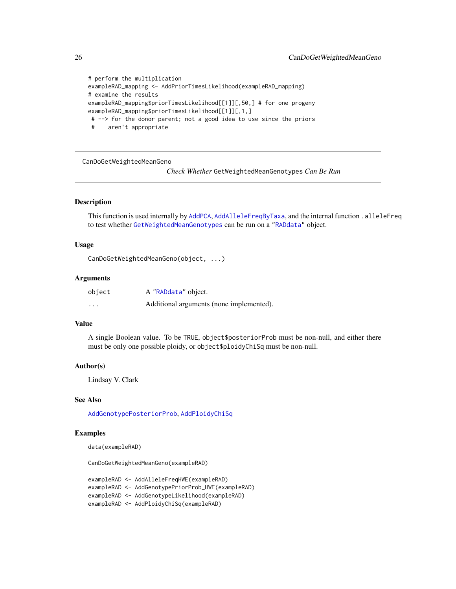```
# perform the multiplication
exampleRAD_mapping <- AddPriorTimesLikelihood(exampleRAD_mapping)
# examine the results
exampleRAD_mapping$priorTimesLikelihood[[1]][,50,] # for one progeny
exampleRAD_mapping$priorTimesLikelihood[[1]][,1,]
# --> for the donor parent; not a good idea to use since the priors
 # aren't appropriate
```
CanDoGetWeightedMeanGeno

*Check Whether* GetWeightedMeanGenotypes *Can Be Run*

### Description

This function is used internally by [AddPCA](#page-20-1), [AddAlleleFreqByTaxa](#page-3-1), and the internal function .alleleFreq to test whether [GetWeightedMeanGenotypes](#page-37-1) can be run on a ["RADdata"](#page-55-1) object.

#### Usage

CanDoGetWeightedMeanGeno(object, ...)

#### Arguments

| object   | A "RADdata" object.                      |
|----------|------------------------------------------|
| $\cdots$ | Additional arguments (none implemented). |

# Value

A single Boolean value. To be TRUE, object\$posteriorProb must be non-null, and either there must be only one possible ploidy, or object\$ploidyChiSq must be non-null.

#### Author(s)

Lindsay V. Clark

#### See Also

[AddGenotypePosteriorProb](#page-11-1), [AddPloidyChiSq](#page-21-1)

# Examples

data(exampleRAD)

CanDoGetWeightedMeanGeno(exampleRAD)

exampleRAD <- AddAlleleFreqHWE(exampleRAD) exampleRAD <- AddGenotypePriorProb\_HWE(exampleRAD) exampleRAD <- AddGenotypeLikelihood(exampleRAD) exampleRAD <- AddPloidyChiSq(exampleRAD)

<span id="page-25-0"></span>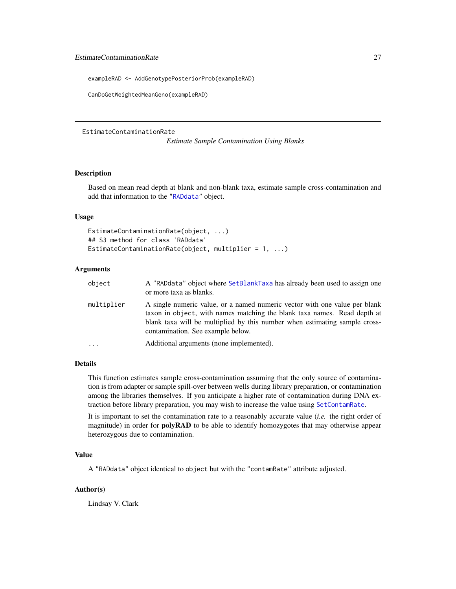<span id="page-26-0"></span>exampleRAD <- AddGenotypePosteriorProb(exampleRAD)

CanDoGetWeightedMeanGeno(exampleRAD)

#### EstimateContaminationRate

*Estimate Sample Contamination Using Blanks*

# Description

Based on mean read depth at blank and non-blank taxa, estimate sample cross-contamination and add that information to the ["RADdata"](#page-55-1) object.

# Usage

```
EstimateContaminationRate(object, ...)
## S3 method for class 'RADdata'
EstimateContaminationRate(object, multiplier = 1, ...)
```
# Arguments

| object     | A "RADdata" object where SetBlankTaxa has already been used to assign one<br>or more taxa as blanks.                                                                                                                                                                      |
|------------|---------------------------------------------------------------------------------------------------------------------------------------------------------------------------------------------------------------------------------------------------------------------------|
| multiplier | A single numeric value, or a named numeric vector with one value per blank<br>taxon in object, with names matching the blank taxa names. Read depth at<br>blank taxa will be multiplied by this number when estimating sample cross-<br>contamination. See example below. |
| .          | Additional arguments (none implemented).                                                                                                                                                                                                                                  |

# Details

This function estimates sample cross-contamination assuming that the only source of contamination is from adapter or sample spill-over between wells during library preparation, or contamination among the libraries themselves. If you anticipate a higher rate of contamination during DNA extraction before library preparation, you may wish to increase the value using [SetContamRate](#page-2-1).

It is important to set the contamination rate to a reasonably accurate value (*i.e.* the right order of magnitude) in order for **polyRAD** to be able to identify homozygotes that may otherwise appear heterozygous due to contamination.

# Value

A "RADdata" object identical to object but with the "contamRate" attribute adjusted.

# Author(s)

Lindsay V. Clark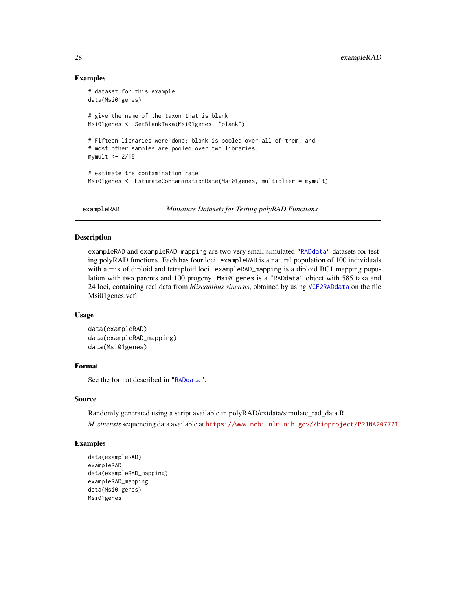# Examples

```
# dataset for this example
data(Msi01genes)
# give the name of the taxon that is blank
Msi01genes <- SetBlankTaxa(Msi01genes, "blank")
# Fifteen libraries were done; blank is pooled over all of them, and
# most other samples are pooled over two libraries.
mymult <-2/15# estimate the contamination rate
Msi01genes <- EstimateContaminationRate(Msi01genes, multiplier = mymult)
```
exampleRAD *Miniature Datasets for Testing polyRAD Functions*

# Description

exampleRAD and exampleRAD\_mapping are two very small simulated ["RADdata"](#page-55-1) datasets for testing polyRAD functions. Each has four loci. exampleRAD is a natural population of 100 individuals with a mix of diploid and tetraploid loci. exampleRAD\_mapping is a diploid BC1 mapping population with two parents and 100 progeny. Msi01genes is a "RADdata" object with 585 taxa and 24 loci, containing real data from *Miscanthus sinensis*, obtained by using [VCF2RADdata](#page-81-1) on the file Msi01genes.vcf.

# Usage

```
data(exampleRAD)
data(exampleRAD_mapping)
data(Msi01genes)
```
# Format

See the format described in ["RADdata"](#page-55-1).

#### Source

Randomly generated using a script available in polyRAD/extdata/simulate\_rad\_data.R.

*M. sinensis*sequencing data available at <https://www.ncbi.nlm.nih.gov//bioproject/PRJNA207721>.

# Examples

```
data(exampleRAD)
exampleRAD
data(exampleRAD_mapping)
exampleRAD_mapping
data(Msi01genes)
Msi01genes
```
<span id="page-27-0"></span>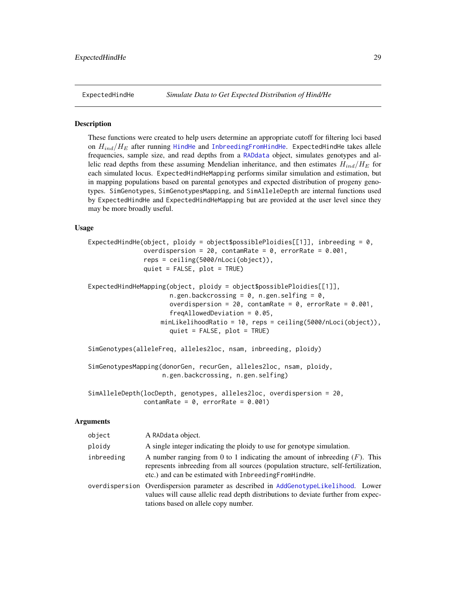#### <span id="page-28-0"></span>**Description**

These functions were created to help users determine an appropriate cutoff for filtering loci based on  $H_{ind}/H_E$  after running [HindHe](#page-40-1) and [InbreedingFromHindHe](#page-42-1). ExpectedHindHe takes allele frequencies, sample size, and read depths from a [RADdata](#page-55-1) object, simulates genotypes and allelic read depths from these assuming Mendelian inheritance, and then estimates  $H_{ind}/H_E$  for each simulated locus. ExpectedHindHeMapping performs similar simulation and estimation, but in mapping populations based on parental genotypes and expected distribution of progeny genotypes. SimGenotypes, SimGenotypesMapping, and SimAlleleDepth are internal functions used by ExpectedHindHe and ExpectedHindHeMapping but are provided at the user level since they may be more broadly useful.

#### Usage

```
ExpectedHindHe(object, ploidy = object$possiblePloidies[[1]], inbreeding = 0,
               overdispersion = 20, contamRate = 0, errorRate = 0.001,
               reps = ceiling(5000/nLoci(object)),
               quiet = FALSE, plot = TRUE)
ExpectedHindHeMapping(object, ploidy = object$possiblePloidies[[1]],
                      n.gen.backcrossing = 0, n.gen.selfing = 0,
                      overdispersion = 20, contamRate = 0, errorRate = 0.001,
                      freqAllowedDeviation = 0.05,
                   minLikelihoodRatio = 10, reps = ceiling(5000/nLoci(object)),
                      quiet = FALSE, plot = TRUE)
SimGenotypes(alleleFreq, alleles2loc, nsam, inbreeding, ploidy)
```
SimGenotypesMapping(donorGen, recurGen, alleles2loc, nsam, ploidy, n.gen.backcrossing, n.gen.selfing)

```
SimAlleleDepth(locDepth, genotypes, alleles2loc, overdispersion = 20,
              contamRate = 0, errorRate = 0.001)
```
# Arguments

| object     | A RADdata object.                                                                                                                                                                                                              |
|------------|--------------------------------------------------------------------------------------------------------------------------------------------------------------------------------------------------------------------------------|
| ploidy     | A single integer indicating the ploidy to use for genotype simulation.                                                                                                                                                         |
| inbreeding | A number ranging from 0 to 1 indicating the amount of inbreeding $(F)$ . This<br>represents inbreeding from all sources (population structure, self-fertilization,<br>etc.) and can be estimated with Inbreeding From Hind He. |
|            | overdispersion Overdispersion parameter as described in AddGenotypeLikelihood. Lower<br>values will cause allelic read depth distributions to deviate further from expec-<br>tations based on allele copy number.              |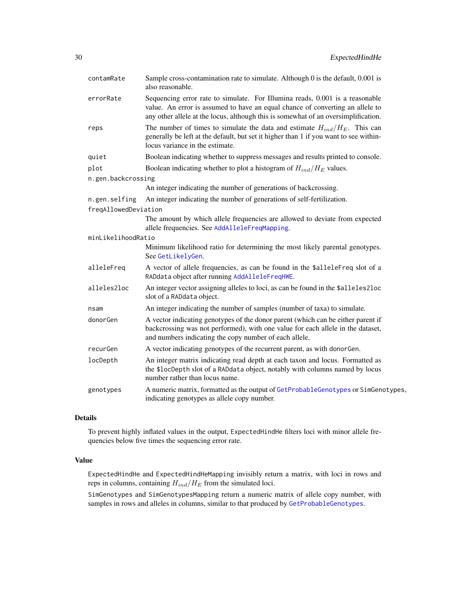| contamRate                            | Sample cross-contamination rate to simulate. Although 0 is the default, 0.001 is<br>also reasonable.                                                                                                                                                |
|---------------------------------------|-----------------------------------------------------------------------------------------------------------------------------------------------------------------------------------------------------------------------------------------------------|
| errorRate                             | Sequencing error rate to simulate. For Illumina reads, 0.001 is a reasonable<br>value. An error is assumed to have an equal chance of converting an allele to<br>any other allele at the locus, although this is somewhat of an oversimplification. |
| reps                                  | The number of times to simulate the data and estimate $H_{ind}/H_E$ . This can<br>generally be left at the default, but set it higher than 1 if you want to see within-<br>locus variance in the estimate.                                          |
| quiet                                 | Boolean indicating whether to suppress messages and results printed to console.                                                                                                                                                                     |
| plot                                  | Boolean indicating whether to plot a histogram of $H_{ind}/H_E$ values.                                                                                                                                                                             |
| n.gen.backcrossing                    |                                                                                                                                                                                                                                                     |
|                                       | An integer indicating the number of generations of backcrossing.                                                                                                                                                                                    |
| n.gen.selfing<br>freqAllowedDeviation | An integer indicating the number of generations of self-fertilization.                                                                                                                                                                              |
|                                       | The amount by which allele frequencies are allowed to deviate from expected<br>allele frequencies. See AddAlleleFreqMapping.                                                                                                                        |
| minLikelihoodRatio                    |                                                                                                                                                                                                                                                     |
|                                       | Minimum likelihood ratio for determining the most likely parental genotypes.<br>See GetLikelyGen.                                                                                                                                                   |
| alleleFreq                            | A vector of allele frequencies, as can be found in the \$alleleFreq slot of a<br>RADdata object after running AddAlleleFreqHWE.                                                                                                                     |
| alleles2loc                           | An integer vector assigning alleles to loci, as can be found in the \$alleles2loc<br>slot of a RADdata object.                                                                                                                                      |
| nsam                                  | An integer indicating the number of samples (number of taxa) to simulate.                                                                                                                                                                           |
| donorGen                              | A vector indicating genotypes of the donor parent (which can be either parent if<br>backcrossing was not performed), with one value for each allele in the dataset,<br>and numbers indicating the copy number of each allele.                       |
| recurGen                              | A vector indicating genotypes of the recurrent parent, as with donorGen.                                                                                                                                                                            |
| locDepth                              | An integer matrix indicating read depth at each taxon and locus. Formatted as<br>the \$locDepth slot of a RADdata object, notably with columns named by locus<br>number rather than locus name.                                                     |
| genotypes                             | A numeric matrix, formatted as the output of GetProbableGenotypes or SimGenotypes,<br>indicating genotypes as allele copy number.                                                                                                                   |

# Details

To prevent highly inflated values in the output, ExpectedHindHe filters loci with minor allele frequencies below five times the sequencing error rate.

# Value

ExpectedHindHe and ExpectedHindHeMapping invisibly return a matrix, with loci in rows and reps in columns, containing  $H_{ind}/H_E$  from the simulated loci.

SimGenotypes and SimGenotypesMapping return a numeric matrix of allele copy number, with samples in rows and alleles in columns, similar to that produced by [GetProbableGenotypes](#page-37-2).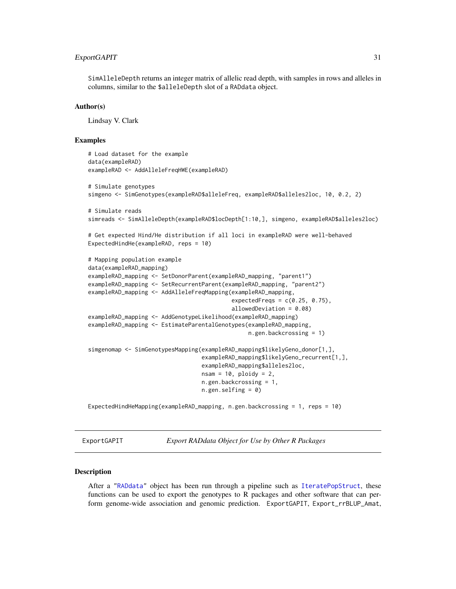# <span id="page-30-0"></span>ExportGAPIT 31

SimAlleleDepth returns an integer matrix of allelic read depth, with samples in rows and alleles in columns, similar to the \$alleleDepth slot of a RADdata object.

#### Author(s)

Lindsay V. Clark

# Examples

```
# Load dataset for the example
data(exampleRAD)
exampleRAD <- AddAlleleFreqHWE(exampleRAD)
# Simulate genotypes
simgeno <- SimGenotypes(exampleRAD$alleleFreq, exampleRAD$alleles2loc, 10, 0.2, 2)
# Simulate reads
simreads <- SimAlleleDepth(exampleRAD$locDepth[1:10,], simgeno, exampleRAD$alleles2loc)
# Get expected Hind/He distribution if all loci in exampleRAD were well-behaved
ExpectedHindHe(exampleRAD, reps = 10)
# Mapping population example
data(exampleRAD_mapping)
exampleRAD_mapping <- SetDonorParent(exampleRAD_mapping, "parent1")
exampleRAD_mapping <- SetRecurrentParent(exampleRAD_mapping, "parent2")
exampleRAD_mapping <- AddAlleleFreqMapping(exampleRAD_mapping,
                                            expectedFreqs = c(0.25, 0.75),
                                            allowedDeviation = 0.08)
exampleRAD_mapping <- AddGenotypeLikelihood(exampleRAD_mapping)
exampleRAD_mapping <- EstimateParentalGenotypes(exampleRAD_mapping,
                                                 n.gen.backcrossing = 1)
simgenomap <- SimGenotypesMapping(exampleRAD_mapping$likelyGeno_donor[1,],
                                   exampleRAD_mapping$likelyGeno_recurrent[1,],
                                   exampleRAD_mapping$alleles2loc,
                                   nsam = 10, ploidy = 2,
                                  n.gen.backcrossing = 1,
                                  n.gen.selfing = <math>\emptyset</math>)
```
ExpectedHindHeMapping(exampleRAD\_mapping, n.gen.backcrossing = 1, reps = 10)

ExportGAPIT *Export RADdata Object for Use by Other R Packages*

#### Description

After a ["RADdata"](#page-55-1) object has been run through a pipeline such as [IteratePopStruct](#page-43-2), these functions can be used to export the genotypes to R packages and other software that can perform genome-wide association and genomic prediction. ExportGAPIT, Export\_rrBLUP\_Amat,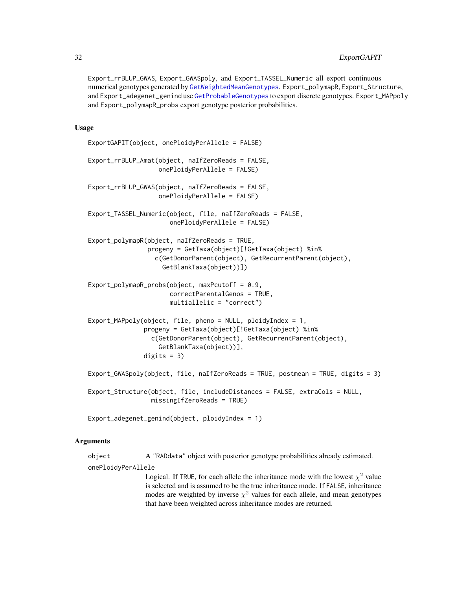# 32 ExportGAPIT

Export\_rrBLUP\_GWAS, Export\_GWASpoly, and Export\_TASSEL\_Numeric all export continuous numerical genotypes generated by [GetWeightedMeanGenotypes](#page-37-1). Export\_polymapR, Export\_Structure, and Export\_adegenet\_genind use [GetProbableGenotypes](#page-37-2) to export discrete genotypes. Export\_MAPpoly and Export\_polymapR\_probs export genotype posterior probabilities.

# Usage

```
ExportGAPIT(object, onePloidyPerAllele = FALSE)
Export_rrBLUP_Amat(object, naIfZeroReads = FALSE,
                   onePloidyPerAllele = FALSE)
Export_rrBLUP_GWAS(object, naIfZeroReads = FALSE,
                   onePloidyPerAllele = FALSE)
Export_TASSEL_Numeric(object, file, naIfZeroReads = FALSE,
                      onePloidyPerAllele = FALSE)
Export_polymapR(object, naIfZeroReads = TRUE,
                progeny = GetTaxa(object)[!GetTaxa(object) %in%
                  c(GetDonorParent(object), GetRecurrentParent(object),
                    GetBlankTaxa(object))])
Export_polymapR_probs(object, maxPcutoff = 0.9,
                      correctParentalGenos = TRUE,
                      multiallelic = "correct")
Export_MAPpoly(object, file, pheno = NULL, ploidyIndex = 1,
               progeny = GetTaxa(object)[!GetTaxa(object) %in%
                 c(GetDonorParent(object), GetRecurrentParent(object),
                   GetBlankTaxa(object))],
               digits = 3)
Export_GWASpoly(object, file, naIfZeroReads = TRUE, postmean = TRUE, digits = 3)
Export_Structure(object, file, includeDistances = FALSE, extraCols = NULL,
                 missingIfZeroReads = TRUE)
```
Export\_adegenet\_genind(object, ploidyIndex = 1)

#### Arguments

object A "RADdata" object with posterior genotype probabilities already estimated. onePloidyPerAllele

> Logical. If TRUE, for each allele the inheritance mode with the lowest  $\chi^2$  value is selected and is assumed to be the true inheritance mode. If FALSE, inheritance modes are weighted by inverse  $\chi^2$  values for each allele, and mean genotypes that have been weighted across inheritance modes are returned.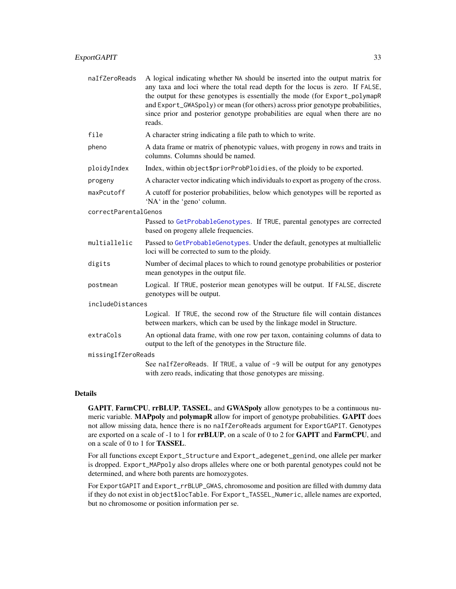| naIfZeroReads | A logical indicating whether NA should be inserted into the output matrix for  |
|---------------|--------------------------------------------------------------------------------|
|               | any taxa and loci where the total read depth for the locus is zero. If FALSE,  |
|               | the output for these genotypes is essentially the mode (for Export_polymapR)   |
|               | and Export_GWASpoly) or mean (for others) across prior genotype probabilities, |
|               | since prior and posterior genotype probabilities are equal when there are no   |
|               | reads.                                                                         |

| file | A character string indicating a file path to which to write. |  |  |  |
|------|--------------------------------------------------------------|--|--|--|
|      |                                                              |  |  |  |

pheno A data frame or matrix of phenotypic values, with progeny in rows and traits in columns. Columns should be named.

ploidyIndex Index, within object\$priorProbPloidies, of the ploidy to be exported.

progeny A character vector indicating which individuals to export as progeny of the cross.

maxPcutoff A cutoff for posterior probabilities, below which genotypes will be reported as 'NA' in the 'geno' column.

correctParentalGenos

Passed to [GetProbableGenotypes](#page-37-2). If TRUE, parental genotypes are corrected based on progeny allele frequencies.

- multiallelic Passed to [GetProbableGenotypes](#page-37-2). Under the default, genotypes at multiallelic loci will be corrected to sum to the ploidy.
- digits Number of decimal places to which to round genotype probabilities or posterior mean genotypes in the output file.
- postmean Logical. If TRUE, posterior mean genotypes will be output. If FALSE, discrete genotypes will be output.

includeDistances

Logical. If TRUE, the second row of the Structure file will contain distances between markers, which can be used by the linkage model in Structure.

extraCols An optional data frame, with one row per taxon, containing columns of data to output to the left of the genotypes in the Structure file.

missingIfZeroReads

See naIfZeroReads. If TRUE, a value of -9 will be output for any genotypes with zero reads, indicating that those genotypes are missing.

# Details

GAPIT, FarmCPU, rrBLUP, TASSEL, and GWASpoly allow genotypes to be a continuous numeric variable. MAPpoly and polymapR allow for import of genotype probabilities. GAPIT does not allow missing data, hence there is no naIfZeroReads argument for ExportGAPIT. Genotypes are exported on a scale of -1 to 1 for **rrBLUP**, on a scale of 0 to 2 for **GAPIT** and **FarmCPU**, and on a scale of 0 to 1 for TASSEL.

For all functions except Export\_Structure and Export\_adegenet\_genind, one allele per marker is dropped. Export\_MAPpoly also drops alleles where one or both parental genotypes could not be determined, and where both parents are homozygotes.

For ExportGAPIT and Export\_rrBLUP\_GWAS, chromosome and position are filled with dummy data if they do not exist in object\$locTable. For Export\_TASSEL\_Numeric, allele names are exported, but no chromosome or position information per se.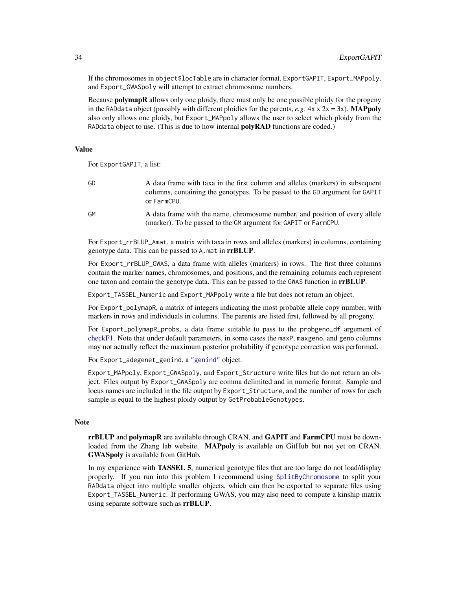If the chromosomes in object\$locTable are in character format, ExportGAPIT, Export\_MAPpoly, and Export\_GWASpoly will attempt to extract chromosome numbers.

Because **polymapR** allows only one ploidy, there must only be one possible ploidy for the progeny in the RADdata object (possibly with different ploidies for the parents, *e.g.*  $4x \times 2x = 3x$ ). **MAPpoly** also only allows one ploidy, but Export\_MAPpoly allows the user to select which ploidy from the RADdata object to use. (This is due to how internal **polyRAD** functions are coded.)

#### Value

For ExportGAPIT, a list:

| GD | A data frame with taxa in the first column and alleles (markers) in subsequent |  |  |  |  |
|----|--------------------------------------------------------------------------------|--|--|--|--|
|    | columns, containing the genotypes. To be passed to the GD argument for GAPIT   |  |  |  |  |
|    | or FarmCPU.                                                                    |  |  |  |  |
|    |                                                                                |  |  |  |  |

GM A data frame with the name, chromosome number, and position of every allele (marker). To be passed to the GM argument for GAPIT or FarmCPU.

For Export\_rrBLUP\_Amat, a matrix with taxa in rows and alleles (markers) in columns, containing genotype data. This can be passed to A.mat in rrBLUP.

For Export\_rrBLUP\_GWAS, a data frame with alleles (markers) in rows. The first three columns contain the marker names, chromosomes, and positions, and the remaining columns each represent one taxon and contain the genotype data. This can be passed to the GWAS function in **rrBLUP**.

Export\_TASSEL\_Numeric and Export\_MAPpoly write a file but does not return an object.

For Export\_polymapR, a matrix of integers indicating the most probable allele copy number, with markers in rows and individuals in columns. The parents are listed first, followed by all progeny.

For Export\_polymapR\_probs, a data frame suitable to pass to the probgeno\_df argument of [checkF1.](#page-0-0) Note that under default parameters, in some cases the maxP, maxgeno, and geno columns may not actually reflect the maximum posterior probability if genotype correction was performed.

For Export\_adegenet\_genind, a ["genind"](#page-0-0) object.

Export\_MAPpoly, Export\_GWASpoly, and Export\_Structure write files but do not return an object. Files output by Export\_GWASpoly are comma delimited and in numeric format. Sample and locus names are included in the file output by Export\_Structure, and the number of rows for each sample is equal to the highest ploidy output by GetProbableGenotypes.

#### **Note**

rrBLUP and polymapR are available through CRAN, and GAPIT and FarmCPU must be downloaded from the Zhang lab website. MAPpoly is available on GitHub but not yet on CRAN. GWASpoly is available from GitHub.

In my experience with **TASSEL 5**, numerical genotype files that are too large do not load/display properly. If you run into this problem I recommend using [SplitByChromosome](#page-75-1) to split your RADdata object into multiple smaller objects, which can then be exported to separate files using Export\_TASSEL\_Numeric. If performing GWAS, you may also need to compute a kinship matrix using separate software such as rrBLUP.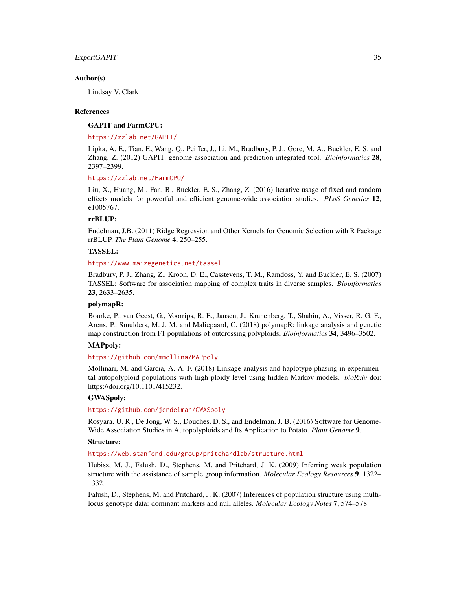#### ExportGAPIT 35

#### Author(s)

Lindsay V. Clark

# References

#### GAPIT and FarmCPU:

#### <https://zzlab.net/GAPIT/>

Lipka, A. E., Tian, F., Wang, Q., Peiffer, J., Li, M., Bradbury, P. J., Gore, M. A., Buckler, E. S. and Zhang, Z. (2012) GAPIT: genome association and prediction integrated tool. *Bioinformatics* 28, 2397–2399.

#### <https://zzlab.net/FarmCPU/>

Liu, X., Huang, M., Fan, B., Buckler, E. S., Zhang, Z. (2016) Iterative usage of fixed and random effects models for powerful and efficient genome-wide association studies. *PLoS Genetics* 12, e1005767.

#### rrBLUP:

Endelman, J.B. (2011) Ridge Regression and Other Kernels for Genomic Selection with R Package rrBLUP. *The Plant Genome* 4, 250–255.

# TASSEL:

#### <https://www.maizegenetics.net/tassel>

Bradbury, P. J., Zhang, Z., Kroon, D. E., Casstevens, T. M., Ramdoss, Y. and Buckler, E. S. (2007) TASSEL: Software for association mapping of complex traits in diverse samples. *Bioinformatics* 23, 2633–2635.

# polymapR:

Bourke, P., van Geest, G., Voorrips, R. E., Jansen, J., Kranenberg, T., Shahin, A., Visser, R. G. F., Arens, P., Smulders, M. J. M. and Maliepaard, C. (2018) polymapR: linkage analysis and genetic map construction from F1 populations of outcrossing polyploids. *Bioinformatics* 34, 3496–3502.

#### MAPpoly:

# <https://github.com/mmollina/MAPpoly>

Mollinari, M. and Garcia, A. A. F. (2018) Linkage analysis and haplotype phasing in experimental autopolyploid populations with high ploidy level using hidden Markov models. *bioRxiv* doi: https://doi.org/10.1101/415232.

#### GWASpoly:

#### <https://github.com/jendelman/GWASpoly>

Rosyara, U. R., De Jong, W. S., Douches, D. S., and Endelman, J. B. (2016) Software for Genome-Wide Association Studies in Autopolyploids and Its Application to Potato. *Plant Genome* 9.

#### Structure:

<https://web.stanford.edu/group/pritchardlab/structure.html>

Hubisz, M. J., Falush, D., Stephens, M. and Pritchard, J. K. (2009) Inferring weak population structure with the assistance of sample group information. *Molecular Ecology Resources* 9, 1322– 1332.

Falush, D., Stephens, M. and Pritchard, J. K. (2007) Inferences of population structure using multilocus genotype data: dominant markers and null alleles. *Molecular Ecology Notes* 7, 574–578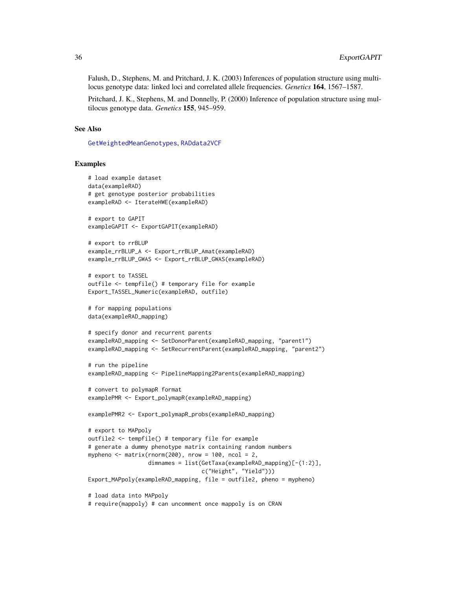Falush, D., Stephens, M. and Pritchard, J. K. (2003) Inferences of population structure using multilocus genotype data: linked loci and correlated allele frequencies. *Genetics* 164, 1567–1587.

Pritchard, J. K., Stephens, M. and Donnelly, P. (2000) Inference of population structure using multilocus genotype data. *Genetics* 155, 945–959.

#### See Also

[GetWeightedMeanGenotypes](#page-37-1), [RADdata2VCF](#page-58-1)

#### Examples

```
# load example dataset
data(exampleRAD)
# get genotype posterior probabilities
exampleRAD <- IterateHWE(exampleRAD)
# export to GAPIT
exampleGAPIT <- ExportGAPIT(exampleRAD)
# export to rrBLUP
example_rrBLUP_A <- Export_rrBLUP_Amat(exampleRAD)
example_rrBLUP_GWAS <- Export_rrBLUP_GWAS(exampleRAD)
# export to TASSEL
outfile <- tempfile() # temporary file for example
Export_TASSEL_Numeric(exampleRAD, outfile)
# for mapping populations
data(exampleRAD_mapping)
# specify donor and recurrent parents
exampleRAD_mapping <- SetDonorParent(exampleRAD_mapping, "parent1")
exampleRAD_mapping <- SetRecurrentParent(exampleRAD_mapping, "parent2")
# run the pipeline
exampleRAD_mapping <- PipelineMapping2Parents(exampleRAD_mapping)
# convert to polymapR format
examplePMR <- Export_polymapR(exampleRAD_mapping)
examplePMR2 <- Export_polymapR_probs(exampleRAD_mapping)
# export to MAPpoly
outfile2 <- tempfile() # temporary file for example
# generate a dummy phenotype matrix containing random numbers
mypheno \leq matrix(rnorm(200), nrow = 100, ncol = 2,
                  dimnames = list(GetTaxa(exampleRAD_mapping)[-(1:2)],
                                  c("Height", "Yield")))
Export_MAPpoly(exampleRAD_mapping, file = outfile2, pheno = mypheno)
# load data into MAPpoly
# require(mappoly) # can uncomment once mappoly is on CRAN
```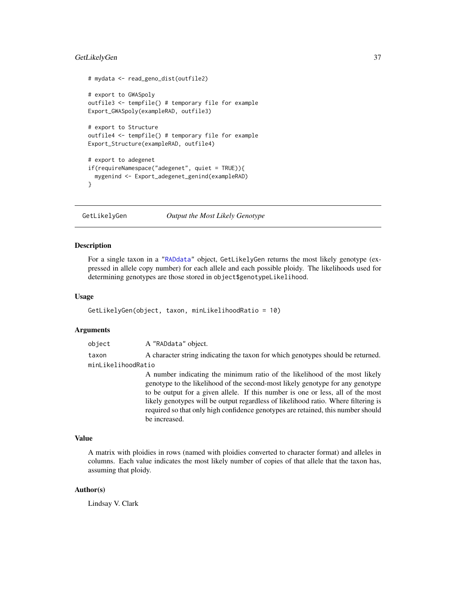#### GetLikelyGen 37

```
# mydata <- read_geno_dist(outfile2)
# export to GWASpoly
outfile3 <- tempfile() # temporary file for example
Export_GWASpoly(exampleRAD, outfile3)
# export to Structure
outfile4 <- tempfile() # temporary file for example
Export_Structure(exampleRAD, outfile4)
# export to adegenet
if(requireNamespace("adegenet", quiet = TRUE)){
 mygenind <- Export_adegenet_genind(exampleRAD)
}
```
<span id="page-36-0"></span>GetLikelyGen *Output the Most Likely Genotype*

#### Description

For a single taxon in a ["RADdata"](#page-55-0) object, GetLikelyGen returns the most likely genotype (expressed in allele copy number) for each allele and each possible ploidy. The likelihoods used for determining genotypes are those stored in object\$genotypeLikelihood.

#### Usage

GetLikelyGen(object, taxon, minLikelihoodRatio = 10)

#### Arguments

object A "RADdata" object.

taxon A character string indicating the taxon for which genotypes should be returned. minLikelihoodRatio

> A number indicating the minimum ratio of the likelihood of the most likely genotype to the likelihood of the second-most likely genotype for any genotype to be output for a given allele. If this number is one or less, all of the most likely genotypes will be output regardless of likelihood ratio. Where filtering is required so that only high confidence genotypes are retained, this number should be increased.

# Value

A matrix with ploidies in rows (named with ploidies converted to character format) and alleles in columns. Each value indicates the most likely number of copies of that allele that the taxon has, assuming that ploidy.

## Author(s)

Lindsay V. Clark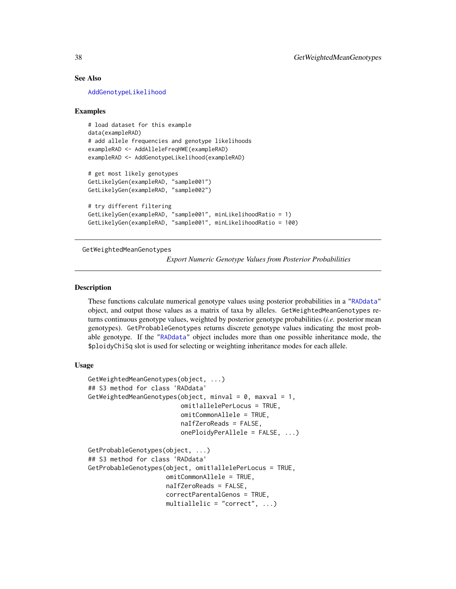# See Also

[AddGenotypeLikelihood](#page-9-0)

#### Examples

```
# load dataset for this example
data(exampleRAD)
# add allele frequencies and genotype likelihoods
exampleRAD <- AddAlleleFreqHWE(exampleRAD)
exampleRAD <- AddGenotypeLikelihood(exampleRAD)
# get most likely genotypes
GetLikelyGen(exampleRAD, "sample001")
GetLikelyGen(exampleRAD, "sample002")
```

```
# try different filtering
GetLikelyGen(exampleRAD, "sample001", minLikelihoodRatio = 1)
GetLikelyGen(exampleRAD, "sample001", minLikelihoodRatio = 100)
```
<span id="page-37-0"></span>GetWeightedMeanGenotypes

*Export Numeric Genotype Values from Posterior Probabilities*

#### <span id="page-37-1"></span>Description

These functions calculate numerical genotype values using posterior probabilities in a ["RADdata"](#page-55-0) object, and output those values as a matrix of taxa by alleles. GetWeightedMeanGenotypes returns continuous genotype values, weighted by posterior genotype probabilities (*i.e.* posterior mean genotypes). GetProbableGenotypes returns discrete genotype values indicating the most probable genotype. If the ["RADdata"](#page-55-0) object includes more than one possible inheritance mode, the \$ploidyChiSq slot is used for selecting or weighting inheritance modes for each allele.

### Usage

```
GetWeightedMeanGenotypes(object, ...)
## S3 method for class 'RADdata'
GetWeightedMeanGenotypes(object, minval = 0, maxval = 1,
                         omit1allelePerLocus = TRUE,
                         omitCommonAllele = TRUE,
                         naIfZeroReads = FALSE,
                         onePloidyPerAllele = FALSE, ...)
GetProbableGenotypes(object, ...)
## S3 method for class 'RADdata'
GetProbableGenotypes(object, omit1allelePerLocus = TRUE,
                     omitCommonAllele = TRUE,
                     naIfZeroReads = FALSE,
                     correctParentalGenos = TRUE,
                     multiallelic = "correct", \ldots)
```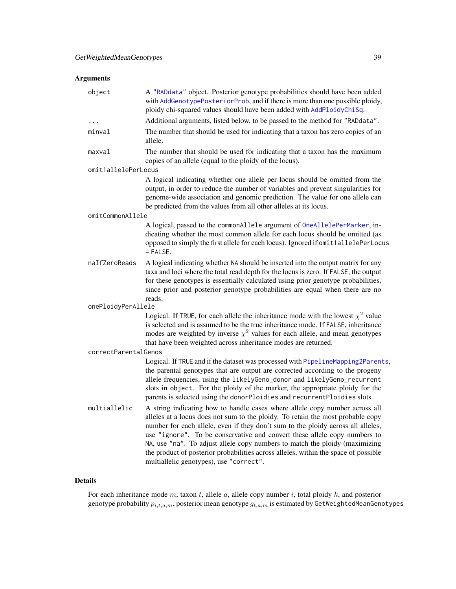# Arguments

| object               | A "RADdata" object. Posterior genotype probabilities should have been added<br>with AddGenotypePosteriorProb, and if there is more than one possible ploidy,<br>ploidy chi-squared values should have been added with AddPloidyChiSq.                                                                                                                                                                                                                                                                                                            |  |  |
|----------------------|--------------------------------------------------------------------------------------------------------------------------------------------------------------------------------------------------------------------------------------------------------------------------------------------------------------------------------------------------------------------------------------------------------------------------------------------------------------------------------------------------------------------------------------------------|--|--|
|                      | Additional arguments, listed below, to be passed to the method for "RADdata".                                                                                                                                                                                                                                                                                                                                                                                                                                                                    |  |  |
| minval               | The number that should be used for indicating that a taxon has zero copies of an<br>allele.                                                                                                                                                                                                                                                                                                                                                                                                                                                      |  |  |
| maxval               | The number that should be used for indicating that a taxon has the maximum<br>copies of an allele (equal to the ploidy of the locus).                                                                                                                                                                                                                                                                                                                                                                                                            |  |  |
| omit1allelePerLocus  |                                                                                                                                                                                                                                                                                                                                                                                                                                                                                                                                                  |  |  |
|                      | A logical indicating whether one allele per locus should be omitted from the<br>output, in order to reduce the number of variables and prevent singularities for<br>genome-wide association and genomic prediction. The value for one allele can<br>be predicted from the values from all other alleles at its locus.                                                                                                                                                                                                                            |  |  |
| omitCommonAllele     |                                                                                                                                                                                                                                                                                                                                                                                                                                                                                                                                                  |  |  |
|                      | A logical, passed to the commonAllele argument of OneAllelePerMarker, in-<br>dicating whether the most common allele for each locus should be omitted (as<br>opposed to simply the first allele for each locus). Ignored if omit1allelePerLocus<br>$=$ FALSE.                                                                                                                                                                                                                                                                                    |  |  |
| naIfZeroReads        | A logical indicating whether NA should be inserted into the output matrix for any<br>taxa and loci where the total read depth for the locus is zero. If FALSE, the output<br>for these genotypes is essentially calculated using prior genotype probabilities,<br>since prior and posterior genotype probabilities are equal when there are no<br>reads.                                                                                                                                                                                         |  |  |
| onePloidyPerAllele   |                                                                                                                                                                                                                                                                                                                                                                                                                                                                                                                                                  |  |  |
|                      | Logical. If TRUE, for each allele the inheritance mode with the lowest $\chi^2$ value<br>is selected and is assumed to be the true inheritance mode. If FALSE, inheritance<br>modes are weighted by inverse $\chi^2$ values for each allele, and mean genotypes<br>that have been weighted across inheritance modes are returned.                                                                                                                                                                                                                |  |  |
| correctParentalGenos |                                                                                                                                                                                                                                                                                                                                                                                                                                                                                                                                                  |  |  |
|                      | Logical. If TRUE and if the dataset was processed with PipelineMapping2Parents,<br>the parental genotypes that are output are corrected according to the progeny<br>allele frequencies, using the likelyGeno_donor and likelyGeno_recurrent<br>slots in object. For the ploidy of the marker, the appropriate ploidy for the<br>parents is selected using the donorPloidies and recurrentPloidies slots.                                                                                                                                         |  |  |
| multiallelic         | A string indicating how to handle cases where allele copy number across all<br>alleles at a locus does not sum to the ploidy. To retain the most probable copy<br>number for each allele, even if they don't sum to the ploidy across all alleles,<br>use "ignore". To be conservative and convert these allele copy numbers to<br>NA, use "na". To adjust allele copy numbers to match the ploidy (maximizing<br>the product of posterior probabilities across alleles, within the space of possible<br>multiallelic genotypes), use "correct". |  |  |

# Details

For each inheritance mode  $m$ , taxon  $t$ , allele  $a$ , allele copy number  $i$ , total ploidy  $k$ , and posterior genotype probability  $p_{i,t,a,m}$ , posterior mean genotype  $g_{t,a,m}$  is estimated by GetWeightedMeanGenotypes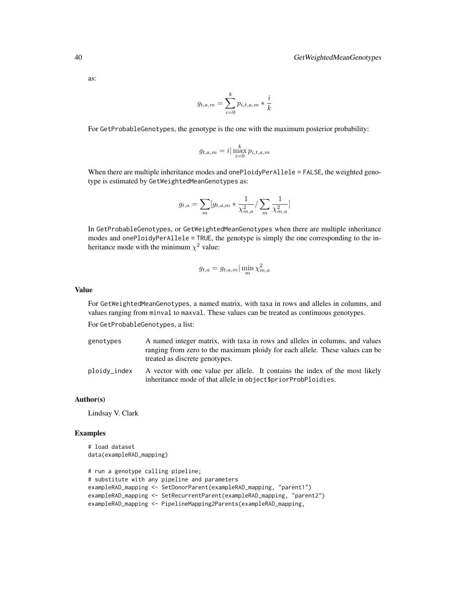as:

$$
g_{t,a,m} = \sum_{i=0}^{k} p_{i,t,a,m} * \frac{i}{k}
$$

For GetProbableGenotypes, the genotype is the one with the maximum posterior probability:

$$
g_{t,a,m} = i \big| \max_{i=0}^k p_{i,t,a,m}
$$

When there are multiple inheritance modes and onePloidyPerAllele = FALSE, the weighted genotype is estimated by GetWeightedMeanGenotypes as:

$$
g_{t,a} = \sum_{m} [g_{t,a,m} * \frac{1}{\chi^2_{m,a}} / \sum_{m} \frac{1}{\chi^2_{m,a}}]
$$

In GetProbableGenotypes, or GetWeightedMeanGenotypes when there are multiple inheritance modes and onePloidyPerAllele = TRUE, the genotype is simply the one corresponding to the inheritance mode with the minimum  $\chi^2$  value:

$$
g_{t,a} = g_{t,a,m} |\min_m \chi^2_{m,a}
$$

### Value

For GetWeightedMeanGenotypes, a named matrix, with taxa in rows and alleles in columns, and values ranging from minval to maxval. These values can be treated as continuous genotypes.

For GetProbableGenotypes, a list:

- genotypes A named integer matrix, with taxa in rows and alleles in columns, and values ranging from zero to the maximum ploidy for each allele. These values can be treated as discrete genotypes.
- ploidy\_index A vector with one value per allele. It contains the index of the most likely inheritance mode of that allele in object\$priorProbPloidies.

### Author(s)

Lindsay V. Clark

#### Examples

```
# load dataset
data(exampleRAD_mapping)
```

```
# run a genotype calling pipeline;
# substitute with any pipeline and parameters
exampleRAD_mapping <- SetDonorParent(exampleRAD_mapping, "parent1")
exampleRAD_mapping <- SetRecurrentParent(exampleRAD_mapping, "parent2")
exampleRAD_mapping <- PipelineMapping2Parents(exampleRAD_mapping,
```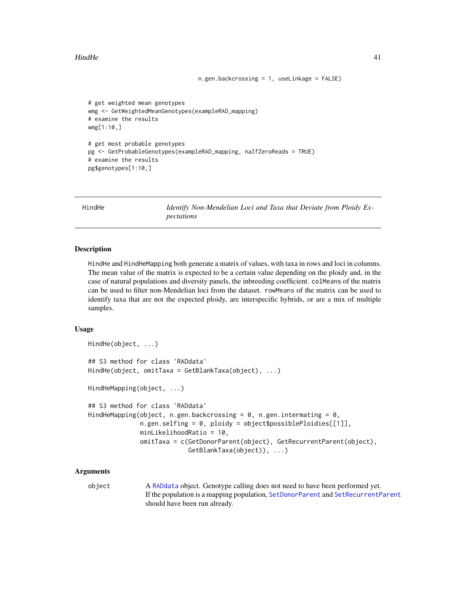### HindHe 41

```
# get weighted mean genotypes
wmg <- GetWeightedMeanGenotypes(exampleRAD_mapping)
# examine the results
wmg[1:10,]
# get most probable genotypes
pg <- GetProbableGenotypes(exampleRAD_mapping, naIfZeroReads = TRUE)
# examine the results
```
pg\$genotypes[1:10,]

<span id="page-40-0"></span>HindHe *Identify Non-Mendelian Loci and Taxa that Deviate from Ploidy Expectations*

n.gen.backcrossing = 1, useLinkage = FALSE)

#### Description

HindHe and HindHeMapping both generate a matrix of values, with taxa in rows and loci in columns. The mean value of the matrix is expected to be a certain value depending on the ploidy and, in the case of natural populations and diversity panels, the inbreeding coefficient. colMeans of the matrix can be used to filter non-Mendelian loci from the dataset. rowMeans of the matrix can be used to identify taxa that are not the expected ploidy, are interspecific hybrids, or are a mix of multiple samples.

#### Usage

```
HindHe(object, ...)
## S3 method for class 'RADdata'
HindHe(object, omitTaxa = GetBlankTaxa(object), ...)
HindHeMapping(object, ...)
## S3 method for class 'RADdata'
HindHeMapping(object, n.gen.backcrossing = 0, n.gen.intermating = 0,
              n.gen.selfing = 0, ploidy = object$possiblePloidies[[1]],
              minLikelihoodRatio = 10,
              omitTaxa = c(GetDonorParent(object), GetRecurrentParent(object),
                           GetBlankTaxa(object)), ...)
```
## Arguments

object A [RADdata](#page-55-0) object. Genotype calling does not need to have been performed yet. If the population is a mapping population, [SetDonorParent](#page-72-0) and [SetRecurrentParent](#page-72-0) should have been run already.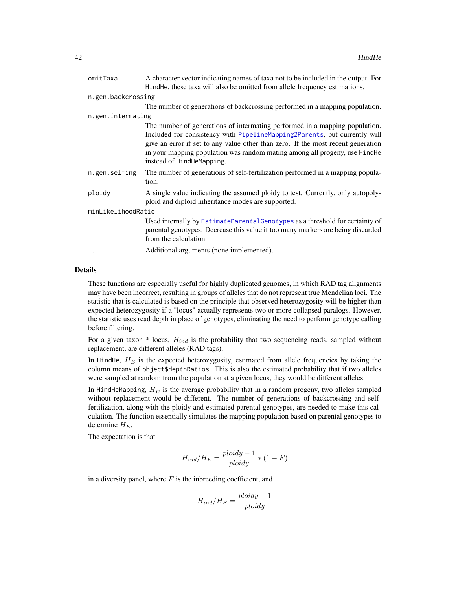| omitTaxa           | A character vector indicating names of taxa not to be included in the output. For                                                                                                                                                                                                                                                                       |
|--------------------|---------------------------------------------------------------------------------------------------------------------------------------------------------------------------------------------------------------------------------------------------------------------------------------------------------------------------------------------------------|
|                    | Hindhe, these taxa will also be omitted from allele frequency estimations.                                                                                                                                                                                                                                                                              |
| n.gen.backcrossing |                                                                                                                                                                                                                                                                                                                                                         |
|                    | The number of generations of backcrossing performed in a mapping population.                                                                                                                                                                                                                                                                            |
| n.gen.intermating  |                                                                                                                                                                                                                                                                                                                                                         |
|                    | The number of generations of intermating performed in a mapping population.<br>Included for consistency with PipelineMapping2Parents, but currently will<br>give an error if set to any value other than zero. If the most recent generation<br>in your mapping population was random mating among all progeny, use HindHe<br>instead of HindHeMapping. |
| n.gen.selfing      | The number of generations of self-fertilization performed in a mapping popula-<br>tion.                                                                                                                                                                                                                                                                 |
| ploidy             | A single value indicating the assumed ploidy to test. Currently, only autopoly-<br>ploid and diploid inheritance modes are supported.                                                                                                                                                                                                                   |
| minLikelihoodRatio |                                                                                                                                                                                                                                                                                                                                                         |
|                    | Used internally by EstimateParentalGenotypes as a threshold for certainty of<br>parental genotypes. Decrease this value if too many markers are being discarded<br>from the calculation.                                                                                                                                                                |
|                    | Additional arguments (none implemented).                                                                                                                                                                                                                                                                                                                |

# Details

These functions are especially useful for highly duplicated genomes, in which RAD tag alignments may have been incorrect, resulting in groups of alleles that do not represent true Mendelian loci. The statistic that is calculated is based on the principle that observed heterozygosity will be higher than expected heterozygosity if a "locus" actually represents two or more collapsed paralogs. However, the statistic uses read depth in place of genotypes, eliminating the need to perform genotype calling before filtering.

For a given taxon  $*$  locus,  $H_{ind}$  is the probability that two sequencing reads, sampled without replacement, are different alleles (RAD tags).

In HindHe,  $H_E$  is the expected heterozygosity, estimated from allele frequencies by taking the column means of object\$depthRatios. This is also the estimated probability that if two alleles were sampled at random from the population at a given locus, they would be different alleles.

In HindHeMapping,  $H_E$  is the average probability that in a random progeny, two alleles sampled without replacement would be different. The number of generations of backcrossing and selffertilization, along with the ploidy and estimated parental genotypes, are needed to make this calculation. The function essentially simulates the mapping population based on parental genotypes to determine  $H_E$ .

The expectation is that

$$
H_{ind}/H_E = \frac{ploidy - 1}{ploidy} * (1 - F)
$$

in a diversity panel, where  $F$  is the inbreeding coefficient, and

$$
H_{ind}/H_E = \frac{ploidy - 1}{ploidy}
$$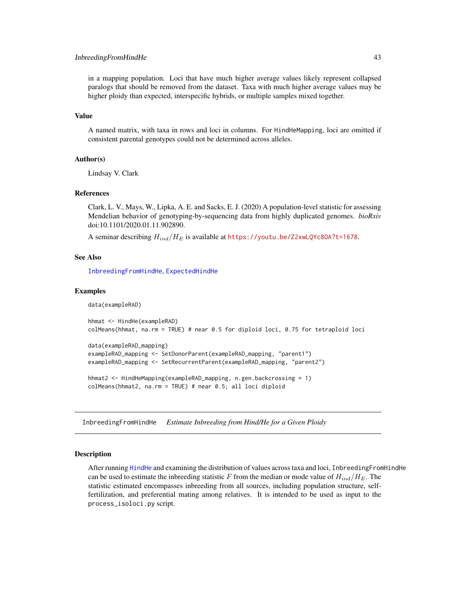### InbreedingFromHindHe 43

in a mapping population. Loci that have much higher average values likely represent collapsed paralogs that should be removed from the dataset. Taxa with much higher average values may be higher ploidy than expected, interspecific hybrids, or multiple samples mixed together.

#### Value

A named matrix, with taxa in rows and loci in columns. For HindHeMapping, loci are omitted if consistent parental genotypes could not be determined across alleles.

#### Author(s)

Lindsay V. Clark

# References

Clark, L. V., Mays, W., Lipka, A. E. and Sacks, E. J. (2020) A population-level statistic for assessing Mendelian behavior of genotyping-by-sequencing data from highly duplicated genomes. *bioRxiv* doi:10.1101/2020.01.11.902890.

A seminar describing  $H_{ind}/H_E$  is available at https://youtu.be/Z2xwLQYc80A?t=1678.

#### See Also

[InbreedingFromHindHe](#page-42-0), [ExpectedHindHe](#page-28-0)

#### Examples

```
data(exampleRAD)
hhmat <- HindHe(exampleRAD)
colMeans(hhmat, na.rm = TRUE) # near 0.5 for diploid loci, 0.75 for tetraploid loci
data(exampleRAD_mapping)
exampleRAD_mapping <- SetDonorParent(exampleRAD_mapping, "parent1")
exampleRAD_mapping <- SetRecurrentParent(exampleRAD_mapping, "parent2")
hhmat2 <- HindHeMapping(exampleRAD_mapping, n.gen.backcrossing = 1)
colMeans(hhmat2, na.rm = TRUE) # near 0.5; all loci diploid
```
<span id="page-42-0"></span>InbreedingFromHindHe *Estimate Inbreeding from Hind/He for a Given Ploidy*

#### Description

After running [HindHe](#page-40-0) and examining the distribution of values across taxa and loci, InbreedingFromHindHe can be used to estimate the inbreeding statistic F from the median or mode value of  $H_{ind}/H_E$ . The statistic estimated encompasses inbreeding from all sources, including population structure, selffertilization, and preferential mating among relatives. It is intended to be used as input to the process\_isoloci.py script.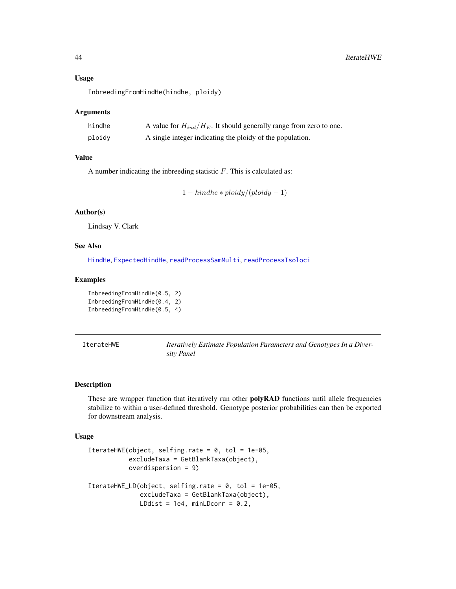#### Usage

InbreedingFromHindHe(hindhe, ploidy)

### Arguments

| hindhe | A value for $H_{ind}/H_E$ . It should generally range from zero to one. |
|--------|-------------------------------------------------------------------------|
| ploidy | A single integer indicating the ploidy of the population.               |

### Value

A number indicating the inbreeding statistic  $F$ . This is calculated as:

```
1 - hindhe * ploidy/(ploidy - 1)
```
# Author(s)

Lindsay V. Clark

# See Also

[HindHe](#page-40-0), [ExpectedHindHe](#page-28-0), [readProcessSamMulti](#page-65-0), [readProcessIsoloci](#page-64-0)

# Examples

InbreedingFromHindHe(0.5, 2) InbreedingFromHindHe(0.4, 2) InbreedingFromHindHe(0.5, 4)

<span id="page-43-0"></span>IterateHWE *Iteratively Estimate Population Parameters and Genotypes In a Diversity Panel*

# <span id="page-43-1"></span>Description

These are wrapper function that iteratively run other **polyRAD** functions until allele frequencies stabilize to within a user-defined threshold. Genotype posterior probabilities can then be exported for downstream analysis.

#### Usage

```
IterateHWE(object, selfing.rate = 0, tol = 1e-05,
           excludeTaxa = GetBlankTaxa(object),
           overdispersion = 9)
IterateHWE_LD(object, selfing.rate = 0, tol = 1e-05,
              excludeTaxa = GetBlankTaxa(object),
              LDdist = 1e4, minLDcorr = 0.2,
```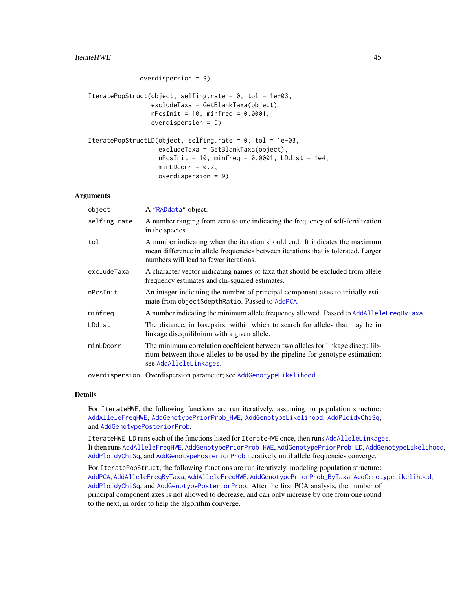### IterateHWE 45

```
overdispersion = 9)
```

```
IteratePopStruct(object, selfing.rate = 0, tol = 1e-03,
                 excludeTaxa = GetBlankTaxa(object),
                 nPcsInit = 10, minfreq = 0.0001,
                 overdispersion = 9)
```

```
IteratePopStructLD(object, selfing.rate = 0, tol = 1e-03,
                   excludeTaxa = GetBlankTaxa(object),
                   nPcsInit = 10, minfreq = 0.0001, LDdist = 1e4,
                   minLDcorr = 0.2,
                   overdispersion = 9)
```
# Arguments

| object       | A "RADdata" object.                                                                                                                                                                                         |
|--------------|-------------------------------------------------------------------------------------------------------------------------------------------------------------------------------------------------------------|
| selfing.rate | A number ranging from zero to one indicating the frequency of self-fertilization<br>in the species.                                                                                                         |
| tol          | A number indicating when the iteration should end. It indicates the maximum<br>mean difference in allele frequencies between iterations that is tolerated. Larger<br>numbers will lead to fewer iterations. |
| excludeTaxa  | A character vector indicating names of taxa that should be excluded from allele<br>frequency estimates and chi-squared estimates.                                                                           |
| nPcsInit     | An integer indicating the number of principal component axes to initially esti-<br>mate from object\$depthRatio. Passed to AddPCA.                                                                          |
| minfreq      | A number indicating the minimum allele frequency allowed. Passed to AddAlleleFreqByTaxa.                                                                                                                    |
| LDdist       | The distance, in basepairs, within which to search for alleles that may be in<br>linkage disequilibrium with a given allele.                                                                                |
| minLDcorr    | The minimum correlation coefficient between two alleles for linkage disequilib-<br>rium between those alleles to be used by the pipeline for genotype estimation;<br>see AddAlleleLinkages.                 |
|              | overdispersion Overdispersion parameter; see AddGenotypeLikelihood.                                                                                                                                         |

#### Details

For IterateHWE, the following functions are run iteratively, assuming no population structure: [AddAlleleFreqHWE](#page-4-0), [AddGenotypePriorProb\\_HWE](#page-15-0), [AddGenotypeLikelihood](#page-9-0), [AddPloidyChiSq](#page-21-0), and [AddGenotypePosteriorProb](#page-11-0).

IterateHWE\_LD runs each of the functions listed for IterateHWE once, then runs [AddAlleleLinkages](#page-7-0). It then runs [AddAlleleFreqHWE](#page-4-0), [AddGenotypePriorProb\\_HWE](#page-15-0), [AddGenotypePriorProb\\_LD](#page-7-1), [AddGenotypeLikelihood](#page-9-0), [AddPloidyChiSq](#page-21-0), and [AddGenotypePosteriorProb](#page-11-0) iteratively until allele frequencies converge.

For IteratePopStruct, the following functions are run iteratively, modeling population structure: [AddPCA](#page-20-0), [AddAlleleFreqByTaxa](#page-3-0), [AddAlleleFreqHWE](#page-4-0), [AddGenotypePriorProb\\_ByTaxa](#page-12-0), [AddGenotypeLikelihood](#page-9-0), [AddPloidyChiSq](#page-21-0), and [AddGenotypePosteriorProb](#page-11-0). After the first PCA analysis, the number of principal component axes is not allowed to decrease, and can only increase by one from one round to the next, in order to help the algorithm converge.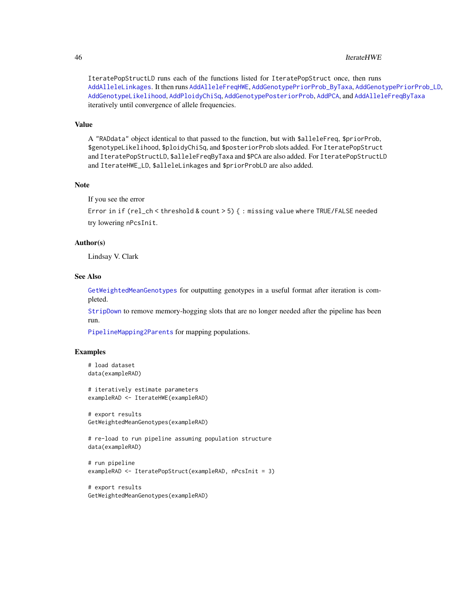#### 46 IterateHWE

IteratePopStructLD runs each of the functions listed for IteratePopStruct once, then runs [AddAlleleLinkages](#page-7-0). It then runs [AddAlleleFreqHWE](#page-4-0), [AddGenotypePriorProb\\_ByTaxa](#page-12-0), [AddGenotypePriorProb\\_LD](#page-7-1), [AddGenotypeLikelihood](#page-9-0), [AddPloidyChiSq](#page-21-0), [AddGenotypePosteriorProb](#page-11-0), [AddPCA](#page-20-0), and [AddAlleleFreqByTaxa](#page-3-0) iteratively until convergence of allele frequencies.

#### Value

A "RADdata" object identical to that passed to the function, but with \$alleleFreq, \$priorProb, \$genotypeLikelihood, \$ploidyChiSq, and \$posteriorProb slots added. For IteratePopStruct and IteratePopStructLD, \$alleleFreqByTaxa and \$PCA are also added. For IteratePopStructLD and IterateHWE\_LD, \$alleleLinkages and \$priorProbLD are also added.

# Note

If you see the error

Error in if (rel\_ch < threshold & count > 5) { : missing value where TRUE/FALSE needed try lowering nPcsInit.

# Author(s)

Lindsay V. Clark

#### See Also

[GetWeightedMeanGenotypes](#page-37-0) for outputting genotypes in a useful format after iteration is completed.

[StripDown](#page-74-0) to remove memory-hogging slots that are no longer needed after the pipeline has been run.

[PipelineMapping2Parents](#page-53-0) for mapping populations.

# **Examples**

```
# load dataset
data(exampleRAD)
```
# iteratively estimate parameters exampleRAD <- IterateHWE(exampleRAD)

```
# export results
GetWeightedMeanGenotypes(exampleRAD)
```

```
# re-load to run pipeline assuming population structure
data(exampleRAD)
```

```
# run pipeline
exampleRAD <- IteratePopStruct(exampleRAD, nPcsInit = 3)
```

```
# export results
GetWeightedMeanGenotypes(exampleRAD)
```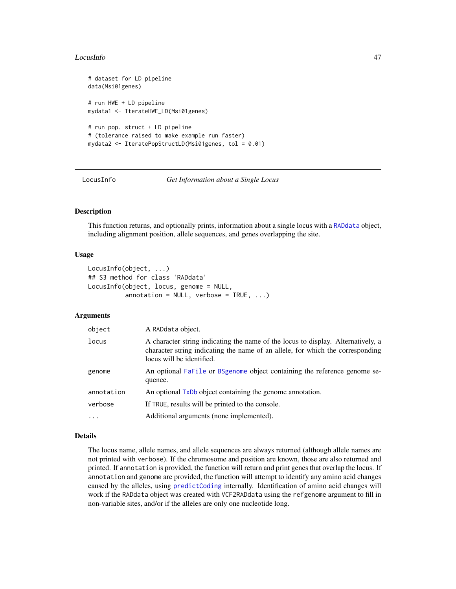#### LocusInfo 47

```
# dataset for LD pipeline
data(Msi01genes)
# run HWE + LD pipeline
mydata1 <- IterateHWE_LD(Msi01genes)
# run pop. struct + LD pipeline
# (tolerance raised to make example run faster)
mydata2 <- IteratePopStructLD(Msi01genes, tol = 0.01)
```
LocusInfo *Get Information about a Single Locus*

### **Description**

This function returns, and optionally prints, information about a single locus with a [RADdata](#page-55-0) object, including alignment position, allele sequences, and genes overlapping the site.

#### Usage

```
LocusInfo(object, ...)
## S3 method for class 'RADdata'
LocusInfo(object, locus, genome = NULL,
          annotation = NULL, verbose = TRUE, ...)
```
### Arguments

| object     | A RADdata object.                                                                                                                                                                               |  |
|------------|-------------------------------------------------------------------------------------------------------------------------------------------------------------------------------------------------|--|
| locus      | A character string indicating the name of the locus to display. Alternatively, a<br>character string indicating the name of an allele, for which the corresponding<br>locus will be identified. |  |
| genome     | An optional FaFile or BSgenome object containing the reference genome se-<br>quence.                                                                                                            |  |
| annotation | An optional TxDb object containing the genome annotation.                                                                                                                                       |  |
| verbose    | If TRUE, results will be printed to the console.                                                                                                                                                |  |
| $\ddotsc$  | Additional arguments (none implemented).                                                                                                                                                        |  |

### Details

The locus name, allele names, and allele sequences are always returned (although allele names are not printed with verbose). If the chromosome and position are known, those are also returned and printed. If annotation is provided, the function will return and print genes that overlap the locus. If annotation and genome are provided, the function will attempt to identify any amino acid changes caused by the alleles, using [predictCoding](#page-0-0) internally. Identification of amino acid changes will work if the RADdata object was created with VCF2RADdata using the refgenome argument to fill in non-variable sites, and/or if the alleles are only one nucleotide long.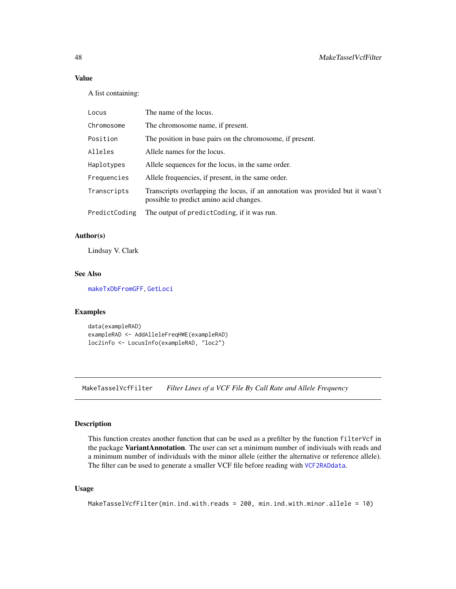# Value

A list containing:

| Locus         | The name of the locus.                                                                                                    |
|---------------|---------------------------------------------------------------------------------------------------------------------------|
| Chromosome    | The chromosome name, if present.                                                                                          |
| Position      | The position in base pairs on the chromosome, if present.                                                                 |
| Alleles       | Allele names for the locus.                                                                                               |
| Haplotypes    | Allele sequences for the locus, in the same order.                                                                        |
| Frequencies   | Allele frequencies, if present, in the same order.                                                                        |
| Transcripts   | Transcripts overlapping the locus, if an annotation was provided but it wasn't<br>possible to predict amino acid changes. |
| PredictCoding | The output of predict Coding, if it was run.                                                                              |

### Author(s)

Lindsay V. Clark

# See Also

[makeTxDbFromGFF](#page-0-0), [GetLoci](#page-2-0)

# Examples

```
data(exampleRAD)
exampleRAD <- AddAlleleFreqHWE(exampleRAD)
loc2info <- LocusInfo(exampleRAD, "loc2")
```
MakeTasselVcfFilter *Filter Lines of a VCF File By Call Rate and Allele Frequency*

#### Description

This function creates another function that can be used as a prefilter by the function filterVcf in the package VariantAnnotation. The user can set a minimum number of indiviuals with reads and a minimum number of individuals with the minor allele (either the alternative or reference allele). The filter can be used to generate a smaller VCF file before reading with [VCF2RADdata](#page-81-0).

# Usage

```
MakeTasselVcfFilter(min.ind.with.reads = 200, min.ind.with.minor.allele = 10)
```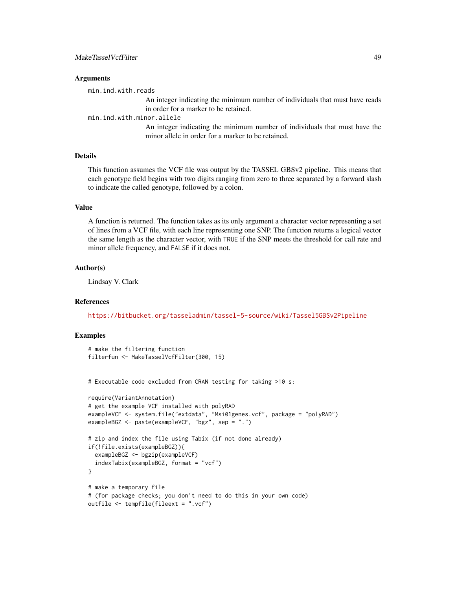#### **Arguments**

min.ind.with.reads

An integer indicating the minimum number of individuals that must have reads in order for a marker to be retained.

min.ind.with.minor.allele

An integer indicating the minimum number of individuals that must have the minor allele in order for a marker to be retained.

# Details

This function assumes the VCF file was output by the TASSEL GBSv2 pipeline. This means that each genotype field begins with two digits ranging from zero to three separated by a forward slash to indicate the called genotype, followed by a colon.

### Value

A function is returned. The function takes as its only argument a character vector representing a set of lines from a VCF file, with each line representing one SNP. The function returns a logical vector the same length as the character vector, with TRUE if the SNP meets the threshold for call rate and minor allele frequency, and FALSE if it does not.

#### Author(s)

Lindsay V. Clark

### References

<https://bitbucket.org/tasseladmin/tassel-5-source/wiki/Tassel5GBSv2Pipeline>

# Examples

```
# make the filtering function
filterfun <- MakeTasselVcfFilter(300, 15)
# Executable code excluded from CRAN testing for taking >10 s:
require(VariantAnnotation)
# get the example VCF installed with polyRAD
exampleVCF <- system.file("extdata", "Msi01genes.vcf", package = "polyRAD")
exampleBGZ <- paste(exampleVCF, "bgz", sep = ".")
# zip and index the file using Tabix (if not done already)
if(!file.exists(exampleBGZ)){
 exampleBGZ <- bgzip(exampleVCF)
 indexTabix(exampleBGZ, format = "vcf")
}
# make a temporary file
# (for package checks; you don't need to do this in your own code)
outfile <- tempfile(fileext = ".vcf")
```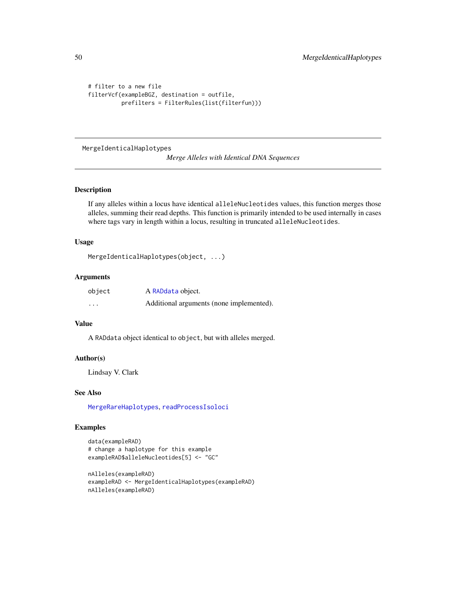```
# filter to a new file
filterVcf(exampleBGZ, destination = outfile,
          prefilters = FilterRules(list(filterfun)))
```
<span id="page-49-0"></span>MergeIdenticalHaplotypes

*Merge Alleles with Identical DNA Sequences*

#### Description

If any alleles within a locus have identical alleleNucleotides values, this function merges those alleles, summing their read depths. This function is primarily intended to be used internally in cases where tags vary in length within a locus, resulting in truncated alleleNucleotides.

# Usage

```
MergeIdenticalHaplotypes(object, ...)
```
### Arguments

| object   | A RADdata object.                        |
|----------|------------------------------------------|
| $\cdots$ | Additional arguments (none implemented). |

## Value

A RADdata object identical to object, but with alleles merged.

### Author(s)

Lindsay V. Clark

# See Also

[MergeRareHaplotypes](#page-50-0), [readProcessIsoloci](#page-64-0)

### Examples

```
data(exampleRAD)
# change a haplotype for this example
exampleRAD$alleleNucleotides[5] <- "GC"
```

```
nAlleles(exampleRAD)
exampleRAD <- MergeIdenticalHaplotypes(exampleRAD)
nAlleles(exampleRAD)
```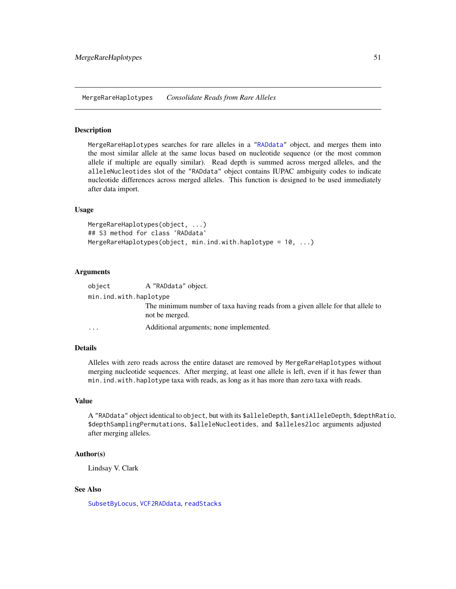<span id="page-50-0"></span>MergeRareHaplotypes *Consolidate Reads from Rare Alleles*

# **Description**

MergeRareHaplotypes searches for rare alleles in a ["RADdata"](#page-55-0) object, and merges them into the most similar allele at the same locus based on nucleotide sequence (or the most common allele if multiple are equally similar). Read depth is summed across merged alleles, and the alleleNucleotides slot of the "RADdata" object contains IUPAC ambiguity codes to indicate nucleotide differences across merged alleles. This function is designed to be used immediately after data import.

#### Usage

```
MergeRareHaplotypes(object, ...)
## S3 method for class 'RADdata'
MergeRareHaplotypes(object, min.ind.with.haplotype = 10, ...)
```
### **Arguments**

| object                 | A "RADdata" object.                                                                              |
|------------------------|--------------------------------------------------------------------------------------------------|
| min.ind.with.haplotype |                                                                                                  |
|                        | The minimum number of taxa having reads from a given allele for that allele to<br>not be merged. |
| $\cdots$               | Additional arguments; none implemented.                                                          |

# Details

Alleles with zero reads across the entire dataset are removed by MergeRareHaplotypes without merging nucleotide sequences. After merging, at least one allele is left, even if it has fewer than min.ind.with.haplotype taxa with reads, as long as it has more than zero taxa with reads.

### Value

A "RADdata" object identical to object, but with its \$alleleDepth, \$antiAlleleDepth, \$depthRatio, \$depthSamplingPermutations, \$alleleNucleotides, and \$alleles2loc arguments adjusted after merging alleles.

# Author(s)

Lindsay V. Clark

## See Also

[SubsetByLocus](#page-75-0), [VCF2RADdata](#page-81-0), [readStacks](#page-66-0)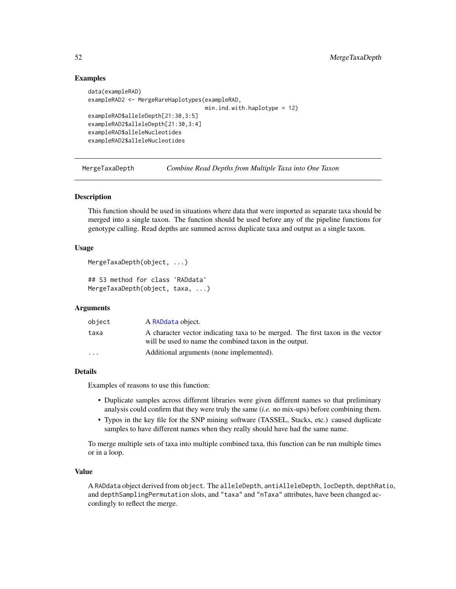# Examples

```
data(exampleRAD)
exampleRAD2 <- MergeRareHaplotypes(exampleRAD,
                                   min.ind.with.haplotype = 12)
exampleRAD$alleleDepth[21:30,3:5]
exampleRAD2$alleleDepth[21:30,3:4]
exampleRAD$alleleNucleotides
exampleRAD2$alleleNucleotides
```
MergeTaxaDepth *Combine Read Depths from Multiple Taxa into One Taxon*

# Description

This function should be used in situations where data that were imported as separate taxa should be merged into a single taxon. The function should be used before any of the pipeline functions for genotype calling. Read depths are summed across duplicate taxa and output as a single taxon.

#### Usage

```
MergeTaxaDepth(object, ...)
```
## S3 method for class 'RADdata' MergeTaxaDepth(object, taxa, ...)

### Arguments

| object                  | A RADdata object.                                                                                                                        |
|-------------------------|------------------------------------------------------------------------------------------------------------------------------------------|
| taxa                    | A character vector indicating taxa to be merged. The first taxon in the vector<br>will be used to name the combined taxon in the output. |
| $\cdot$ $\cdot$ $\cdot$ | Additional arguments (none implemented).                                                                                                 |

# Details

Examples of reasons to use this function:

- Duplicate samples across different libraries were given different names so that preliminary analysis could confirm that they were truly the same (*i.e.* no mix-ups) before combining them.
- Typos in the key file for the SNP mining software (TASSEL, Stacks, etc.) caused duplicate samples to have different names when they really should have had the same name.

To merge multiple sets of taxa into multiple combined taxa, this function can be run multiple times or in a loop.

## Value

A RADdata object derived from object. The alleleDepth, antiAlleleDepth, locDepth, depthRatio, and depthSamplingPermutation slots, and "taxa" and "nTaxa" attributes, have been changed accordingly to reflect the merge.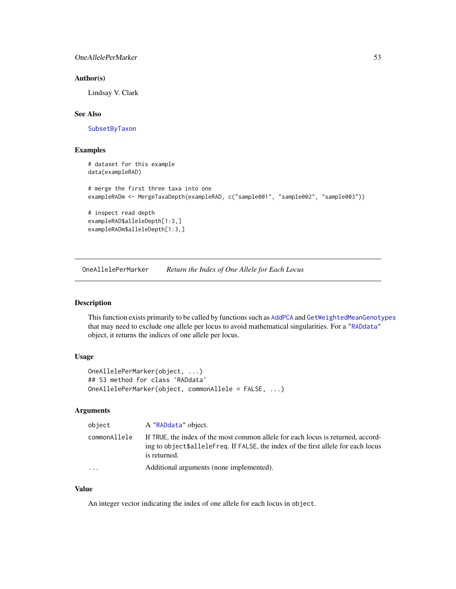# OneAllelePerMarker 53

#### Author(s)

Lindsay V. Clark

# See Also

[SubsetByTaxon](#page-79-0)

# Examples

```
# dataset for this example
data(exampleRAD)
# merge the first three taxa into one
exampleRADm <- MergeTaxaDepth(exampleRAD, c("sample001", "sample002", "sample003"))
# inspect read depth
exampleRAD$alleleDepth[1:3,]
exampleRADm$alleleDepth[1:3,]
```
<span id="page-52-0"></span>OneAllelePerMarker *Return the Index of One Allele for Each Locus*

# Description

This function exists primarily to be called by functions such as [AddPCA](#page-20-0) and [GetWeightedMeanGenotypes](#page-37-0) that may need to exclude one allele per locus to avoid mathematical singularities. For a ["RADdata"](#page-55-0) object, it returns the indices of one allele per locus.

### Usage

```
OneAllelePerMarker(object, ...)
## S3 method for class 'RADdata'
OneAllelePerMarker(object, commonAllele = FALSE, ...)
```
### Arguments

| object       | A "RADdata" object.                                                                                                                                                                   |
|--------------|---------------------------------------------------------------------------------------------------------------------------------------------------------------------------------------|
| commonAllele | If TRUE, the index of the most common allele for each locus is returned, accord-<br>ing to object\$alleleFreq. If FALSE, the index of the first allele for each locus<br>is returned. |
| $\cdots$     | Additional arguments (none implemented).                                                                                                                                              |

#### Value

An integer vector indicating the index of one allele for each locus in object.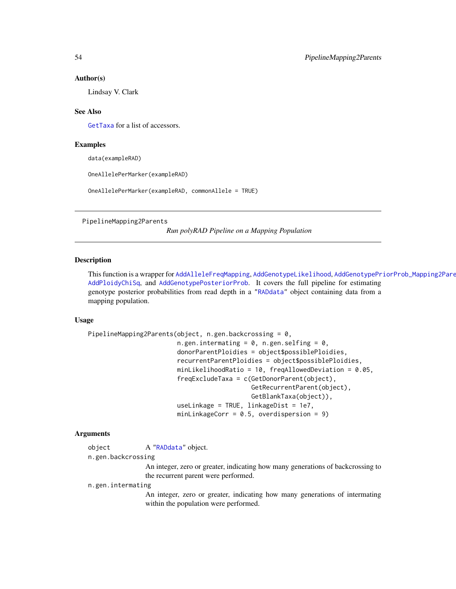#### Author(s)

Lindsay V. Clark

## See Also

[GetTaxa](#page-2-0) for a list of accessors.

#### Examples

data(exampleRAD)

OneAllelePerMarker(exampleRAD)

OneAllelePerMarker(exampleRAD, commonAllele = TRUE)

<span id="page-53-0"></span>PipelineMapping2Parents

*Run polyRAD Pipeline on a Mapping Population*

# Description

This function is a wrapper for [AddAlleleFreqMapping](#page-5-0), [AddGenotypeLikelihood](#page-9-0), AddGenotypePriorProb\_Mapping2Pare [AddPloidyChiSq](#page-21-0), and [AddGenotypePosteriorProb](#page-11-0). It covers the full pipeline for estimating genotype posterior probabilities from read depth in a ["RADdata"](#page-55-0) object containing data from a mapping population.

### Usage

```
PipelineMapping2Parents(object, n.gen.backcrossing = 0,
                        n.gen.intermating = 0, n.gen.selfing = 0,
                        donorParentPloidies = object$possiblePloidies,
                        recurrentParentPloidies = object$possiblePloidies,
                        minLikelihoodRatio = 10, freqAllowedDeviation = 0.05,
                        freqExcludeTaxa = c(GetDonorParent(object),
                                            GetRecurrentParent(object),
                                            GetBlankTaxa(object)),
                        useLinkage = TRUE, linkageDist = 1e7,
                        minLinkageCorr = 0.5, overdispersion = 9)
```
#### Arguments

|  | A "RADdata" object. |
|--|---------------------|

n.gen.backcrossing

An integer, zero or greater, indicating how many generations of backcrossing to the recurrent parent were performed.

n.gen.intermating

An integer, zero or greater, indicating how many generations of intermating within the population were performed.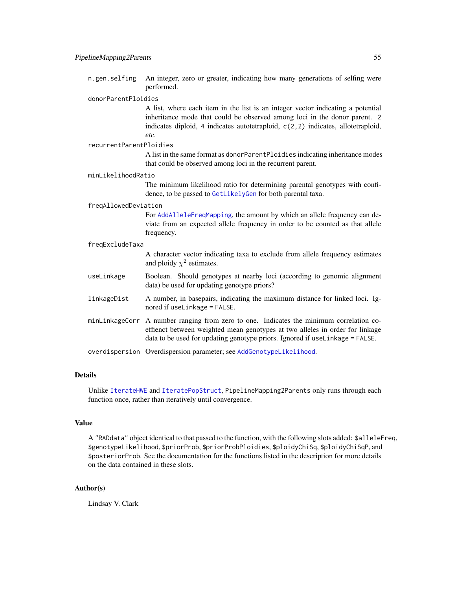n.gen.selfing An integer, zero or greater, indicating how many generations of selfing were performed.

#### donorParentPloidies

A list, where each item in the list is an integer vector indicating a potential inheritance mode that could be observed among loci in the donor parent. 2 indicates diploid, 4 indicates autotetraploid, c(2,2) indicates, allotetraploid, *etc*.

#### recurrentParentPloidies

A list in the same format as donorParentPloidies indicating inheritance modes that could be observed among loci in the recurrent parent.

#### minLikelihoodRatio

The minimum likelihood ratio for determining parental genotypes with confidence, to be passed to [GetLikelyGen](#page-36-0) for both parental taxa.

#### freqAllowedDeviation

For [AddAlleleFreqMapping](#page-5-0), the amount by which an allele frequency can deviate from an expected allele frequency in order to be counted as that allele frequency.

#### freqExcludeTaxa

A character vector indicating taxa to exclude from allele frequency estimates and ploidy  $\chi^2$  estimates.

- useLinkage Boolean. Should genotypes at nearby loci (according to genomic alignment data) be used for updating genotype priors?
- linkageDist A number, in basepairs, indicating the maximum distance for linked loci. Ignored if useLinkage = FALSE.
- minLinkageCorr A number ranging from zero to one. Indicates the minimum correlation coeffienct between weighted mean genotypes at two alleles in order for linkage data to be used for updating genotype priors. Ignored if useLinkage = FALSE.

overdispersion Overdispersion parameter; see [AddGenotypeLikelihood](#page-9-0).

### Details

Unlike [IterateHWE](#page-43-0) and [IteratePopStruct](#page-43-1), PipelineMapping2Parents only runs through each function once, rather than iteratively until convergence.

### Value

A "RADdata" object identical to that passed to the function, with the following slots added: \$alleleFreq, \$genotypeLikelihood, \$priorProb, \$priorProbPloidies, \$ploidyChiSq, \$ploidyChiSqP, and \$posteriorProb. See the documentation for the functions listed in the description for more details on the data contained in these slots.

#### Author(s)

Lindsay V. Clark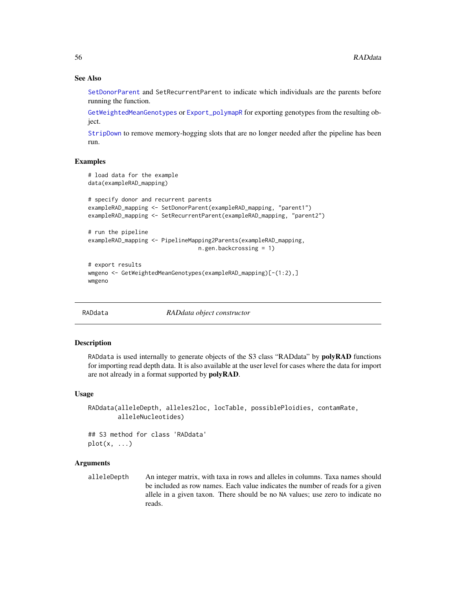# See Also

[SetDonorParent](#page-72-0) and SetRecurrentParent to indicate which individuals are the parents before running the function.

[GetWeightedMeanGenotypes](#page-37-0) or [Export\\_polymapR](#page-30-0) for exporting genotypes from the resulting object.

[StripDown](#page-74-0) to remove memory-hogging slots that are no longer needed after the pipeline has been run.

### Examples

```
# load data for the example
data(exampleRAD_mapping)
# specify donor and recurrent parents
exampleRAD_mapping <- SetDonorParent(exampleRAD_mapping, "parent1")
exampleRAD_mapping <- SetRecurrentParent(exampleRAD_mapping, "parent2")
# run the pipeline
exampleRAD_mapping <- PipelineMapping2Parents(exampleRAD_mapping,
                                 n.gen.backcrossing = 1)
# export results
wmgeno <- GetWeightedMeanGenotypes(exampleRAD_mapping)[-(1:2),]
wmgeno
```
<span id="page-55-0"></span>RADdata *RADdata object constructor*

# **Description**

RADdata is used internally to generate objects of the S3 class "RADdata" by **polyRAD** functions for importing read depth data. It is also available at the user level for cases where the data for import are not already in a format supported by **polyRAD**.

#### Usage

```
RADdata(alleleDepth, alleles2loc, locTable, possiblePloidies, contamRate,
       alleleNucleotides)
```
## S3 method for class 'RADdata'  $plot(x, \ldots)$ 

# **Arguments**

alleleDepth An integer matrix, with taxa in rows and alleles in columns. Taxa names should be included as row names. Each value indicates the number of reads for a given allele in a given taxon. There should be no NA values; use zero to indicate no reads.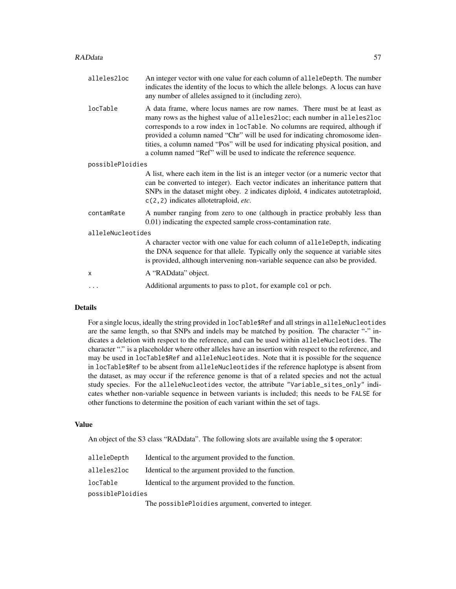- alleles2loc An integer vector with one value for each column of alleleDepth. The number indicates the identity of the locus to which the allele belongs. A locus can have any number of alleles assigned to it (including zero).
- locTable A data frame, where locus names are row names. There must be at least as many rows as the highest value of alleles2loc; each number in alleles2loc corresponds to a row index in locTable. No columns are required, although if provided a column named "Chr" will be used for indicating chromosome identities, a column named "Pos" will be used for indicating physical position, and a column named "Ref" will be used to indicate the reference sequence.

#### possiblePloidies

A list, where each item in the list is an integer vector (or a numeric vector that can be converted to integer). Each vector indicates an inheritance pattern that SNPs in the dataset might obey. 2 indicates diploid, 4 indicates autotetraploid, c(2,2) indicates allotetraploid, *etc.*

- contamRate A number ranging from zero to one (although in practice probably less than 0.01) indicating the expected sample cross-contamination rate.
- alleleNucleotides

A character vector with one value for each column of alleleDepth, indicating the DNA sequence for that allele. Typically only the sequence at variable sites is provided, although intervening non-variable sequence can also be provided.

- x A "RADdata" object.
	- ... Additional arguments to pass to plot, for example col or pch.

#### Details

For a single locus, ideally the string provided in locTable\$Ref and all strings in alleleNucleotides are the same length, so that SNPs and indels may be matched by position. The character "-" indicates a deletion with respect to the reference, and can be used within alleleNucleotides. The character "." is a placeholder where other alleles have an insertion with respect to the reference, and may be used in locTable\$Ref and alleleNucleotides. Note that it is possible for the sequence in locTable\$Ref to be absent from alleleNucleotides if the reference haplotype is absent from the dataset, as may occur if the reference genome is that of a related species and not the actual study species. For the alleleNucleotides vector, the attribute "Variable\_sites\_only" indicates whether non-variable sequence in between variants is included; this needs to be FALSE for other functions to determine the position of each variant within the set of tags.

#### Value

An object of the S3 class "RADdata". The following slots are available using the \$ operator:

| alleleDepth      | Identical to the argument provided to the function.                                                                                                                     |
|------------------|-------------------------------------------------------------------------------------------------------------------------------------------------------------------------|
| alleles2loc      | Identical to the argument provided to the function.                                                                                                                     |
| locTable         | Identical to the argument provided to the function.                                                                                                                     |
| possiblePloidies |                                                                                                                                                                         |
|                  | $\overline{\text{m}}$ and $\overline{\text{m}}$ and $\overline{\text{m}}$ and $\overline{\text{m}}$ are constructed and $\overline{\text{m}}$ and $\overline{\text{m}}$ |

The possiblePloidies argument, converted to integer.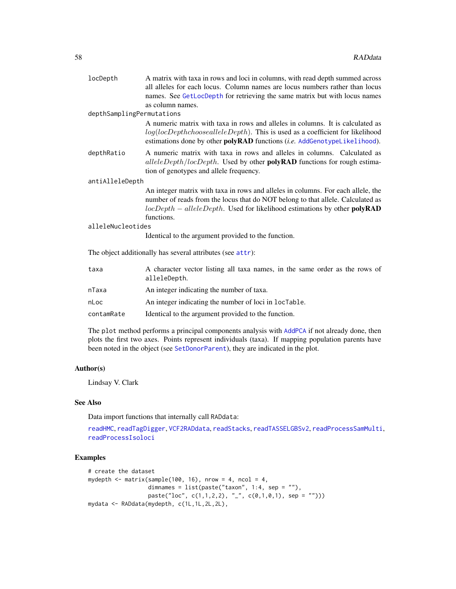| locDepth                  | A matrix with taxa in rows and loci in columns, with read depth summed across<br>all alleles for each locus. Column names are locus numbers rather than locus<br>names. See GetLocDepth for retrieving the same matrix but with locus names                      |  |
|---------------------------|------------------------------------------------------------------------------------------------------------------------------------------------------------------------------------------------------------------------------------------------------------------|--|
|                           | as column names.                                                                                                                                                                                                                                                 |  |
| depthSamplingPermutations |                                                                                                                                                                                                                                                                  |  |
|                           | A numeric matrix with taxa in rows and alleles in columns. It is calculated as<br>$log(locDepthchoosealleleDepth)$ . This is used as a coefficient for likelihood<br>estimations done by other polyRAD functions (i.e. AddGenotypeLikelihood).                   |  |
| depthRatio                | A numeric matrix with taxa in rows and alleles in columns. Calculated as<br>$alleleDepth/locDepth$ . Used by other <b>polyRAD</b> functions for rough estima-<br>tion of genotypes and allele frequency.                                                         |  |
| antiAlleleDepth           |                                                                                                                                                                                                                                                                  |  |
|                           | An integer matrix with taxa in rows and alleles in columns. For each allele, the<br>number of reads from the locus that do NOT belong to that allele. Calculated as<br>$locDepth - alleleDepth$ . Used for likelihood estimations by other polyRAD<br>functions. |  |
| alleleNucleotides         |                                                                                                                                                                                                                                                                  |  |
|                           | Identical to the argument provided to the function.                                                                                                                                                                                                              |  |
|                           | The object additionally has several attributes (see attr):                                                                                                                                                                                                       |  |
| taxa                      | A character vector listing all taxa names, in the same order as the rows of<br>alleleDepth.                                                                                                                                                                      |  |
| nTaxa                     | An integer indicating the number of taxa.                                                                                                                                                                                                                        |  |
| nLoc                      | An integer indicating the number of loci in locTable.                                                                                                                                                                                                            |  |

contamRate Identical to the argument provided to the function.

The plot method performs a principal components analysis with [AddPCA](#page-20-0) if not already done, then plots the first two axes. Points represent individuals (taxa). If mapping population parents have been noted in the object (see [SetDonorParent](#page-72-0)), they are indicated in the plot.

# Author(s)

Lindsay V. Clark

### See Also

Data import functions that internally call RADdata:

[readHMC](#page-62-0), [readTagDigger](#page-68-0), [VCF2RADdata](#page-81-0), [readStacks](#page-66-0), [readTASSELGBSv2](#page-70-0), [readProcessSamMulti](#page-65-0), [readProcessIsoloci](#page-64-0)

# Examples

```
# create the dataset
mydepth \leq matrix(sample(100, 16), nrow = 4, ncol = 4,
                 dimnames = list(paste("taxon", 1:4, sep = ""),paste("loc", c(1,1,2,2), "__", c(0,1,0,1), sep = ""))mydata <- RADdata(mydepth, c(1L,1L,2L,2L),
```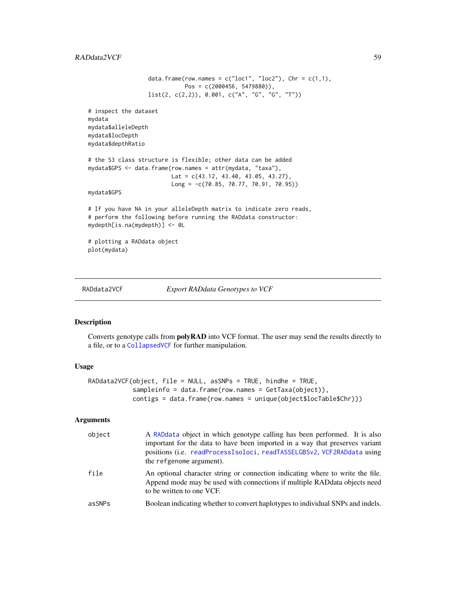# $RADdata2VCF$  59

```
data.frame(row.names = c("loc1", "loc2"),Chr = c(1,1),Pos = c(2000456, 5479880)),
                  list(2, c(2,2)), 0.001, c("A", "G", "G", "T"))
# inspect the dataset
mydata
mydata$alleleDepth
mydata$locDepth
mydata$depthRatio
# the S3 class structure is flexible; other data can be added
mydata$GPS <- data.frame(row.names = attr(mydata, "taxa"),
                        Lat = c(43.12, 43.40, 43.05, 43.27),
                        Long = -c(70.85, 70.77, 70.91, 70.95))
mydata$GPS
# If you have NA in your alleleDepth matrix to indicate zero reads,
# perform the following before running the RADdata constructor:
mydepth[is.na(mydepth)] <- 0L
# plotting a RADdata object
plot(mydata)
```
<span id="page-58-0"></span>

RADdata2VCF *Export RADdata Genotypes to VCF*

#### Description

Converts genotype calls from polyRAD into VCF format. The user may send the results directly to a file, or to a [CollapsedVCF](#page-0-0) for further manipulation.

#### Usage

```
RADdata2VCF(object, file = NULL, asSNPs = TRUE, hindhe = TRUE,
            sampleinfo = data.frame(row.names = GetTaxa(object)),
            contigs = data.frame(row.names = unique(object$locTable$Chr)))
```
### Arguments

| object | A RADdata object in which genotype calling has been performed. It is also<br>important for the data to have been imported in a way that preserves variant<br>positions (i.e. readProcessIsoloci, readTASSELGBSv2, VCF2RADdata using<br>the refgenome argument). |
|--------|-----------------------------------------------------------------------------------------------------------------------------------------------------------------------------------------------------------------------------------------------------------------|
| file   | An optional character string or connection indicating where to write the file.<br>Append mode may be used with connections if multiple RAD data objects need<br>to be written to one VCF.                                                                       |
| asSNPs | Boolean indicating whether to convert haplotypes to individual SNPs and indels.                                                                                                                                                                                 |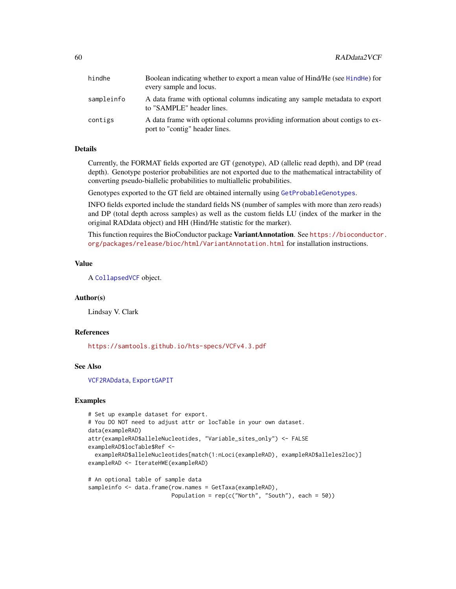| hindhe     | Boolean indicating whether to export a mean value of Hind/He (see HindHe) for<br>every sample and locus.        |
|------------|-----------------------------------------------------------------------------------------------------------------|
| sampleinfo | A data frame with optional columns indicating any sample metadata to export<br>to "SAMPLE" header lines.        |
| contigs    | A data frame with optional columns providing information about contigs to ex-<br>port to "contig" header lines. |

# Details

Currently, the FORMAT fields exported are GT (genotype), AD (allelic read depth), and DP (read depth). Genotype posterior probabilities are not exported due to the mathematical intractability of converting pseudo-biallelic probabilities to multiallelic probabilities.

Genotypes exported to the GT field are obtained internally using [GetProbableGenotypes](#page-37-1).

INFO fields exported include the standard fields NS (number of samples with more than zero reads) and DP (total depth across samples) as well as the custom fields LU (index of the marker in the original RADdata object) and HH (Hind/He statistic for the marker).

This function requires the BioConductor package VariantAnnotation. See [https://bioconductor](https://bioconductor.org/packages/release/bioc/html/VariantAnnotation.html). [org/packages/release/bioc/html/VariantAnnotation.html](https://bioconductor.org/packages/release/bioc/html/VariantAnnotation.html) for installation instructions.

#### Value

A [CollapsedVCF](#page-0-0) object.

### Author(s)

Lindsay V. Clark

# References

<https://samtools.github.io/hts-specs/VCFv4.3.pdf>

# See Also

[VCF2RADdata](#page-81-0), [ExportGAPIT](#page-30-1)

# Examples

```
# Set up example dataset for export.
# You DO NOT need to adjust attr or locTable in your own dataset.
data(exampleRAD)
attr(exampleRAD$alleleNucleotides, "Variable_sites_only") <- FALSE
exampleRAD$locTable$Ref <-
 exampleRAD$alleleNucleotides[match(1:nLoci(exampleRAD), exampleRAD$alleles2loc)]
exampleRAD <- IterateHWE(exampleRAD)
```

```
# An optional table of sample data
sampleinfo <- data.frame(row.names = GetTaxa(exampleRAD),
                        Population = rep(c("North", "South"), each = 50)
```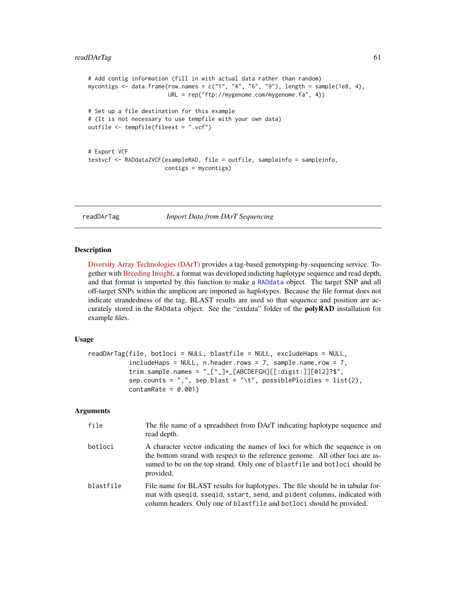#### readDArTag 61

```
# Add contig information (fill in with actual data rather than random)
mycontigs \leq data.frame(row.names = c("1", "4", "6", "9"), length = sample(1e8, 4),
                        URL = rep("ftp://mygenome.com/mygenome.fa", 4))
# Set up a file destination for this example
# (It is not necessary to use tempfile with your own data)
outfile <- tempfile(fileext = ".vcf")
# Export VCF
testvcf <- RADdata2VCF(exampleRAD, file = outfile, sampleinfo = sampleinfo,
                       contigs = mycontigs)
```
<span id="page-60-0"></span>readDArTag *Import Data from DArT Sequencing*

#### Description

[Diversity Array Technologies \(DArT\)](https://www.diversityarrays.com/) provides a tag-based genotyping-by-sequencing service. Together with [Breeding Insight,](https://breedinginsight.org/) a format was developed indicting haplotype sequence and read depth, and that format is imported by this function to make a [RADdata](#page-55-0) object. The target SNP and all off-target SNPs within the amplicon are imported as haplotypes. Because the file format does not indicate strandedness of the tag, BLAST results are used so that sequence and position are accurately stored in the RADdata object. See the "extdata" folder of the **polyRAD** installation for example files.

### Usage

```
readDArTag(file, botloci = NULL, blastfile = NULL, excludeHaps = NULL,
           includeHaps = NULL, n. header rows = 7, sample.name row = 7,trim.sample.names = "[-[^{\wedge}]] + [ABCDEFGH] [[:digit:]][012]?\",
           sep.counts = ",", sep.blast = "\t", possiblePloidies = list(2),
           contamRate = 0.001)
```
### Arguments

| file      | The file name of a spreadsheet from DArT indicating haplotype sequence and<br>read depth.                                                                                                                                                                 |
|-----------|-----------------------------------------------------------------------------------------------------------------------------------------------------------------------------------------------------------------------------------------------------------|
| botloci   | A character vector indicating the names of loci for which the sequence is on<br>the bottom strand with respect to the reference genome. All other loci are as-<br>sumed to be on the top strand. Only one of blastfile and botloci should be<br>provided. |
| blastfile | File name for BLAST results for haplotypes. The file should be in tabular for-<br>mat with gseqid, sseqid, sstart, send, and pident columns, indicated with<br>column headers. Only one of blastfile and botloci should be provided.                      |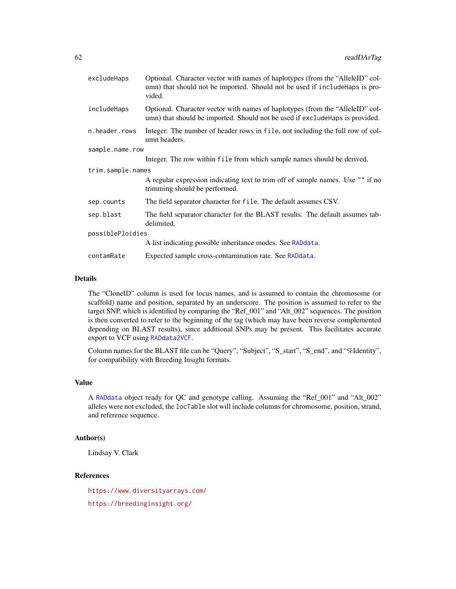| excludeHaps       | Optional. Character vector with names of haplotypes (from the "AlleleID" col-<br>umn) that should not be imported. Should not be used if includeHaps is pro-<br>vided. |  |
|-------------------|------------------------------------------------------------------------------------------------------------------------------------------------------------------------|--|
| includeHaps       | Optional. Character vector with names of haplotypes (from the "AlleleID" col-<br>umn) that should be imported. Should not be used if exclude Haps is provided.         |  |
| n.header.rows     | Integer. The number of header rows in file, not including the full row of col-<br>umn headers.                                                                         |  |
| sample.name.row   |                                                                                                                                                                        |  |
|                   | Integer. The row within file from which sample names should be derived.                                                                                                |  |
| trim.sample.names |                                                                                                                                                                        |  |
|                   | A regular expression indicating text to trim off of sample names. Use "" if no<br>trimming should be performed.                                                        |  |
| sep.counts        | The field separator character for file. The default assumes CSV.                                                                                                       |  |
| sep.blast         | The field separator character for the BLAST results. The default assumes tab-<br>delimited.                                                                            |  |
| possiblePloidies  |                                                                                                                                                                        |  |
|                   | A list indicating possible inheritance modes. See RADdata.                                                                                                             |  |
| contamRate        | Expected sample cross-contamination rate. See RADdata.                                                                                                                 |  |

# Details

The "CloneID" column is used for locus names, and is assumed to contain the chromosome (or scaffold) name and position, separated by an underscore. The position is assumed to refer to the target SNP, which is identified by comparing the "Ref\_001" and "Alt\_002" sequences. The position is then converted to refer to the beginning of the tag (which may have been reverse complemented depending on BLAST results), since additional SNPs may be present. This facilitates accurate export to VCF using [RADdata2VCF](#page-58-0).

Column names for the BLAST file can be "Query", "Subject", "S\_start", "S\_end", and "%Identity", for compatibility with Breeding Insight formats.

### Value

A [RADdata](#page-55-0) object ready for QC and genotype calling. Assuming the "Ref\_001" and "Alt\_002" alleles were not excluded, the locTable slot will include columns for chromosome, position, strand, and reference sequence.

# Author(s)

Lindsay V. Clark

# References

<https://www.diversityarrays.com/> <https://breedinginsight.org/>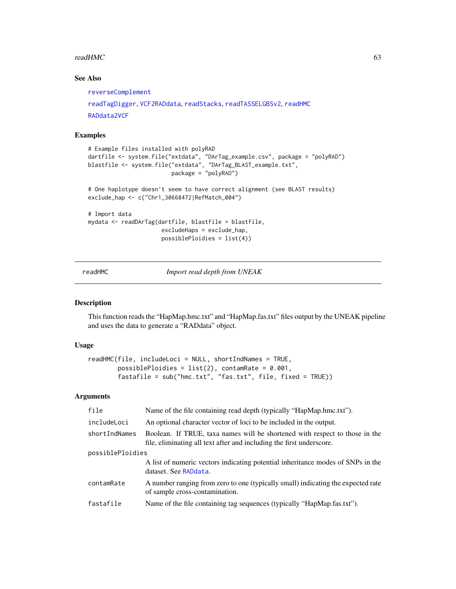### $readHMC$  63

# See Also

```
reverseComplement
readTagDigger, VCF2RADdata, readStacks, readTASSELGBSv2, readHMC
RADdata2VCF
```
### Examples

```
# Example files installed with polyRAD
dartfile <- system.file("extdata", "DArTag_example.csv", package = "polyRAD")
blastfile <- system.file("extdata", "DArTag_BLAST_example.txt",
                        package = "polyRAD")
# One haplotype doesn't seem to have correct alignment (see BLAST results)
exclude_hap <- c("Chr1_30668472|RefMatch_004")
# Import data
mydata <- readDArTag(dartfile, blastfile = blastfile,
                      excludeHaps = exclude_hap,
                      possiblePloidies = list(4))
```
<span id="page-62-0"></span>readHMC *Import read depth from UNEAK*

# Description

This function reads the "HapMap.hmc.txt" and "HapMap.fas.txt" files output by the UNEAK pipeline and uses the data to generate a "RADdata" object.

### Usage

```
readHMC(file, includeLoci = NULL, shortIndNames = TRUE,
       possiblePloidies = list(2), contamRate = 0.001,
       fastafile = sub("hmc.txt", "fas.txt", file, fixed = TRUE))
```
#### Arguments

| file             | Name of the file containing read depth (typically "HapMap.hmc.txt").                                                                                |  |
|------------------|-----------------------------------------------------------------------------------------------------------------------------------------------------|--|
| includeLoci      | An optional character vector of loci to be included in the output.                                                                                  |  |
| shortIndNames    | Boolean. If TRUE, taxa names will be shortened with respect to those in the<br>file, eliminating all text after and including the first underscore. |  |
| possiblePloidies |                                                                                                                                                     |  |
|                  | A list of numeric vectors indicating potential inheritance modes of SNPs in the<br>dataset. See RADdata.                                            |  |
| contamRate       | A number ranging from zero to one (typically small) indicating the expected rate<br>of sample cross-contamination.                                  |  |
| fastafile        | Name of the file containing tag sequences (typically "HapMap.fas.txt").                                                                             |  |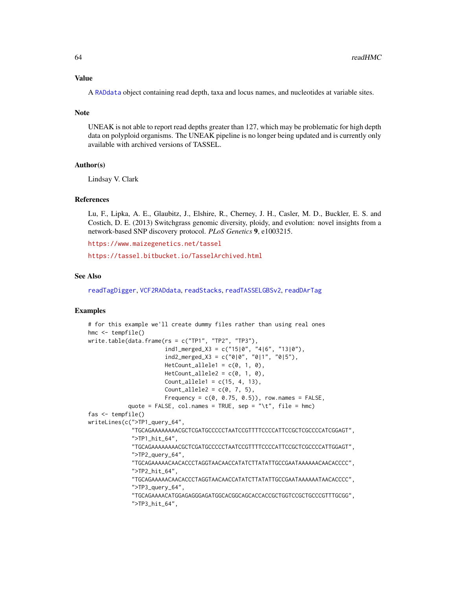#### Value

A [RADdata](#page-55-0) object containing read depth, taxa and locus names, and nucleotides at variable sites.

#### **Note**

UNEAK is not able to report read depths greater than 127, which may be problematic for high depth data on polyploid organisms. The UNEAK pipeline is no longer being updated and is currently only available with archived versions of TASSEL.

#### Author(s)

Lindsay V. Clark

### References

Lu, F., Lipka, A. E., Glaubitz, J., Elshire, R., Cherney, J. H., Casler, M. D., Buckler, E. S. and Costich, D. E. (2013) Switchgrass genomic diversity, ploidy, and evolution: novel insights from a network-based SNP discovery protocol. *PLoS Genetics* 9, e1003215.

<https://www.maizegenetics.net/tassel>

<https://tassel.bitbucket.io/TasselArchived.html>

#### See Also

[readTagDigger](#page-68-0), [VCF2RADdata](#page-81-0), [readStacks](#page-66-0), [readTASSELGBSv2](#page-70-0), [readDArTag](#page-60-0)

# Examples

```
# for this example we'll create dummy files rather than using real ones
hmc <- tempfile()
write.table(data.frame(rs = c("TP1", "TP2", "TP3"),ind1_merged_X3 = c("15|0", "4|6", "13|0"),
                       ind2_mereed_X3 = c("0|0", "0|1", "0|5"),
                       HetCount_allele1 = c(0, 1, 0),HetCount_allele2 = c(0, 1, 0),Count_allele1 = c(15, 4, 13),
                       Count_allele2 = c(0, 7, 5),
                       Frequency = c(0, 0.75, 0.5), row.names = FALSE,
            quote = FALSE, col.names = TRUE, sep = "\setminus t", file = hmc)
fas <- tempfile()
writeLines(c(">TP1_query_64",
             "TGCAGAAAAAAAACGCTCGATGCCCCCTAATCCGTTTTCCCCATTCCGCTCGCCCCATCGGAGT",
             ">TP1_hit_64",
             "TGCAGAAAAAAAACGCTCGATGCCCCCTAATCCGTTTTCCCCATTCCGCTCGCCCCATTGGAGT",
             ">TP2_query_64",
             "TGCAGAAAAACAACACCCTAGGTAACAACCATATCTTATATTGCCGAATAAAAAACAACACCCC",
             ">TP2_hit_64",
             "TGCAGAAAAACAACACCCTAGGTAACAACCATATCTTATATTGCCGAATAAAAAATAACACCCC",
             ">TP3_query_64",
             "TGCAGAAAACATGGAGAGGGAGATGGCACGGCAGCACCACCGCTGGTCCGCTGCCCGTTTGCGG",
             ">TP3_hit_64",
```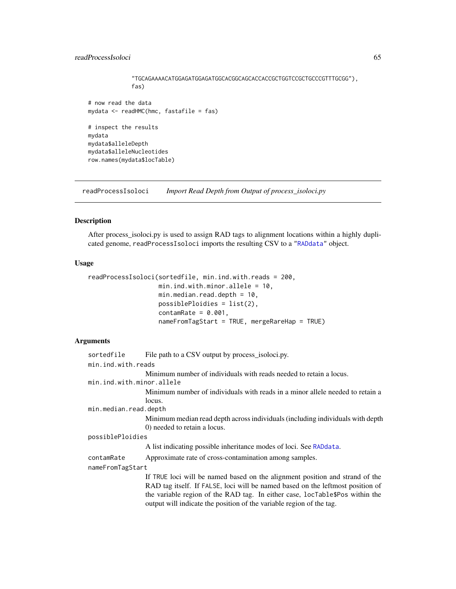# readProcessIsoloci 65

```
"TGCAGAAAACATGGAGATGGAGATGGCACGGCAGCACCACCGCTGGTCCGCTGCCCGTTTGCGG"),
             fas)
# now read the data
mydata <- readHMC(hmc, fastafile = fas)
# inspect the results
mydata
mydata$alleleDepth
mydata$alleleNucleotides
row.names(mydata$locTable)
```
<span id="page-64-0"></span>readProcessIsoloci *Import Read Depth from Output of process\_isoloci.py*

#### Description

After process\_isoloci.py is used to assign RAD tags to alignment locations within a highly duplicated genome, readProcessIsoloci imports the resulting CSV to a ["RADdata"](#page-55-0) object.

### Usage

```
readProcessIsoloci(sortedfile, min.ind.with.reads = 200,
                   min.ind.with.minor.allele = 10,
                   min.median.read.depth = 10,
                   possiblePloidies = list(2),
                   contamRate = 0.001,nameFromTagStart = TRUE, mergeRareHap = TRUE)
```
#### Arguments

```
sortedfile File path to a CSV output by process_isoloci.py.
min.ind.with.reads
                  Minimum number of individuals with reads needed to retain a locus.
min.ind.with.minor.allele
                  Minimum number of individuals with reads in a minor allele needed to retain a
                  locus.
min.median.read.depth
                  Minimum median read depth across individuals (including individuals with depth
                  0) needed to retain a locus.
possiblePloidies
                  A list indicating possible inheritance modes of loci. See RADdata.
contamRate Approximate rate of cross-contamination among samples.
nameFromTagStart
                  If TRUE loci will be named based on the alignment position and strand of the
                  RAD tag itself. If FALSE, loci will be named based on the leftmost position of
                  the variable region of the RAD tag. In either case, locTable$Pos within the
                  output will indicate the position of the variable region of the tag.
```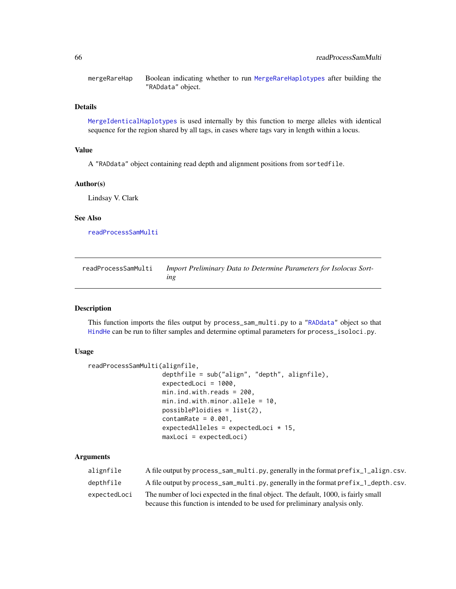mergeRareHap Boolean indicating whether to run [MergeRareHaplotypes](#page-50-0) after building the "RADdata" object.

# Details

[MergeIdenticalHaplotypes](#page-49-0) is used internally by this function to merge alleles with identical sequence for the region shared by all tags, in cases where tags vary in length within a locus.

# Value

A "RADdata" object containing read depth and alignment positions from sortedfile.

#### Author(s)

Lindsay V. Clark

#### See Also

[readProcessSamMulti](#page-65-0)

<span id="page-65-0"></span>readProcessSamMulti *Import Preliminary Data to Determine Parameters for Isolocus Sorting*

#### Description

This function imports the files output by process\_sam\_multi.py to a ["RADdata"](#page-55-0) object so that [HindHe](#page-40-0) can be run to filter samples and determine optimal parameters for process\_isoloci.py.

## Usage

```
readProcessSamMulti(alignfile,
                    depthfile = sub("align", "depth", alignfile),
                    expectedLoci = 1000,
                    min.ind.with.reads = 200,
                    min.ind.with.minor.allele = 10,
                    possiblePloidies = list(2),
                    contamRate = 0.001,expectedAlleles = expectedLoci * 15,
                    maxLoci = expectedLoci)
```
### Arguments

| alignfile    | A file output by process_sam_multi.py, generally in the format prefix_1_align.csv.  |
|--------------|-------------------------------------------------------------------------------------|
| depthfile    | A file output by process_sam_multi.py, generally in the format prefix_1_depth.csv.  |
| expectedLoci | The number of loci expected in the final object. The default, 1000, is fairly small |
|              | because this function is intended to be used for preliminary analysis only.         |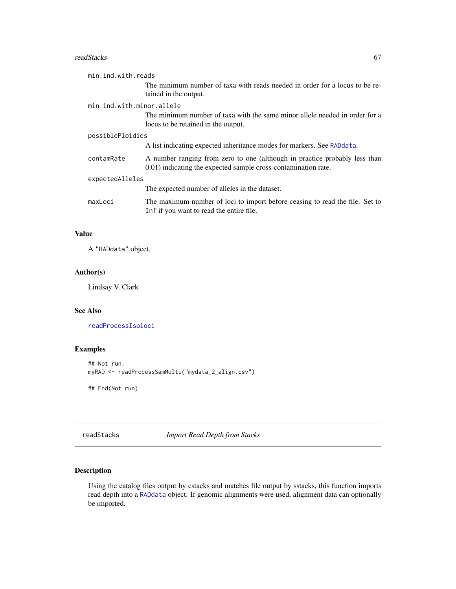#### readStacks 67

| min.ind.with.reads        |                                                                                                                                              |
|---------------------------|----------------------------------------------------------------------------------------------------------------------------------------------|
|                           | The minimum number of taxa with reads needed in order for a locus to be re-<br>tained in the output.                                         |
| min.ind.with.minor.allele |                                                                                                                                              |
|                           | The minimum number of taxa with the same minor allele needed in order for a<br>locus to be retained in the output.                           |
| possiblePloidies          |                                                                                                                                              |
|                           | A list indicating expected inheritance modes for markers. See RADdata.                                                                       |
| contamRate                | A number ranging from zero to one (although in practice probably less than<br>0.01) indicating the expected sample cross-contamination rate. |
| expectedAlleles           |                                                                                                                                              |
|                           | The expected number of alleles in the dataset.                                                                                               |
| maxLoci                   | The maximum number of loci to import before ceasing to read the file. Set to<br>Inf if you want to read the entire file.                     |

# Value

A "RADdata" object.

# Author(s)

Lindsay V. Clark

### See Also

[readProcessIsoloci](#page-64-0)

# Examples

```
## Not run:
myRAD <- readProcessSamMulti("mydata_2_align.csv")
```
## End(Not run)

<span id="page-66-0"></span>readStacks *Import Read Depth from Stacks*

# Description

Using the catalog files output by cstacks and matches file output by sstacks, this function imports read depth into a [RADdata](#page-55-0) object. If genomic alignments were used, alignment data can optionally be imported.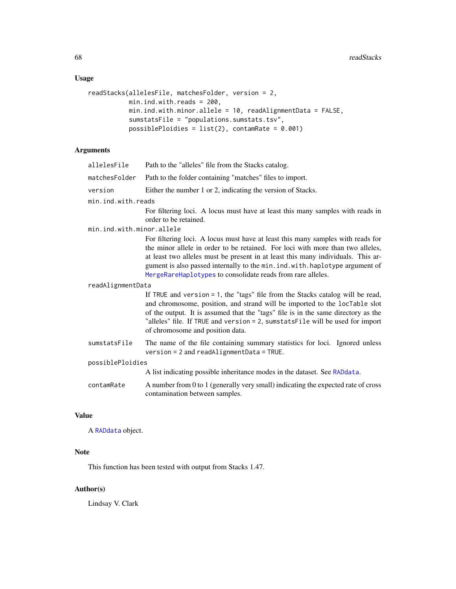# Usage

```
readStacks(allelesFile, matchesFolder, version = 2,
          min.ind.with.reads = 200,
          min.ind.with.minor.allele = 10, readAlignmentData = FALSE,
          sumstatsFile = "populations.sumstats.tsv",
          possiblePloidies = list(2), contamRate = 0.001)
```
# Arguments

| allelesFile               | Path to the "alleles" file from the Stacks catalog.                                                                                                                                                                                                                                                                                                                                                   |  |
|---------------------------|-------------------------------------------------------------------------------------------------------------------------------------------------------------------------------------------------------------------------------------------------------------------------------------------------------------------------------------------------------------------------------------------------------|--|
| matchesFolder             | Path to the folder containing "matches" files to import.                                                                                                                                                                                                                                                                                                                                              |  |
| version                   | Either the number 1 or 2, indicating the version of Stacks.                                                                                                                                                                                                                                                                                                                                           |  |
| min.ind.with.reads        |                                                                                                                                                                                                                                                                                                                                                                                                       |  |
|                           | For filtering loci. A locus must have at least this many samples with reads in<br>order to be retained.                                                                                                                                                                                                                                                                                               |  |
| min.ind.with.minor.allele |                                                                                                                                                                                                                                                                                                                                                                                                       |  |
|                           | For filtering loci. A locus must have at least this many samples with reads for<br>the minor allele in order to be retained. For loci with more than two alleles,<br>at least two alleles must be present in at least this many individuals. This ar-<br>gument is also passed internally to the min. ind. with. haplotype argument of<br>MergeRareHaplotypes to consolidate reads from rare alleles. |  |
| readAlignmentData         |                                                                                                                                                                                                                                                                                                                                                                                                       |  |
|                           | If TRUE and version $= 1$ , the "tags" file from the Stacks catalog will be read,<br>and chromosome, position, and strand will be imported to the locTable slot<br>of the output. It is assumed that the "tags" file is in the same directory as the<br>"alleles" file. If TRUE and version = 2, sumstats File will be used for import<br>of chromosome and position data.                            |  |
| sumstatsFile              | The name of the file containing summary statistics for loci. Ignored unless<br>$version = 2$ and readAlignmentData = TRUE.                                                                                                                                                                                                                                                                            |  |
| possiblePloidies          |                                                                                                                                                                                                                                                                                                                                                                                                       |  |
|                           | A list indicating possible inheritance modes in the dataset. See RADdata.                                                                                                                                                                                                                                                                                                                             |  |
| contamRate                | A number from 0 to 1 (generally very small) indicating the expected rate of cross<br>contamination between samples.                                                                                                                                                                                                                                                                                   |  |

## Value

A [RADdata](#page-55-0) object.

# Note

This function has been tested with output from Stacks 1.47.

# Author(s)

Lindsay V. Clark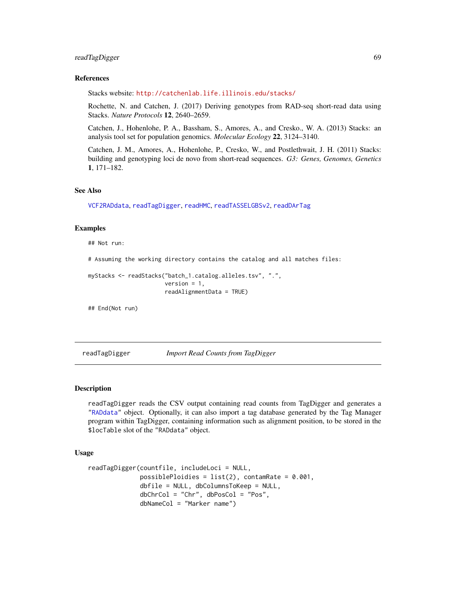# readTagDigger 69

#### References

Stacks website: <http://catchenlab.life.illinois.edu/stacks/>

Rochette, N. and Catchen, J. (2017) Deriving genotypes from RAD-seq short-read data using Stacks. *Nature Protocols* 12, 2640–2659.

Catchen, J., Hohenlohe, P. A., Bassham, S., Amores, A., and Cresko., W. A. (2013) Stacks: an analysis tool set for population genomics. *Molecular Ecology* 22, 3124–3140.

Catchen, J. M., Amores, A., Hohenlohe, P., Cresko, W., and Postlethwait, J. H. (2011) Stacks: building and genotyping loci de novo from short-read sequences. *G3: Genes, Genomes, Genetics* 1, 171–182.

### See Also

[VCF2RADdata](#page-81-0), [readTagDigger](#page-68-0), [readHMC](#page-62-0), [readTASSELGBSv2](#page-70-0), [readDArTag](#page-60-0)

### Examples

## Not run:

# Assuming the working directory contains the catalog and all matches files:

```
myStacks <- readStacks("batch_1.catalog.alleles.tsv", ".",
                       version = 1,
                       readAlignmentData = TRUE)
```
## End(Not run)

<span id="page-68-0"></span>readTagDigger *Import Read Counts from TagDigger*

#### Description

readTagDigger reads the CSV output containing read counts from TagDigger and generates a ["RADdata"](#page-55-0) object. Optionally, it can also import a tag database generated by the Tag Manager program within TagDigger, containing information such as alignment position, to be stored in the \$locTable slot of the "RADdata" object.

## Usage

```
readTagDigger(countfile, includeLoci = NULL,
              possiblePloidies = list(2), contamRate = 0.001,
              dbfile = NULL, dbColumnsToKeep = NULL,
              dbChrCol = "Chr", dbPosCol = "Pos",
              dbNameCol = "Marker name")
```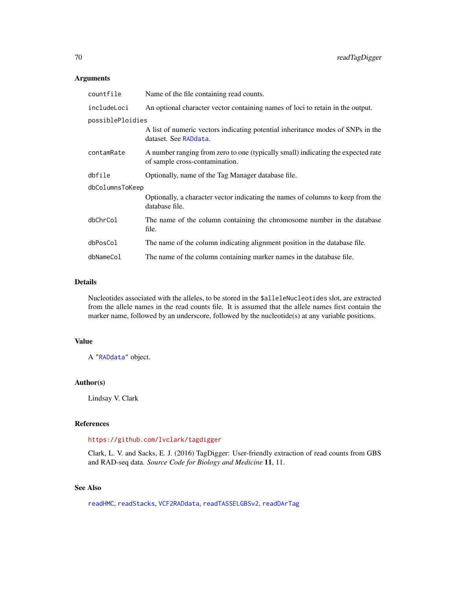# Arguments

| countfile        | Name of the file containing read counts.                                                                           |
|------------------|--------------------------------------------------------------------------------------------------------------------|
| includeLoci      | An optional character vector containing names of loci to retain in the output.                                     |
| possiblePloidies |                                                                                                                    |
|                  | A list of numeric vectors indicating potential inheritance modes of SNPs in the<br>dataset. See RADdata.           |
| contamRate       | A number ranging from zero to one (typically small) indicating the expected rate<br>of sample cross-contamination. |
| dbfile           | Optionally, name of the Tag Manager database file.                                                                 |
| dbColumnsToKeep  |                                                                                                                    |
|                  | Optionally, a character vector indicating the names of columns to keep from the<br>database file.                  |
| dbChrCol         | The name of the column containing the chromosome number in the database<br>file.                                   |
| dbPosCol         | The name of the column indicating alignment position in the database file.                                         |
| dbNameCol        | The name of the column containing marker names in the database file.                                               |

# Details

Nucleotides associated with the alleles, to be stored in the \$alleleNucleotides slot, are extracted from the allele names in the read counts file. It is assumed that the allele names first contain the marker name, followed by an underscore, followed by the nucleotide(s) at any variable positions.

## Value

A ["RADdata"](#page-55-0) object.

#### Author(s)

Lindsay V. Clark

# References

### <https://github.com/lvclark/tagdigger>

Clark, L. V. and Sacks, E. J. (2016) TagDigger: User-friendly extraction of read counts from GBS and RAD-seq data. *Source Code for Biology and Medicine* 11, 11.

# See Also

[readHMC](#page-62-0), [readStacks](#page-66-0), [VCF2RADdata](#page-81-0), [readTASSELGBSv2](#page-70-0), [readDArTag](#page-60-0)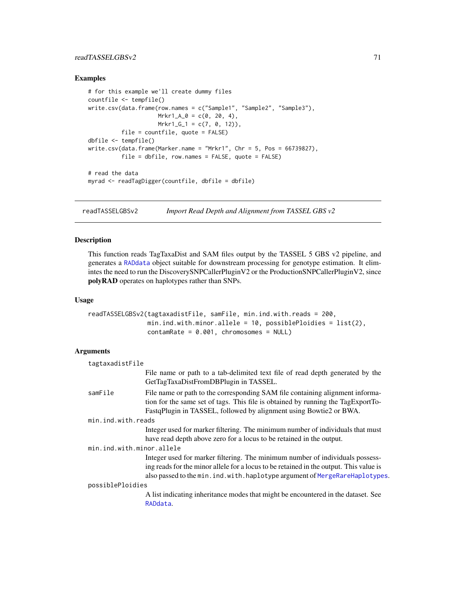# readTASSELGBSv2 71

### Examples

```
# for this example we'll create dummy files
countfile <- tempfile()
write.csv(data.frame(row.names = c("Sample1", "Sample2", "Sample3"),
                    Mrkr1_A_0 = c(0, 20, 4),Mrkr1_G_1 = c(7, 0, 12),
          file = countfile, quote = FALSE)
dbfile <- tempfile()
write.csv(data.frame(Marker.name = "Mrkr1", Chr = 5, Pos = 66739827),
          file = dbfile, row.name = FALSE, quote = FALSE)# read the data
myrad <- readTagDigger(countfile, dbfile = dbfile)
```
<span id="page-70-0"></span>readTASSELGBSv2 *Import Read Depth and Alignment from TASSEL GBS v2*

## Description

This function reads TagTaxaDist and SAM files output by the TASSEL 5 GBS v2 pipeline, and generates a [RADdata](#page-55-0) object suitable for downstream processing for genotype estimation. It elimintes the need to run the DiscoverySNPCallerPluginV2 or the ProductionSNPCallerPluginV2, since polyRAD operates on haplotypes rather than SNPs.

#### Usage

```
readTASSELGBSv2(tagtaxadistFile, samFile, min.ind.with.reads = 200,
               min.ind.with.minor.allele = 10, possiblePloidies = list(2),
                contamRate = 0.001, chromosomes = NULL)
```
## Arguments

| tagtaxadistFile           |                                                                                                                                                                                                                                                          |
|---------------------------|----------------------------------------------------------------------------------------------------------------------------------------------------------------------------------------------------------------------------------------------------------|
|                           | File name or path to a tab-delimited text file of read depth generated by the<br>GetTagTaxaDistFromDBPlugin in TASSEL.                                                                                                                                   |
| samFile                   | File name or path to the corresponding SAM file containing alignment informa-<br>tion for the same set of tags. This file is obtained by running the TagExportTo-<br>FastqPlugin in TASSEL, followed by alignment using Bowtie2 or BWA.                  |
| min.ind.with.reads        |                                                                                                                                                                                                                                                          |
|                           | Integer used for marker filtering. The minimum number of individuals that must                                                                                                                                                                           |
|                           | have read depth above zero for a locus to be retained in the output.                                                                                                                                                                                     |
| min.ind.with.minor.allele |                                                                                                                                                                                                                                                          |
|                           | Integer used for marker filtering. The minimum number of individuals possess-<br>ing reads for the minor allele for a locus to be retained in the output. This value is<br>also passed to the min. ind. with. haplotype argument of MergeRareHaplotypes. |
| possiblePloidies          |                                                                                                                                                                                                                                                          |
|                           | A list indicating inheritance modes that might be encountered in the dataset. See<br>RADdata.                                                                                                                                                            |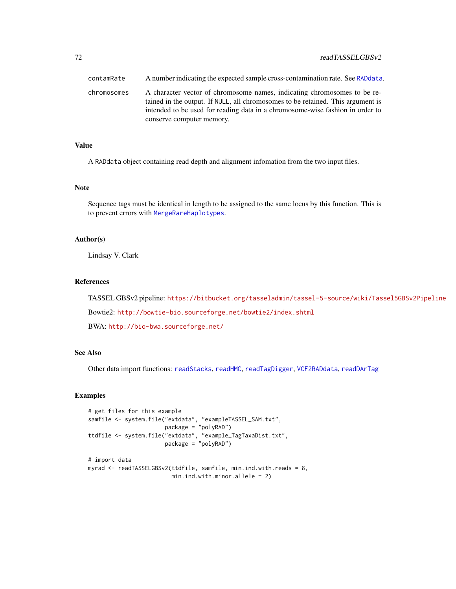| contamRate  | A number indicating the expected sample cross-contamination rate. See RADdata.                                                                                                                                                                                            |
|-------------|---------------------------------------------------------------------------------------------------------------------------------------------------------------------------------------------------------------------------------------------------------------------------|
| chromosomes | A character vector of chromosome names, indicating chromosomes to be re-<br>tained in the output. If NULL, all chromosomes to be retained. This argument is<br>intended to be used for reading data in a chromosome-wise fashion in order to<br>conserve computer memory. |

### Value

A RADdata object containing read depth and alignment infomation from the two input files.

### Note

Sequence tags must be identical in length to be assigned to the same locus by this function. This is to prevent errors with [MergeRareHaplotypes](#page-50-0).

#### Author(s)

Lindsay V. Clark

# References

TASSEL GBSv2 pipeline: <https://bitbucket.org/tasseladmin/tassel-5-source/wiki/Tassel5GBSv2Pipeline>

Bowtie2: <http://bowtie-bio.sourceforge.net/bowtie2/index.shtml>

BWA: <http://bio-bwa.sourceforge.net/>

# See Also

Other data import functions: [readStacks](#page-66-0), [readHMC](#page-62-0), [readTagDigger](#page-68-0), [VCF2RADdata](#page-81-0), [readDArTag](#page-60-0)

# Examples

```
# get files for this example
samfile <- system.file("extdata", "exampleTASSEL_SAM.txt",
                       package = "polyRAD")
ttdfile <- system.file("extdata", "example_TagTaxaDist.txt",
                       package = "polyRAD")
# import data
myrad <- readTASSELGBSv2(ttdfile, samfile, min.ind.with.reads = 8,
                        min.ind.with.minor.allele = 2)
```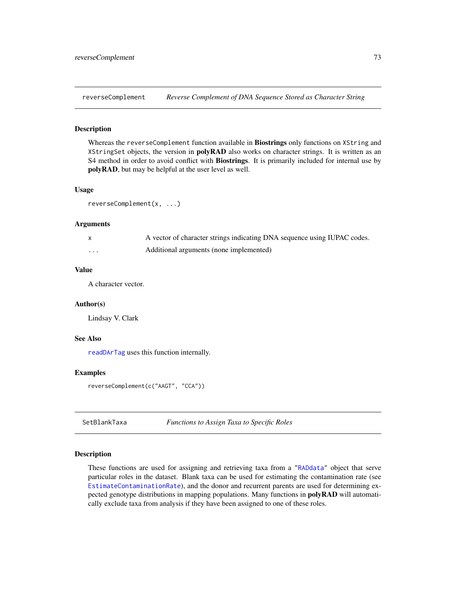<span id="page-72-0"></span>

# Description

Whereas the reverseComplement function available in Biostrings only functions on XString and XStringSet objects, the version in **polyRAD** also works on character strings. It is written as an S4 method in order to avoid conflict with **Biostrings**. It is primarily included for internal use by polyRAD, but may be helpful at the user level as well.

#### Usage

```
reverseComplement(x, ...)
```
#### Arguments

|          | A vector of character strings indicating DNA sequence using IUPAC codes. |
|----------|--------------------------------------------------------------------------|
| $\cdots$ | Additional arguments (none implemented)                                  |

# Value

A character vector.

# Author(s)

Lindsay V. Clark

# See Also

[readDArTag](#page-60-0) uses this function internally.

# Examples

```
reverseComplement(c("AAGT", "CCA"))
```
SetBlankTaxa *Functions to Assign Taxa to Specific Roles*

# Description

These functions are used for assigning and retrieving taxa from a ["RADdata"](#page-55-0) object that serve particular roles in the dataset. Blank taxa can be used for estimating the contamination rate (see [EstimateContaminationRate](#page-26-0)), and the donor and recurrent parents are used for determining expected genotype distributions in mapping populations. Many functions in polyRAD will automatically exclude taxa from analysis if they have been assigned to one of these roles.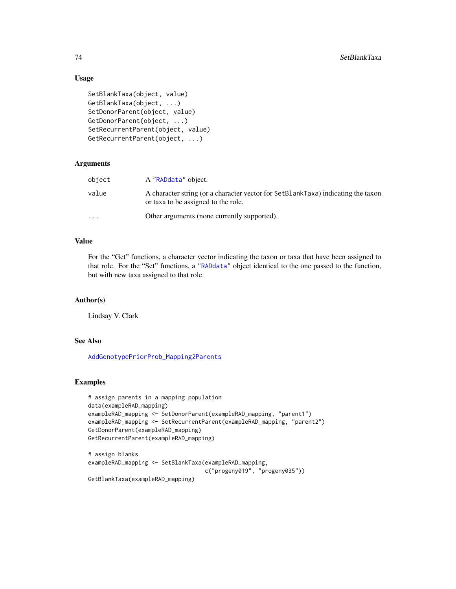# Usage

```
SetBlankTaxa(object, value)
GetBlankTaxa(object, ...)
SetDonorParent(object, value)
GetDonorParent(object, ...)
SetRecurrentParent(object, value)
GetRecurrentParent(object, ...)
```
# Arguments

| object                  | A "RADdata" object.                                                                                                     |
|-------------------------|-------------------------------------------------------------------------------------------------------------------------|
| value                   | A character string (or a character vector for SetBlankTaxa) indicating the taxon<br>or taxa to be assigned to the role. |
| $\cdot$ $\cdot$ $\cdot$ | Other arguments (none currently supported).                                                                             |

# Value

For the "Get" functions, a character vector indicating the taxon or taxa that have been assigned to that role. For the "Set" functions, a ["RADdata"](#page-55-0) object identical to the one passed to the function, but with new taxa assigned to that role.

#### Author(s)

Lindsay V. Clark

# See Also

[AddGenotypePriorProb\\_Mapping2Parents](#page-17-0)

# Examples

```
# assign parents in a mapping population
data(exampleRAD_mapping)
exampleRAD_mapping <- SetDonorParent(exampleRAD_mapping, "parent1")
exampleRAD_mapping <- SetRecurrentParent(exampleRAD_mapping, "parent2")
GetDonorParent(exampleRAD_mapping)
GetRecurrentParent(exampleRAD_mapping)
# assign blanks
exampleRAD_mapping <- SetBlankTaxa(exampleRAD_mapping,
                                   c("progeny019", "progeny035"))
```

```
GetBlankTaxa(exampleRAD_mapping)
```
<span id="page-73-0"></span>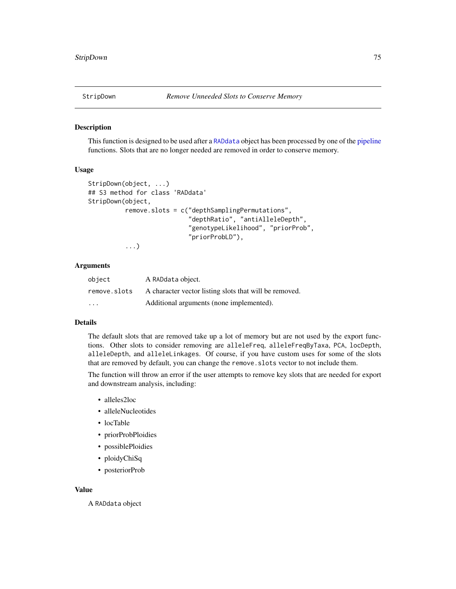<span id="page-74-0"></span>

# Description

This function is designed to be used after a [RADdata](#page-55-0) object has been processed by one of the [pipeline](#page-43-0) functions. Slots that are no longer needed are removed in order to conserve memory.

# Usage

```
StripDown(object, ...)
## S3 method for class 'RADdata'
StripDown(object,
          remove.slots = c("depthSamplingPermutations",
                            "depthRatio", "antiAlleleDepth",
                            "genotypeLikelihood", "priorProb",
                            "priorProbLD"),
          ...)
```
# Arguments

| object       | A RADdata object.                                      |
|--------------|--------------------------------------------------------|
| remove.slots | A character vector listing slots that will be removed. |
| $\cdot$      | Additional arguments (none implemented).               |

#### Details

The default slots that are removed take up a lot of memory but are not used by the export functions. Other slots to consider removing are alleleFreq, alleleFreqByTaxa, PCA, locDepth, alleleDepth, and alleleLinkages. Of course, if you have custom uses for some of the slots that are removed by default, you can change the remove.slots vector to not include them.

The function will throw an error if the user attempts to remove key slots that are needed for export and downstream analysis, including:

- alleles2loc
- alleleNucleotides
- locTable
- priorProbPloidies
- possiblePloidies
- ploidyChiSq
- posteriorProb

#### Value

A RADdata object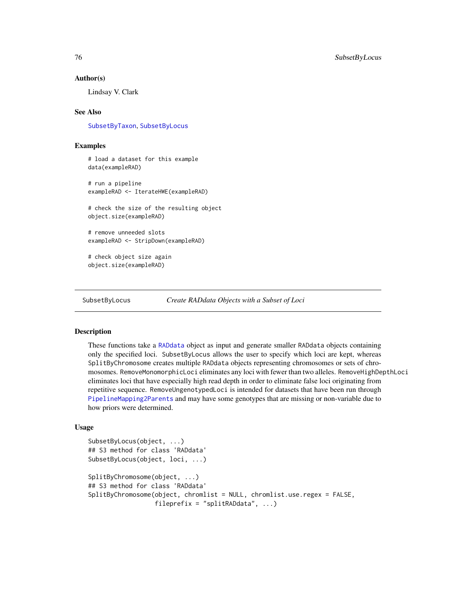#### <span id="page-75-2"></span>Author(s)

Lindsay V. Clark

# See Also

[SubsetByTaxon](#page-79-0), [SubsetByLocus](#page-75-0)

# Examples

```
# load a dataset for this example
data(exampleRAD)
# run a pipeline
exampleRAD <- IterateHWE(exampleRAD)
# check the size of the resulting object
object.size(exampleRAD)
# remove unneeded slots
exampleRAD <- StripDown(exampleRAD)
# check object size again
object.size(exampleRAD)
```
<span id="page-75-0"></span>SubsetByLocus *Create RADdata Objects with a Subset of Loci*

# <span id="page-75-1"></span>Description

These functions take a [RADdata](#page-55-0) object as input and generate smaller RADdata objects containing only the specified loci. SubsetByLocus allows the user to specify which loci are kept, whereas SplitByChromosome creates multiple RADdata objects representing chromosomes or sets of chromosomes. RemoveMonomorphicLoci eliminates any loci with fewer than two alleles. RemoveHighDepthLoci eliminates loci that have especially high read depth in order to eliminate false loci originating from repetitive sequence. RemoveUngenotypedLoci is intended for datasets that have been run through [PipelineMapping2Parents](#page-53-0) and may have some genotypes that are missing or non-variable due to how priors were determined.

#### Usage

```
SubsetByLocus(object, ...)
## S3 method for class 'RADdata'
SubsetByLocus(object, loci, ...)
SplitByChromosome(object, ...)
## S3 method for class 'RADdata'
SplitByChromosome(object, chromlist = NULL, chromlist.use.regex = FALSE,
                  fileprefix = "splitRADdata", ...)
```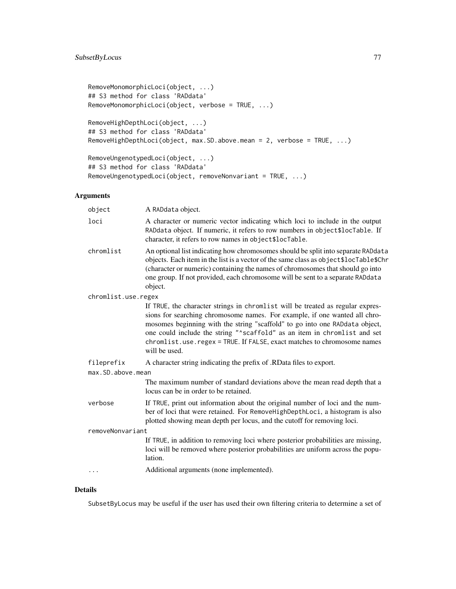```
RemoveMonomorphicLoci(object, ...)
## S3 method for class 'RADdata'
RemoveMonomorphicLoci(object, verbose = TRUE, ...)
```

```
RemoveHighDepthLoci(object, ...)
## S3 method for class 'RADdata'
RemoveHighDepthLoci(object, max.SD.above.mean = 2, verbose = TRUE, ...)
```

```
RemoveUngenotypedLoci(object, ...)
## S3 method for class 'RADdata'
RemoveUngenotypedLoci(object, removeNonvariant = TRUE, ...)
```
# Arguments

| object              | A RADdata object.                                                                                                                                                                                                                                                                                                                                                                                                   |
|---------------------|---------------------------------------------------------------------------------------------------------------------------------------------------------------------------------------------------------------------------------------------------------------------------------------------------------------------------------------------------------------------------------------------------------------------|
| loci                | A character or numeric vector indicating which loci to include in the output<br>RADdata object. If numeric, it refers to row numbers in object\$locTable. If<br>character, it refers to row names in object\$locTable.                                                                                                                                                                                              |
| chromlist           | An optional list indicating how chromosomes should be split into separate RADdata<br>objects. Each item in the list is a vector of the same class as object\$locTable\$Chr<br>(character or numeric) containing the names of chromosomes that should go into<br>one group. If not provided, each chromosome will be sent to a separate RADdata<br>object.                                                           |
| chromlist.use.regex |                                                                                                                                                                                                                                                                                                                                                                                                                     |
|                     | If TRUE, the character strings in chromlist will be treated as regular expres-<br>sions for searching chromosome names. For example, if one wanted all chro-<br>mosomes beginning with the string "scaffold" to go into one RADdata object,<br>one could include the string "^scaffold" as an item in chromlist and set<br>chromlist.use.regex = TRUE. If FALSE, exact matches to chromosome names<br>will be used. |
| fileprefix          | A character string indicating the prefix of .RData files to export.                                                                                                                                                                                                                                                                                                                                                 |
| max.SD.above.mean   |                                                                                                                                                                                                                                                                                                                                                                                                                     |
|                     | The maximum number of standard deviations above the mean read depth that a<br>locus can be in order to be retained.                                                                                                                                                                                                                                                                                                 |
| verbose             | If TRUE, print out information about the original number of loci and the num-<br>ber of loci that were retained. For RemoveHighDepthLoci, a histogram is also<br>plotted showing mean depth per locus, and the cutoff for removing loci.                                                                                                                                                                            |
| removeNonvariant    |                                                                                                                                                                                                                                                                                                                                                                                                                     |
|                     | If TRUE, in addition to removing loci where posterior probabilities are missing,<br>loci will be removed where posterior probabilities are uniform across the popu-<br>lation.                                                                                                                                                                                                                                      |
| $\ddots$            | Additional arguments (none implemented).                                                                                                                                                                                                                                                                                                                                                                            |
|                     |                                                                                                                                                                                                                                                                                                                                                                                                                     |

# Details

SubsetByLocus may be useful if the user has used their own filtering criteria to determine a set of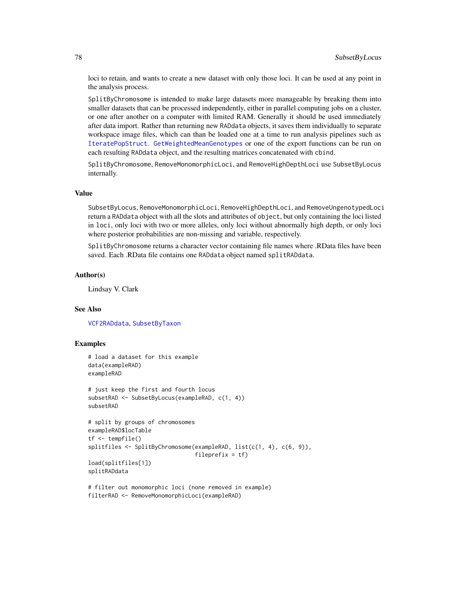loci to retain, and wants to create a new dataset with only those loci. It can be used at any point in the analysis process.

SplitByChromosome is intended to make large datasets more manageable by breaking them into smaller datasets that can be processed independently, either in parallel computing jobs on a cluster, or one after another on a computer with limited RAM. Generally it should be used immediately after data import. Rather than returning new RADdata objects, it saves them individually to separate workspace image files, which can than be loaded one at a time to run analysis pipelines such as [IteratePopStruct](#page-43-1). [GetWeightedMeanGenotypes](#page-37-0) or one of the export functions can be run on each resulting RADdata object, and the resulting matrices concatenated with cbind.

SplitByChromosome, RemoveMonomorphicLoci, and RemoveHighDepthLoci use SubsetByLocus internally.

# Value

SubsetByLocus, RemoveMonomorphicLoci, RemoveHighDepthLoci, and RemoveUngenotypedLoci return a RADdata object with all the slots and attributes of object, but only containing the loci listed in loci, only loci with two or more alleles, only loci without abnormally high depth, or only loci where posterior probabilities are non-missing and variable, respectively.

SplitByChromosome returns a character vector containing file names where .RData files have been saved. Each .RData file contains one RADdata object named splitRADdata.

# Author(s)

Lindsay V. Clark

# See Also

[VCF2RADdata](#page-81-0), [SubsetByTaxon](#page-79-0)

# Examples

```
# load a dataset for this example
data(exampleRAD)
exampleRAD
```

```
# just keep the first and fourth locus
subsetRAD <- SubsetByLocus(exampleRAD, c(1, 4))
subsetRAD
```

```
# split by groups of chromosomes
exampleRAD$locTable
tf <- tempfile()
splitfiles <- SplitByChromosome(exampleRAD, list(c(1, 4), c(6, 9)),
                                fileprefix = tf)
load(splitfiles[1])
splitRADdata
```

```
# filter out monomorphic loci (none removed in example)
filterRAD <- RemoveMonomorphicLoci(exampleRAD)
```
<span id="page-77-0"></span>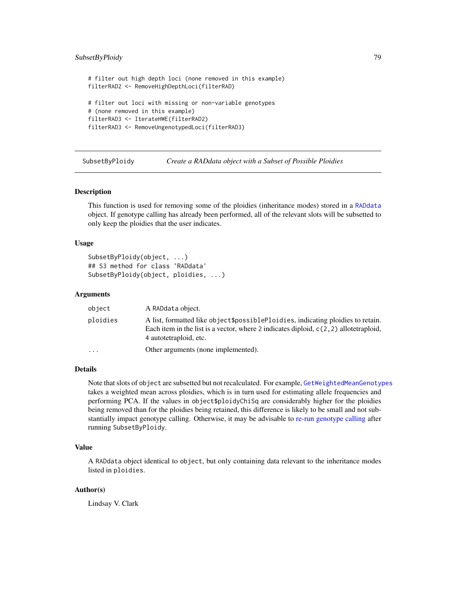# <span id="page-78-0"></span>SubsetByPloidy 79

```
# filter out high depth loci (none removed in this example)
filterRAD2 <- RemoveHighDepthLoci(filterRAD)
# filter out loci with missing or non-variable genotypes
# (none removed in this example)
filterRAD3 <- IterateHWE(filterRAD2)
filterRAD3 <- RemoveUngenotypedLoci(filterRAD3)
```

| SubsetByPloidy |  | Create a RAD data object with a Subset of Possible Ploidies |
|----------------|--|-------------------------------------------------------------|
|                |  |                                                             |

#### Description

This function is used for removing some of the ploidies (inheritance modes) stored in a [RADdata](#page-55-0) object. If genotype calling has already been performed, all of the relevant slots will be subsetted to only keep the ploidies that the user indicates.

# Usage

```
SubsetByPloidy(object, ...)
## S3 method for class 'RADdata'
SubsetByPloidy(object, ploidies, ...)
```
# Arguments

| object    | A RADdata object.                                                                                                                                                                                    |
|-----------|------------------------------------------------------------------------------------------------------------------------------------------------------------------------------------------------------|
| ploidies  | A list, formatted like object\$possiblePloidies, indicating ploidies to retain.<br>Each item in the list is a vector, where 2 indicates diploid, $c(2, 2)$ allotetraploid,<br>4 autotetraploid, etc. |
| $\ddotsc$ | Other arguments (none implemented).                                                                                                                                                                  |

# Details

Note that slots of object are subsetted but not recalculated. For example, [GetWeightedMeanGenotypes](#page-37-0) takes a weighted mean across ploidies, which is in turn used for estimating allele frequencies and performing PCA. If the values in object\$ploidyChiSq are considerably higher for the ploidies being removed than for the ploidies being retained, this difference is likely to be small and not substantially impact genotype calling. Otherwise, it may be advisable to [re-run genotype calling](#page-43-0) after running SubsetByPloidy.

# Value

A RADdata object identical to object, but only containing data relevant to the inheritance modes listed in ploidies.

# Author(s)

Lindsay V. Clark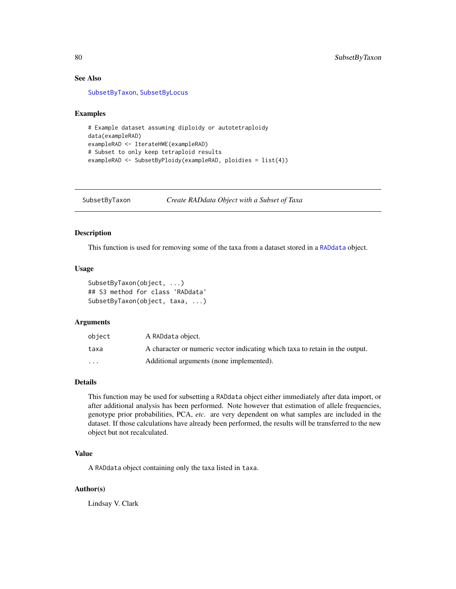# See Also

[SubsetByTaxon](#page-79-0), [SubsetByLocus](#page-75-0)

# Examples

```
# Example dataset assuming diploidy or autotetraploidy
data(exampleRAD)
exampleRAD <- IterateHWE(exampleRAD)
# Subset to only keep tetraploid results
exampleRAD <- SubsetByPloidy(exampleRAD, ploidies = list(4))
```
<span id="page-79-0"></span>SubsetByTaxon *Create RADdata Object with a Subset of Taxa*

# Description

This function is used for removing some of the taxa from a dataset stored in a [RADdata](#page-55-0) object.

# Usage

```
SubsetByTaxon(object, ...)
## S3 method for class 'RADdata'
SubsetByTaxon(object, taxa, ...)
```
# Arguments

| object                  | A RADdata object.                                                            |
|-------------------------|------------------------------------------------------------------------------|
| taxa                    | A character or numeric vector indicating which taxa to retain in the output. |
| $\cdot$ $\cdot$ $\cdot$ | Additional arguments (none implemented).                                     |

# Details

This function may be used for subsetting a RADdata object either immediately after data import, or after additional analysis has been performed. Note however that estimation of allele frequencies, genotype prior probabilities, PCA, *etc.* are very dependent on what samples are included in the dataset. If those calculations have already been performed, the results will be transferred to the new object but not recalculated.

# Value

A RADdata object containing only the taxa listed in taxa.

#### Author(s)

Lindsay V. Clark

<span id="page-79-1"></span>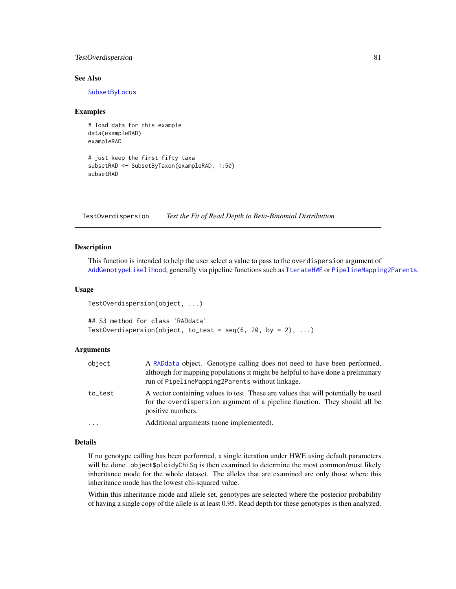# <span id="page-80-0"></span>TestOverdispersion 81

# See Also

[SubsetByLocus](#page-75-0)

# Examples

# load data for this example data(exampleRAD) exampleRAD

```
# just keep the first fifty taxa
subsetRAD <- SubsetByTaxon(exampleRAD, 1:50)
subsetRAD
```
TestOverdispersion *Test the Fit of Read Depth to Beta-Binomial Distribution*

# **Description**

This function is intended to help the user select a value to pass to the overdispersion argument of [AddGenotypeLikelihood](#page-9-0), generally via pipeline functions such as [IterateHWE](#page-43-0) or [PipelineMapping2Parents](#page-53-0).

# Usage

```
TestOverdispersion(object, ...)
```

```
## S3 method for class 'RADdata'
TestOverdispersion(object, to_test = seq(6, 20, by = 2), ...)
```
# Arguments

| object     | A RADdata object. Genotype calling does not need to have been performed,<br>although for mapping populations it might be helpful to have done a preliminary<br>run of PipelineMapping2Parents without linkage. |
|------------|----------------------------------------------------------------------------------------------------------------------------------------------------------------------------------------------------------------|
| to_test    | A vector containing values to test. These are values that will potentially be used<br>for the overdispersion argument of a pipeline function. They should all be<br>positive numbers.                          |
| $\ddots$ . | Additional arguments (none implemented).                                                                                                                                                                       |

# Details

If no genotype calling has been performed, a single iteration under HWE using default parameters will be done. object\$ploidyChiSq is then examined to determine the most common/most likely inheritance mode for the whole dataset. The alleles that are examined are only those where this inheritance mode has the lowest chi-squared value.

Within this inheritance mode and allele set, genotypes are selected where the posterior probability of having a single copy of the allele is at least 0.95. Read depth for these genotypes is then analyzed.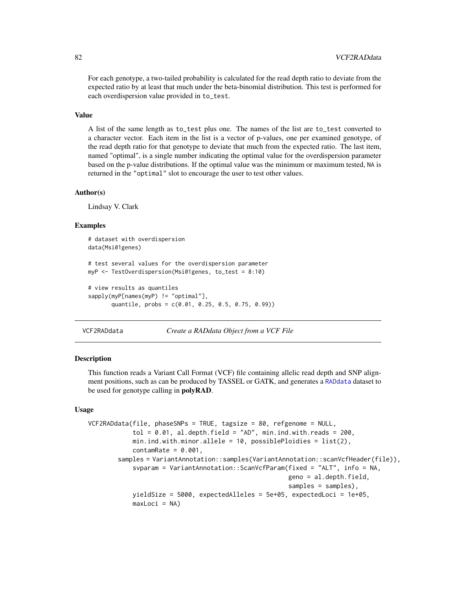<span id="page-81-1"></span>For each genotype, a two-tailed probability is calculated for the read depth ratio to deviate from the expected ratio by at least that much under the beta-binomial distribution. This test is performed for each overdispersion value provided in to\_test.

# Value

A list of the same length as to\_test plus one. The names of the list are to\_test converted to a character vector. Each item in the list is a vector of p-values, one per examined genotype, of the read depth ratio for that genotype to deviate that much from the expected ratio. The last item, named "optimal", is a single number indicating the optimal value for the overdispersion parameter based on the p-value distributions. If the optimal value was the minimum or maximum tested, NA is returned in the "optimal" slot to encourage the user to test other values.

# Author(s)

Lindsay V. Clark

# Examples

```
# dataset with overdispersion
data(Msi01genes)
# test several values for the overdispersion parameter
myP <- TestOverdispersion(Msi01genes, to_test = 8:10)
# view results as quantiles
sapply(myP[names(myP) != "optimal"],
      quantile, probs = c(0.01, 0.25, 0.5, 0.75, 0.99))
```

```
VCF2RADdata Create a RADdata Object from a VCF File
```
# Description

This function reads a Variant Call Format (VCF) file containing allelic read depth and SNP alignment positions, such as can be produced by TASSEL or GATK, and generates a [RADdata](#page-55-0) dataset to be used for genotype calling in **polyRAD**.

#### Usage

```
VCF2RADdata(file, phaseSNPs = TRUE, tagsize = 80, refgenome = NULL,
            tol = 0.01, al.depth.field = "AD", min.ind.with.reads = 200,
            min.ind.with.minor.allele = 10, possiblePloidies = list(2),
            contamRate = 0.001,samples = VariantAnnotation::samples(VariantAnnotation::scanVcfHeader(file)),
            svparam = VariantAnnotation::ScanVcfParam(fixed = "ALT", info = NA,
                                                      geno = al.depth.field,
                                                      samples = samples),
            yieldSize = 5000, expectedAlleles = 5e+05, expectedLoci = 1e+05,
            maxLoci = NA)
```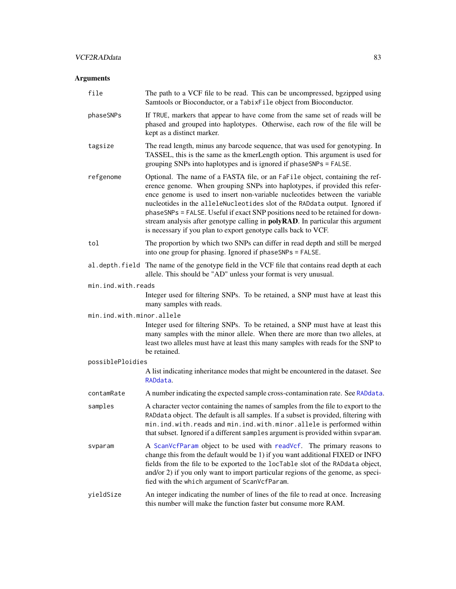# <span id="page-82-0"></span>Arguments

| file                      | The path to a VCF file to be read. This can be uncompressed, bgzipped using<br>Samtools or Bioconductor, or a TabixFile object from Bioconductor.                                                                                                                                                                                                                                                                                                                                                                                                                      |
|---------------------------|------------------------------------------------------------------------------------------------------------------------------------------------------------------------------------------------------------------------------------------------------------------------------------------------------------------------------------------------------------------------------------------------------------------------------------------------------------------------------------------------------------------------------------------------------------------------|
| phaseSNPs                 | If TRUE, markers that appear to have come from the same set of reads will be<br>phased and grouped into haplotypes. Otherwise, each row of the file will be<br>kept as a distinct marker.                                                                                                                                                                                                                                                                                                                                                                              |
| tagsize                   | The read length, minus any barcode sequence, that was used for genotyping. In<br>TASSEL, this is the same as the kmerLength option. This argument is used for<br>grouping SNPs into haplotypes and is ignored if phaseSNPs = FALSE.                                                                                                                                                                                                                                                                                                                                    |
| refgenome                 | Optional. The name of a FASTA file, or an FaFile object, containing the ref-<br>erence genome. When grouping SNPs into haplotypes, if provided this refer-<br>ence genome is used to insert non-variable nucleotides between the variable<br>nucleotides in the alleleNucleotides slot of the RADdata output. Ignored if<br>phaseSNPs = FALSE. Useful if exact SNP positions need to be retained for down-<br>stream analysis after genotype calling in <b>polyRAD</b> . In particular this argument<br>is necessary if you plan to export genotype calls back to VCF. |
| tol                       | The proportion by which two SNPs can differ in read depth and still be merged<br>into one group for phasing. Ignored if phaseSNPs = FALSE.                                                                                                                                                                                                                                                                                                                                                                                                                             |
|                           | al. depth. field The name of the genotype field in the VCF file that contains read depth at each<br>allele. This should be "AD" unless your format is very unusual.                                                                                                                                                                                                                                                                                                                                                                                                    |
| min.ind.with.reads        |                                                                                                                                                                                                                                                                                                                                                                                                                                                                                                                                                                        |
|                           | Integer used for filtering SNPs. To be retained, a SNP must have at least this<br>many samples with reads.                                                                                                                                                                                                                                                                                                                                                                                                                                                             |
| min.ind.with.minor.allele |                                                                                                                                                                                                                                                                                                                                                                                                                                                                                                                                                                        |
|                           | Integer used for filtering SNPs. To be retained, a SNP must have at least this<br>many samples with the minor allele. When there are more than two alleles, at<br>least two alleles must have at least this many samples with reads for the SNP to<br>be retained.                                                                                                                                                                                                                                                                                                     |
| possiblePloidies          |                                                                                                                                                                                                                                                                                                                                                                                                                                                                                                                                                                        |
|                           | A list indicating inheritance modes that might be encountered in the dataset. See<br>RADdata.                                                                                                                                                                                                                                                                                                                                                                                                                                                                          |
| contamRate                | A number indicating the expected sample cross-contamination rate. See RADdata.                                                                                                                                                                                                                                                                                                                                                                                                                                                                                         |
| samples                   | A character vector containing the names of samples from the file to export to the<br>RADdata object. The default is all samples. If a subset is provided, filtering with<br>min. ind. with. reads and min. ind. with. minor. allele is performed within<br>that subset. Ignored if a different samples argument is provided within svparam.                                                                                                                                                                                                                            |
| svparam                   | A ScanVcfParam object to be used with readVcf. The primary reasons to<br>change this from the default would be 1) if you want additional FIXED or INFO<br>fields from the file to be exported to the locTable slot of the RADdata object,<br>and/or 2) if you only want to import particular regions of the genome, as speci-<br>fied with the which argument of ScanVcfParam.                                                                                                                                                                                         |
| yieldSize                 | An integer indicating the number of lines of the file to read at once. Increasing<br>this number will make the function faster but consume more RAM.                                                                                                                                                                                                                                                                                                                                                                                                                   |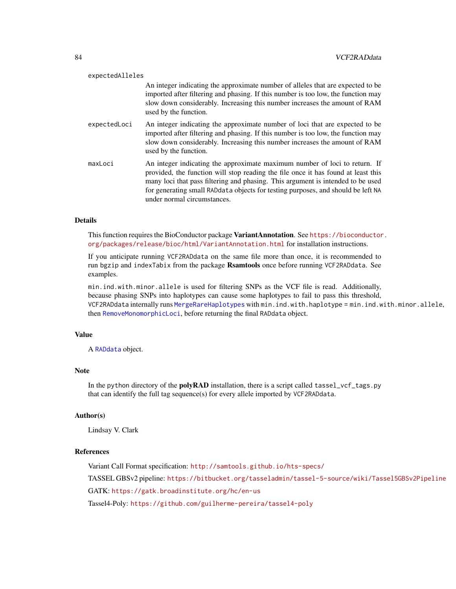<span id="page-83-0"></span>

| expectedAlleles |                                                                                                                                                                                                                                                                                                                                                                       |
|-----------------|-----------------------------------------------------------------------------------------------------------------------------------------------------------------------------------------------------------------------------------------------------------------------------------------------------------------------------------------------------------------------|
|                 | An integer indicating the approximate number of alleles that are expected to be<br>imported after filtering and phasing. If this number is too low, the function may<br>slow down considerably. Increasing this number increases the amount of RAM<br>used by the function.                                                                                           |
| expectedLoci    | An integer indicating the approximate number of loci that are expected to be<br>imported after filtering and phasing. If this number is too low, the function may<br>slow down considerably. Increasing this number increases the amount of RAM<br>used by the function.                                                                                              |
| maxLoci         | An integer indicating the approximate maximum number of loci to return. If<br>provided, the function will stop reading the file once it has found at least this<br>many loci that pass filtering and phasing. This argument is intended to be used<br>for generating small RADdata objects for testing purposes, and should be left NA<br>under normal circumstances. |

# Details

This function requires the BioConductor package VariantAnnotation. See [https://bioconductor](https://bioconductor.org/packages/release/bioc/html/VariantAnnotation.html). [org/packages/release/bioc/html/VariantAnnotation.html](https://bioconductor.org/packages/release/bioc/html/VariantAnnotation.html) for installation instructions.

If you anticipate running VCF2RADdata on the same file more than once, it is recommended to run bgzip and indexTabix from the package Rsamtools once before running VCF2RADdata. See examples.

min.ind.with.minor.allele is used for filtering SNPs as the VCF file is read. Additionally, because phasing SNPs into haplotypes can cause some haplotypes to fail to pass this threshold, VCF2RADdata internally runs [MergeRareHaplotypes](#page-50-0) with min.ind.with.haplotype = min.ind.with.minor.allele, then [RemoveMonomorphicLoci](#page-75-1), before returning the final RADdata object.

# Value

A [RADdata](#page-55-0) object.

#### Note

In the python directory of the **polyRAD** installation, there is a script called tassel\_vcf\_tags.py that can identify the full tag sequence(s) for every allele imported by VCF2RADdata.

# Author(s)

Lindsay V. Clark

# References

Variant Call Format specification: <http://samtools.github.io/hts-specs/> TASSEL GBSv2 pipeline: <https://bitbucket.org/tasseladmin/tassel-5-source/wiki/Tassel5GBSv2Pipeline> GATK: <https://gatk.broadinstitute.org/hc/en-us> Tassel4-Poly: <https://github.com/guilherme-pereira/tassel4-poly>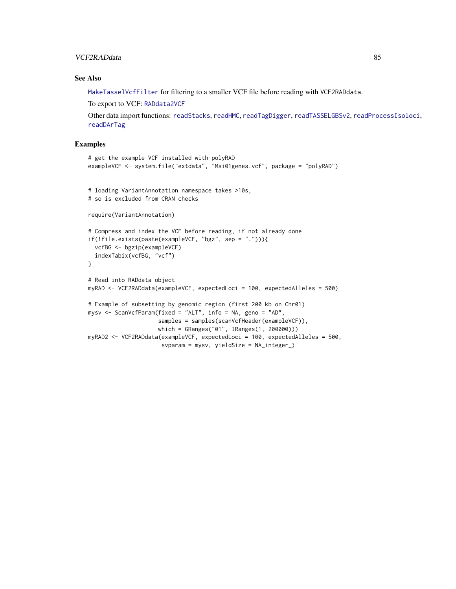# <span id="page-84-0"></span>VCF2RADdata 85

# See Also

[MakeTasselVcfFilter](#page-47-0) for filtering to a smaller VCF file before reading with VCF2RADdata.

To export to VCF: [RADdata2VCF](#page-58-0)

Other data import functions: [readStacks](#page-66-0), [readHMC](#page-62-0), [readTagDigger](#page-68-0), [readTASSELGBSv2](#page-70-0), [readProcessIsoloci](#page-64-0), [readDArTag](#page-60-0)

# Examples

```
# get the example VCF installed with polyRAD
exampleVCF <- system.file("extdata", "Msi01genes.vcf", package = "polyRAD")
# loading VariantAnnotation namespace takes >10s,
# so is excluded from CRAN checks
require(VariantAnnotation)
# Compress and index the VCF before reading, if not already done
if(!file.exists(paste(exampleVCF, "bgz", sep = "."))){
  vcfBG <- bgzip(exampleVCF)
  indexTabix(vcfBG, "vcf")
}
# Read into RADdata object
myRAD <- VCF2RADdata(exampleVCF, expectedLoci = 100, expectedAlleles = 500)
# Example of subsetting by genomic region (first 200 kb on Chr01)
mysv <- ScanVcfParam(fixed = "ALT", info = NA, geno = "AD",
                     samples = samples(scanVcfHeader(exampleVCF)),
                     which = GRanges("01", IRanges(1, 200000)))
myRAD2 <- VCF2RADdata(exampleVCF, expectedLoci = 100, expectedAlleles = 500,
                      svparam = mysv, yieldSize = NA_integer_)
```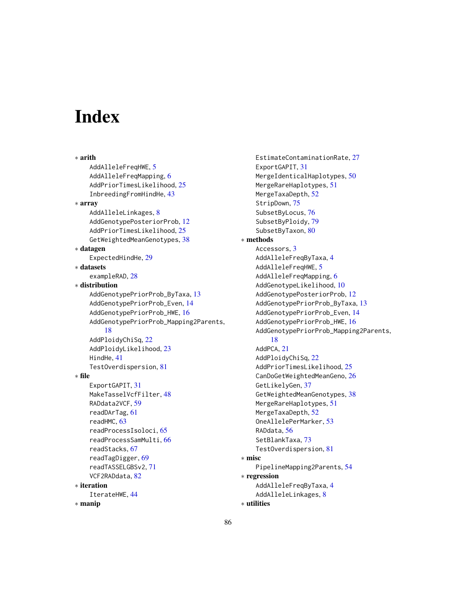# **Index**

∗ arith AddAlleleFreqHWE, [5](#page-4-0) AddAlleleFreqMapping, [6](#page-5-0) AddPriorTimesLikelihood, [25](#page-24-0) InbreedingFromHindHe, [43](#page-42-0) ∗ array AddAlleleLinkages, [8](#page-7-0) AddGenotypePosteriorProb, [12](#page-11-0) AddPriorTimesLikelihood, [25](#page-24-0) GetWeightedMeanGenotypes, [38](#page-37-1) ∗ datagen ExpectedHindHe, [29](#page-28-0) ∗ datasets exampleRAD, [28](#page-27-0) ∗ distribution AddGenotypePriorProb\_ByTaxa, [13](#page-12-0) AddGenotypePriorProb\_Even, [14](#page-13-0) AddGenotypePriorProb\_HWE, [16](#page-15-0) AddGenotypePriorProb\_Mapping2Parents, [18](#page-17-1) AddPloidyChiSq, [22](#page-21-0) AddPloidyLikelihood, [23](#page-22-0) HindHe, [41](#page-40-0) TestOverdispersion, [81](#page-80-0) ∗ file ExportGAPIT, [31](#page-30-0) MakeTasselVcfFilter, [48](#page-47-1) RADdata2VCF, [59](#page-58-1) readDArTag, [61](#page-60-1) readHMC, [63](#page-62-1) readProcessIsoloci, [65](#page-64-1) readProcessSamMulti, [66](#page-65-0) readStacks, [67](#page-66-1) readTagDigger, [69](#page-68-1) readTASSELGBSv2, [71](#page-70-1) VCF2RADdata, [82](#page-81-1) ∗ iteration IterateHWE, [44](#page-43-2) ∗ manip

EstimateContaminationRate, [27](#page-26-1) ExportGAPIT, [31](#page-30-0) MergeIdenticalHaplotypes, [50](#page-49-0) MergeRareHaplotypes, [51](#page-50-1) MergeTaxaDepth, [52](#page-51-0) StripDown, [75](#page-74-0) SubsetByLocus, [76](#page-75-2) SubsetByPloidy, [79](#page-78-0) SubsetByTaxon, [80](#page-79-1) ∗ methods Accessors, [3](#page-2-0) AddAlleleFreqByTaxa, [4](#page-3-0) AddAlleleFreqHWE, [5](#page-4-0) AddAlleleFreqMapping, [6](#page-5-0) AddGenotypeLikelihood, [10](#page-9-1) AddGenotypePosteriorProb, [12](#page-11-0) AddGenotypePriorProb\_ByTaxa, [13](#page-12-0) AddGenotypePriorProb\_Even, [14](#page-13-0) AddGenotypePriorProb\_HWE, [16](#page-15-0) AddGenotypePriorProb\_Mapping2Parents, [18](#page-17-1) AddPCA, [21](#page-20-0) AddPloidyChiSq, [22](#page-21-0) AddPriorTimesLikelihood, [25](#page-24-0) CanDoGetWeightedMeanGeno, [26](#page-25-0) GetLikelyGen, [37](#page-36-0) GetWeightedMeanGenotypes, [38](#page-37-1) MergeRareHaplotypes, [51](#page-50-1) MergeTaxaDepth, [52](#page-51-0) OneAllelePerMarker, [53](#page-52-0) RADdata, [56](#page-55-1) SetBlankTaxa, [73](#page-72-0) TestOverdispersion, [81](#page-80-0) ∗ misc PipelineMapping2Parents, [54](#page-53-1) ∗ regression AddAlleleFreqByTaxa, [4](#page-3-0) AddAlleleLinkages, [8](#page-7-0) ∗ utilities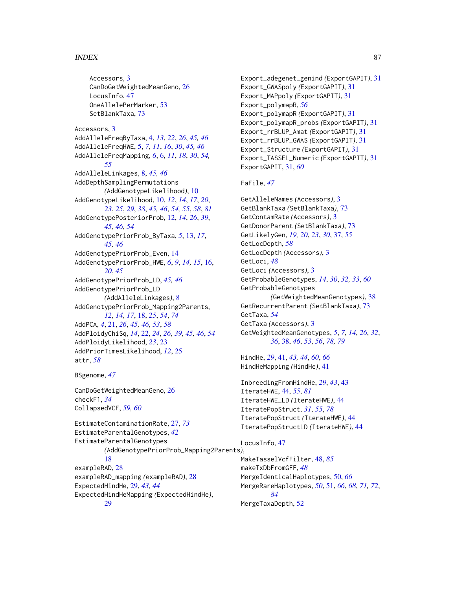# INDEX  $87$

Accessors, [3](#page-2-0) CanDoGetWeightedMeanGeno, [26](#page-25-0) LocusInfo, [47](#page-46-0) OneAllelePerMarker, [53](#page-52-0) SetBlankTaxa, [73](#page-72-0) Accessors, [3](#page-2-0) AddAlleleFreqByTaxa, [4,](#page-3-0) *[13](#page-12-0)*, *[22](#page-21-0)*, *[26](#page-25-0)*, *[45,](#page-44-0) [46](#page-45-0)* AddAlleleFreqHWE, [5,](#page-4-0) *[7](#page-6-0)*, *[11](#page-10-0)*, *[16](#page-15-0)*, *[30](#page-29-0)*, *[45,](#page-44-0) [46](#page-45-0)* AddAlleleFreqMapping, *[6](#page-5-0)*, [6,](#page-5-0) *[11](#page-10-0)*, *[18](#page-17-1)*, *[30](#page-29-0)*, *[54,](#page-53-1) [55](#page-54-0)* AddAlleleLinkages, [8,](#page-7-0) *[45,](#page-44-0) [46](#page-45-0)* AddDepthSamplingPermutations *(*AddGenotypeLikelihood*)*, [10](#page-9-1) AddGenotypeLikelihood, [10,](#page-9-1) *[12](#page-11-0)*, *[14](#page-13-0)*, *[17](#page-16-0)*, *[20](#page-19-0)*, *[23](#page-22-0)*, *[25](#page-24-0)*, *[29](#page-28-0)*, *[38](#page-37-1)*, *[45,](#page-44-0) [46](#page-45-0)*, *[54,](#page-53-1) [55](#page-54-0)*, *[58](#page-57-0)*, *[81](#page-80-0)* AddGenotypePosteriorProb, [12,](#page-11-0) *[14](#page-13-0)*, *[26](#page-25-0)*, *[39](#page-38-0)*, *[45,](#page-44-0) [46](#page-45-0)*, *[54](#page-53-1)* AddGenotypePriorProb\_ByTaxa, *[5](#page-4-0)*, [13,](#page-12-0) *[17](#page-16-0)*, *[45,](#page-44-0) [46](#page-45-0)* AddGenotypePriorProb\_Even, [14](#page-13-0) AddGenotypePriorProb\_HWE, *[6](#page-5-0)*, *[9](#page-8-0)*, *[14,](#page-13-0) [15](#page-14-0)*, [16,](#page-15-0) *[20](#page-19-0)*, *[45](#page-44-0)* AddGenotypePriorProb\_LD, *[45,](#page-44-0) [46](#page-45-0)* AddGenotypePriorProb\_LD *(*AddAlleleLinkages*)*, [8](#page-7-0) AddGenotypePriorProb\_Mapping2Parents, *[12](#page-11-0)*, *[14](#page-13-0)*, *[17](#page-16-0)*, [18,](#page-17-1) *[25](#page-24-0)*, *[54](#page-53-1)*, *[74](#page-73-0)* AddPCA, *[4](#page-3-0)*, [21,](#page-20-0) *[26](#page-25-0)*, *[45,](#page-44-0) [46](#page-45-0)*, *[53](#page-52-0)*, *[58](#page-57-0)* AddPloidyChiSq, *[14](#page-13-0)*, [22,](#page-21-0) *[24](#page-23-0)*, *[26](#page-25-0)*, *[39](#page-38-0)*, *[45,](#page-44-0) [46](#page-45-0)*, *[54](#page-53-1)* AddPloidyLikelihood, *[23](#page-22-0)*, [23](#page-22-0) AddPriorTimesLikelihood, *[12](#page-11-0)*, [25](#page-24-0) attr, *[58](#page-57-0)*

# BSgenome, *[47](#page-46-0)*

CanDoGetWeightedMeanGeno, [26](#page-25-0) checkF1, *[34](#page-33-0)* CollapsedVCF, *[59,](#page-58-1) [60](#page-59-0)*

EstimateContaminationRate, [27,](#page-26-1) *[73](#page-72-0)* EstimateParentalGenotypes, *[42](#page-41-0)* EstimateParentalGenotypes *(*AddGenotypePriorProb\_Mapping2Parents*)*, [18](#page-17-1) exampleRAD, [28](#page-27-0) exampleRAD\_mapping *(*exampleRAD*)*, [28](#page-27-0) ExpectedHindHe, [29,](#page-28-0) *[43,](#page-42-0) [44](#page-43-2)* ExpectedHindHeMapping *(*ExpectedHindHe*)*, [29](#page-28-0)

Export\_adegenet\_genind *(*ExportGAPIT*)*, [31](#page-30-0) Export\_GWASpoly *(*ExportGAPIT*)*, [31](#page-30-0) Export\_MAPpoly *(*ExportGAPIT*)*, [31](#page-30-0) Export\_polymapR, *[56](#page-55-1)* Export\_polymapR *(*ExportGAPIT*)*, [31](#page-30-0) Export\_polymapR\_probs *(*ExportGAPIT*)*, [31](#page-30-0) Export\_rrBLUP\_Amat *(*ExportGAPIT*)*, [31](#page-30-0) Export\_rrBLUP\_GWAS *(*ExportGAPIT*)*, [31](#page-30-0) Export\_Structure *(*ExportGAPIT*)*, [31](#page-30-0) Export\_TASSEL\_Numeric *(*ExportGAPIT*)*, [31](#page-30-0) ExportGAPIT, [31,](#page-30-0) *[60](#page-59-0)*

# FaFile, *[47](#page-46-0)*

GetAlleleNames *(*Accessors*)*, [3](#page-2-0) GetBlankTaxa *(*SetBlankTaxa*)*, [73](#page-72-0) GetContamRate *(*Accessors*)*, [3](#page-2-0) GetDonorParent *(*SetBlankTaxa*)*, [73](#page-72-0) GetLikelyGen, *[19,](#page-18-0) [20](#page-19-0)*, *[23](#page-22-0)*, *[30](#page-29-0)*, [37,](#page-36-0) *[55](#page-54-0)* GetLocDepth, *[58](#page-57-0)* GetLocDepth *(*Accessors*)*, [3](#page-2-0) GetLoci, *[48](#page-47-1)* GetLoci *(*Accessors*)*, [3](#page-2-0) GetProbableGenotypes, *[14](#page-13-0)*, *[30](#page-29-0)*, *[32,](#page-31-0) [33](#page-32-0)*, *[60](#page-59-0)* GetProbableGenotypes *(*GetWeightedMeanGenotypes*)*, [38](#page-37-1) GetRecurrentParent *(*SetBlankTaxa*)*, [73](#page-72-0) GetTaxa, *[54](#page-53-1)* GetTaxa *(*Accessors*)*, [3](#page-2-0) GetWeightedMeanGenotypes, *[5](#page-4-0)*, *[7](#page-6-0)*, *[14](#page-13-0)*, *[26](#page-25-0)*, *[32](#page-31-0)*, *[36](#page-35-0)*, [38,](#page-37-1) *[46](#page-45-0)*, *[53](#page-52-0)*, *[56](#page-55-1)*, *[78,](#page-77-0) [79](#page-78-0)*

HindHe, *[29](#page-28-0)*, [41,](#page-40-0) *[43,](#page-42-0) [44](#page-43-2)*, *[60](#page-59-0)*, *[66](#page-65-0)* HindHeMapping *(*HindHe*)*, [41](#page-40-0)

InbreedingFromHindHe, *[29](#page-28-0)*, *[43](#page-42-0)*, [43](#page-42-0) IterateHWE, [44,](#page-43-2) *[55](#page-54-0)*, *[81](#page-80-0)* IterateHWE\_LD *(*IterateHWE*)*, [44](#page-43-2) IteratePopStruct, *[31](#page-30-0)*, *[55](#page-54-0)*, *[78](#page-77-0)* IteratePopStruct *(*IterateHWE*)*, [44](#page-43-2) IteratePopStructLD *(*IterateHWE*)*, [44](#page-43-2)

#### LocusInfo, [47](#page-46-0)

MakeTasselVcfFilter, [48,](#page-47-1) *[85](#page-84-0)* makeTxDbFromGFF, *[48](#page-47-1)* MergeIdenticalHaplotypes, [50,](#page-49-0) *[66](#page-65-0)* MergeRareHaplotypes, *[50](#page-49-0)*, [51,](#page-50-1) *[66](#page-65-0)*, *[68](#page-67-0)*, *[71,](#page-70-1) [72](#page-71-0)*, *[84](#page-83-0)* MergeTaxaDepth, [52](#page-51-0)